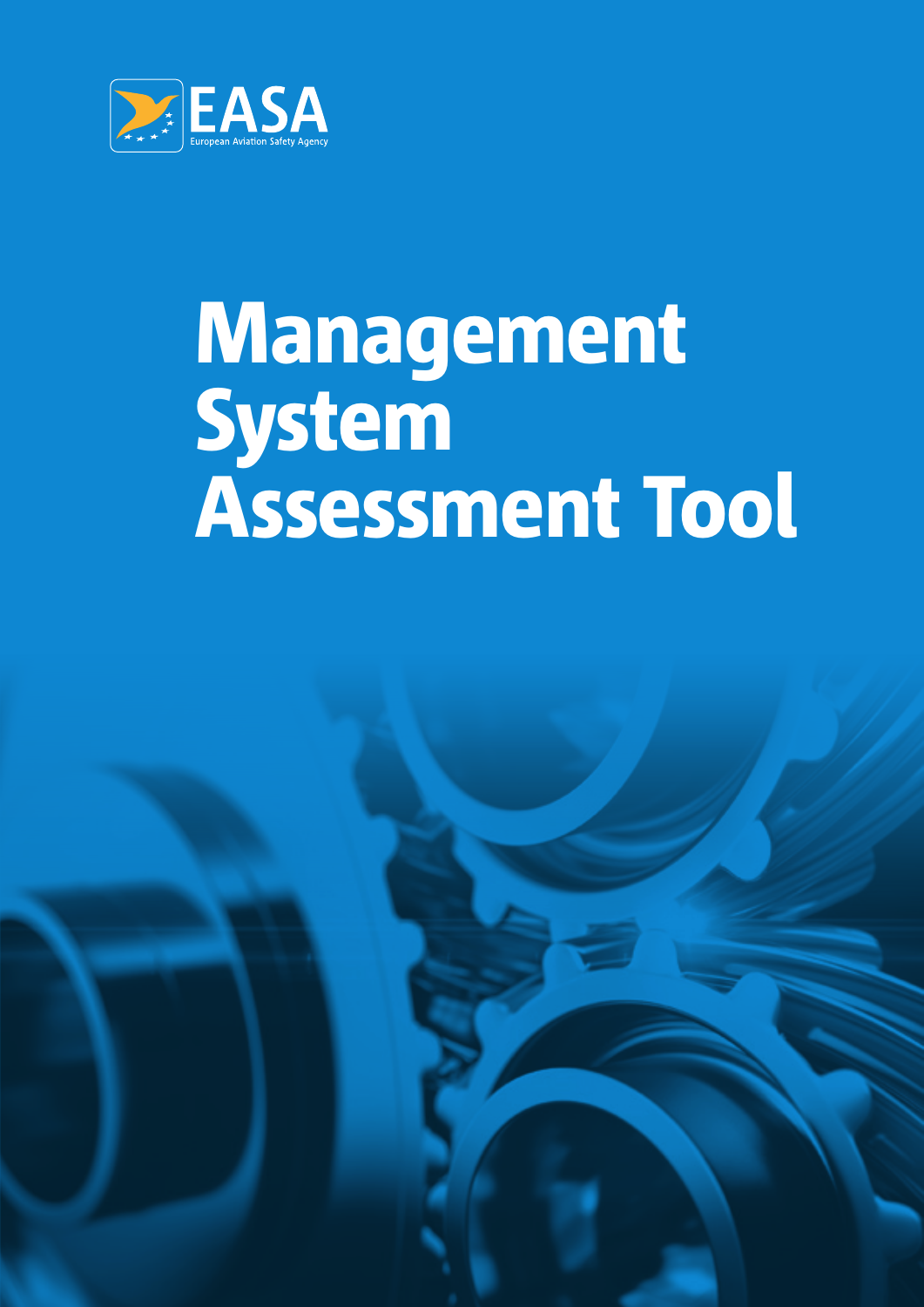

# Management System Assessment Tool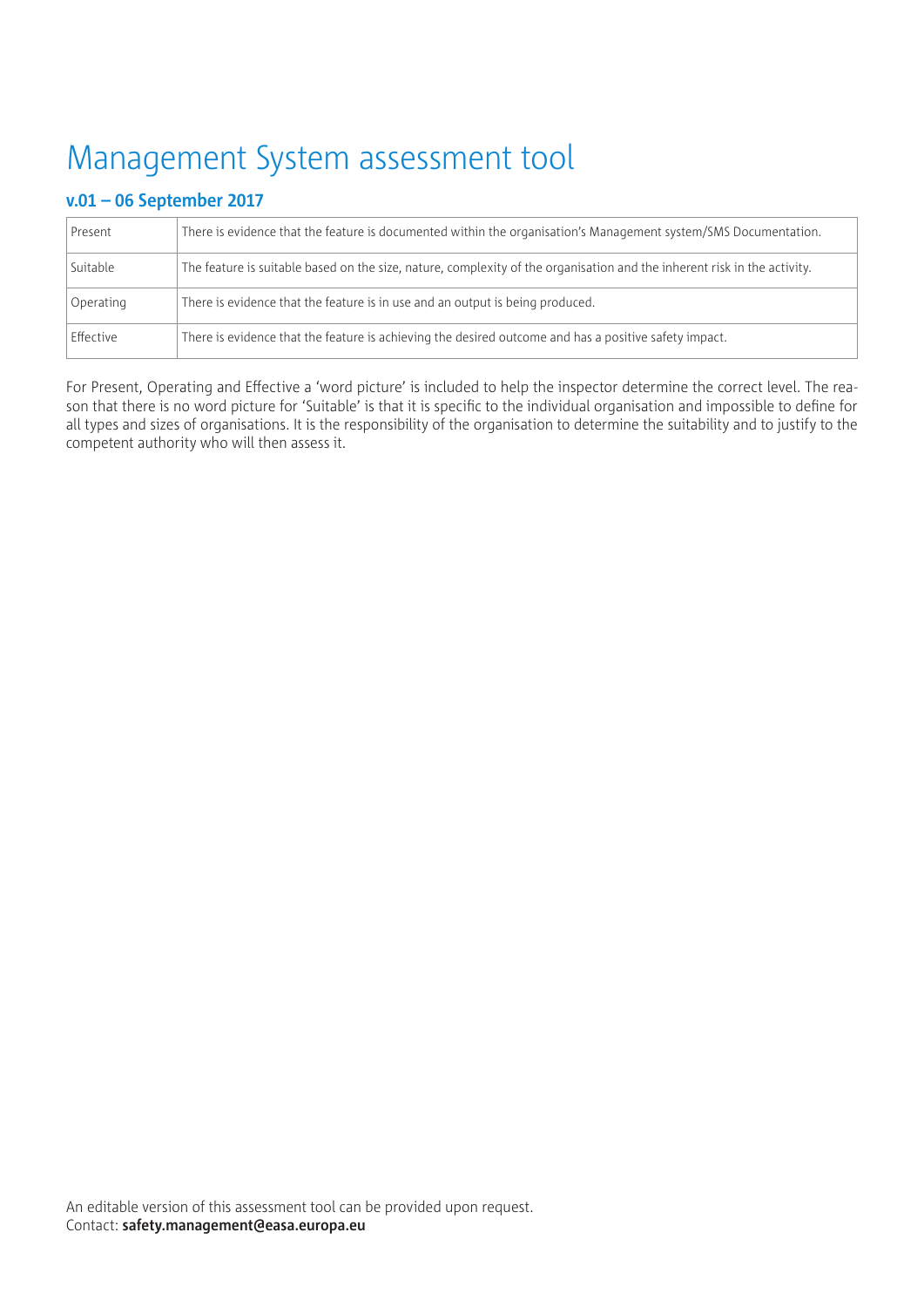# Management System assessment tool

# **v.01 – 06 September 2017**

| Present   | There is evidence that the feature is documented within the organisation's Management system/SMS Documentation.          |
|-----------|--------------------------------------------------------------------------------------------------------------------------|
| Suitable  | The feature is suitable based on the size, nature, complexity of the organisation and the inherent risk in the activity. |
| Operating | There is evidence that the feature is in use and an output is being produced.                                            |
| Effective | There is evidence that the feature is achieving the desired outcome and has a positive safety impact.                    |

For Present, Operating and Effective a 'word picture' is included to help the inspector determine the correct level. The reason that there is no word picture for 'Suitable' is that it is specific to the individual organisation and impossible to define for all types and sizes of organisations. It is the responsibility of the organisation to determine the suitability and to justify to the competent authority who will then assess it.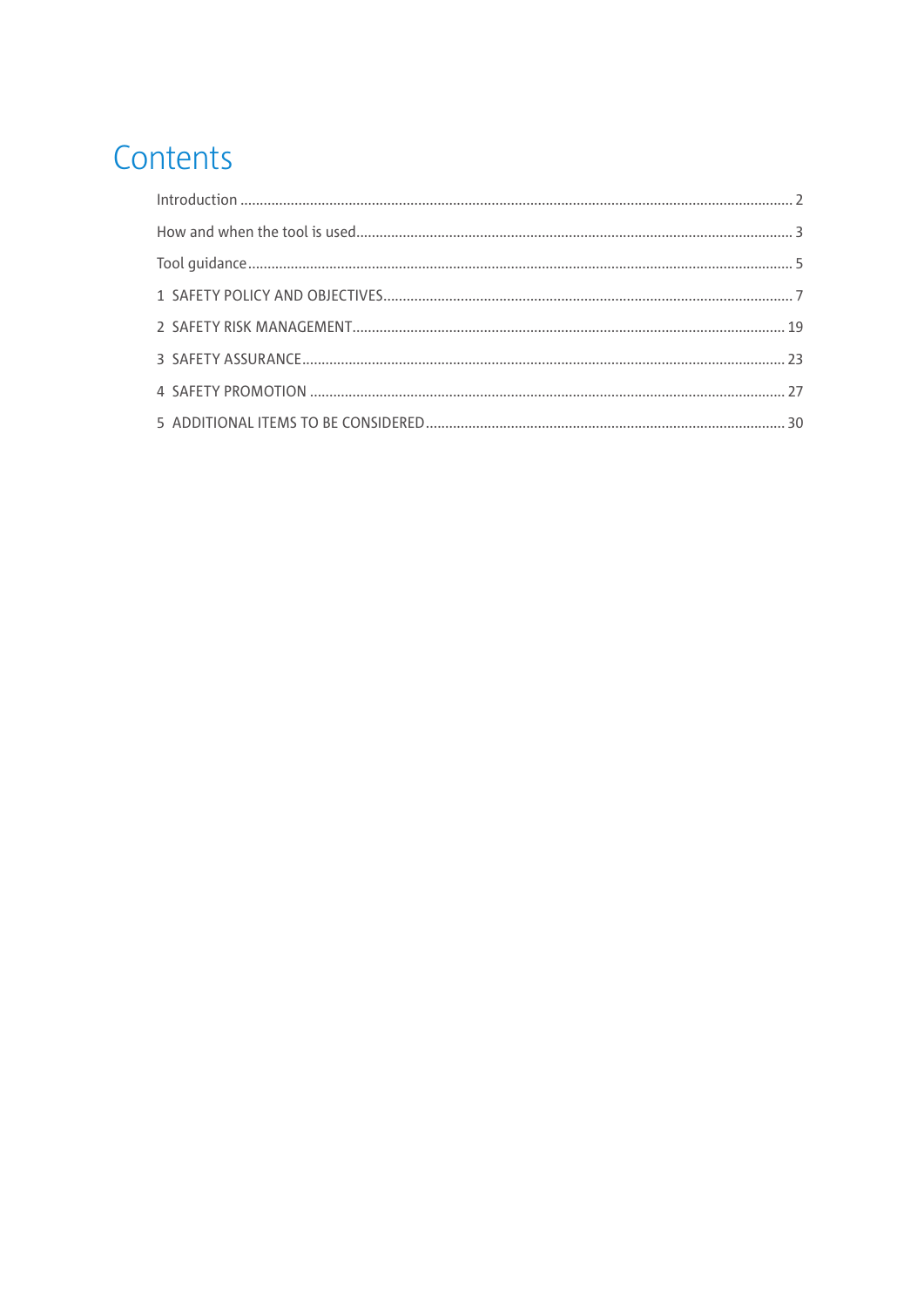# Contents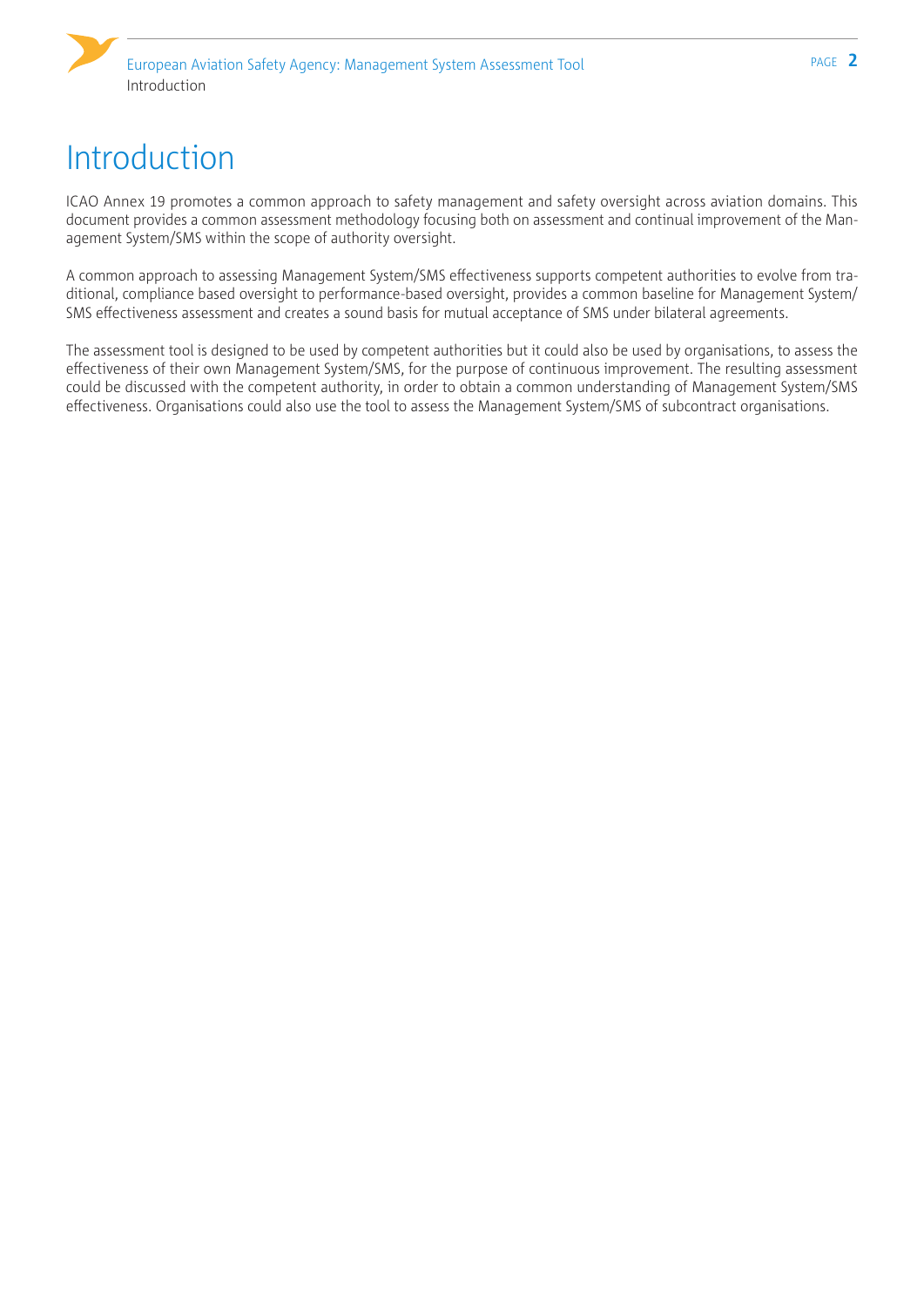# <span id="page-3-0"></span>Introduction

ICAO Annex 19 promotes a common approach to safety management and safety oversight across aviation domains. This document provides a common assessment methodology focusing both on assessment and continual improvement of the Management System/SMS within the scope of authority oversight.

A common approach to assessing Management System/SMS effectiveness supports competent authorities to evolve from traditional, compliance based oversight to performance-based oversight, provides a common baseline for Management System/ SMS effectiveness assessment and creates a sound basis for mutual acceptance of SMS under bilateral agreements.

The assessment tool is designed to be used by competent authorities but it could also be used by organisations, to assess the effectiveness of their own Management System/SMS, for the purpose of continuous improvement. The resulting assessment could be discussed with the competent authority, in order to obtain a common understanding of Management System/SMS effectiveness. Organisations could also use the tool to assess the Management System/SMS of subcontract organisations.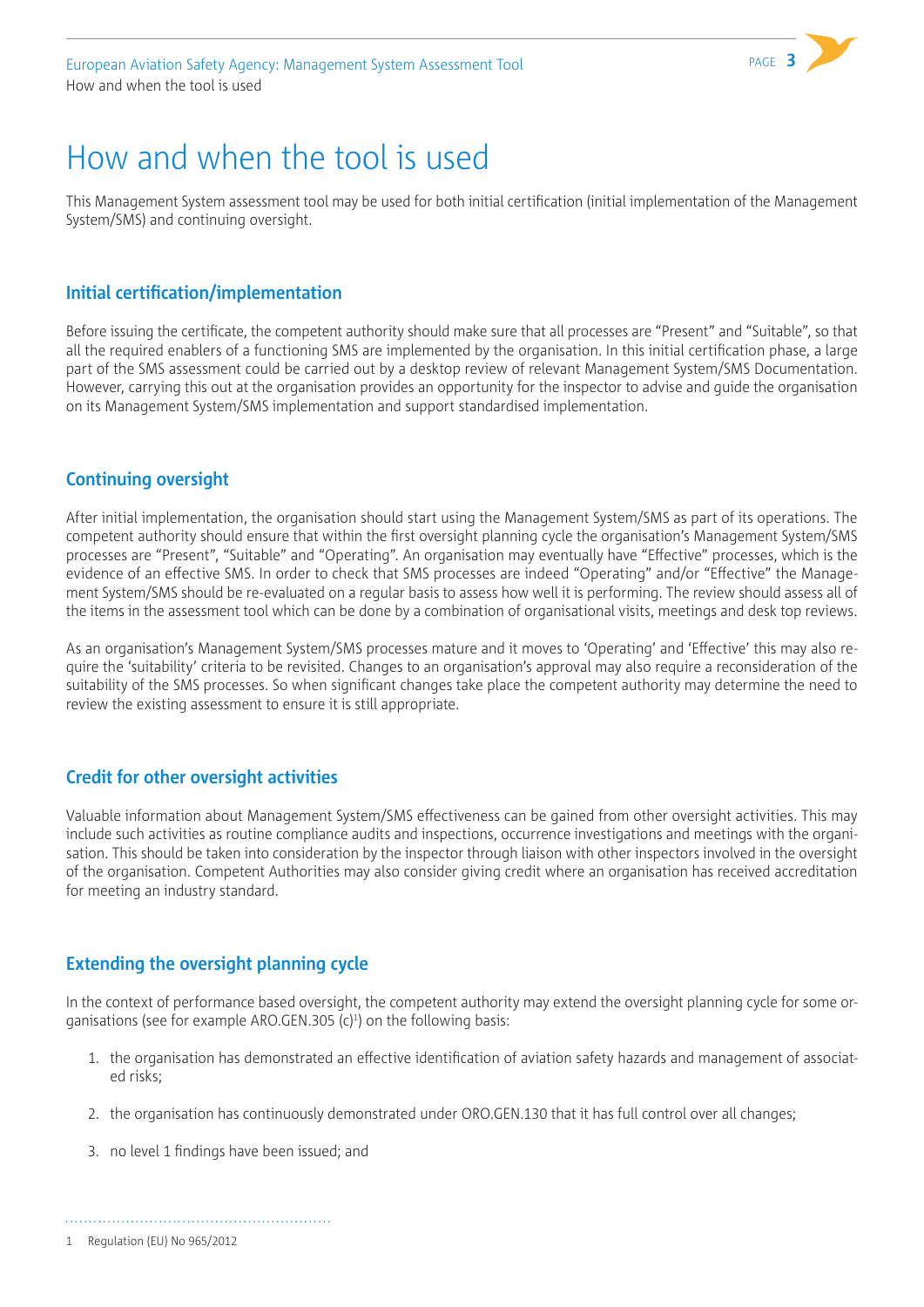

# <span id="page-4-0"></span>How and when the tool is used

This Management System assessment tool may be used for both initial certification (initial implementation of the Management System/SMS) and continuing oversight.

### **Initial certification/implementation**

Before issuing the certificate, the competent authority should make sure that all processes are "Present" and "Suitable", so that all the required enablers of a functioning SMS are implemented by the organisation. In this initial certification phase, a large part of the SMS assessment could be carried out by a desktop review of relevant Management System/SMS Documentation. However, carrying this out at the organisation provides an opportunity for the inspector to advise and guide the organisation on its Management System/SMS implementation and support standardised implementation.

# **Continuing oversight**

After initial implementation, the organisation should start using the Management System/SMS as part of its operations. The competent authority should ensure that within the first oversight planning cycle the organisation's Management System/SMS processes are "Present", "Suitable" and "Operating". An organisation may eventually have "Effective" processes, which is the evidence of an effective SMS. In order to check that SMS processes are indeed "Operating" and/or "Effective" the Management System/SMS should be re-evaluated on a regular basis to assess how well it is performing. The review should assess all of the items in the assessment tool which can be done by a combination of organisational visits, meetings and desk top reviews.

As an organisation's Management System/SMS processes mature and it moves to 'Operating' and 'Effective' this may also require the 'suitability' criteria to be revisited. Changes to an organisation's approval may also require a reconsideration of the suitability of the SMS processes. So when significant changes take place the competent authority may determine the need to review the existing assessment to ensure it is still appropriate.

# **Credit for other oversight activities**

Valuable information about Management System/SMS effectiveness can be gained from other oversight activities. This may include such activities as routine compliance audits and inspections, occurrence investigations and meetings with the organisation. This should be taken into consideration by the inspector through liaison with other inspectors involved in the oversight of the organisation. Competent Authorities may also consider giving credit where an organisation has received accreditation for meeting an industry standard.

### **Extending the oversight planning cycle**

In the context of performance based oversight, the competent authority may extend the oversight planning cycle for some organisations (see for example ARO.GEN.305 (c)<sup>1</sup>) on the following basis:

- 1. the organisation has demonstrated an effective identification of aviation safety hazards and management of associated risks;
- 2. the organisation has continuously demonstrated under ORO.GEN.130 that it has full control over all changes;
- 3. no level 1 findings have been issued; and

1 Regulation (EU) No 965/2012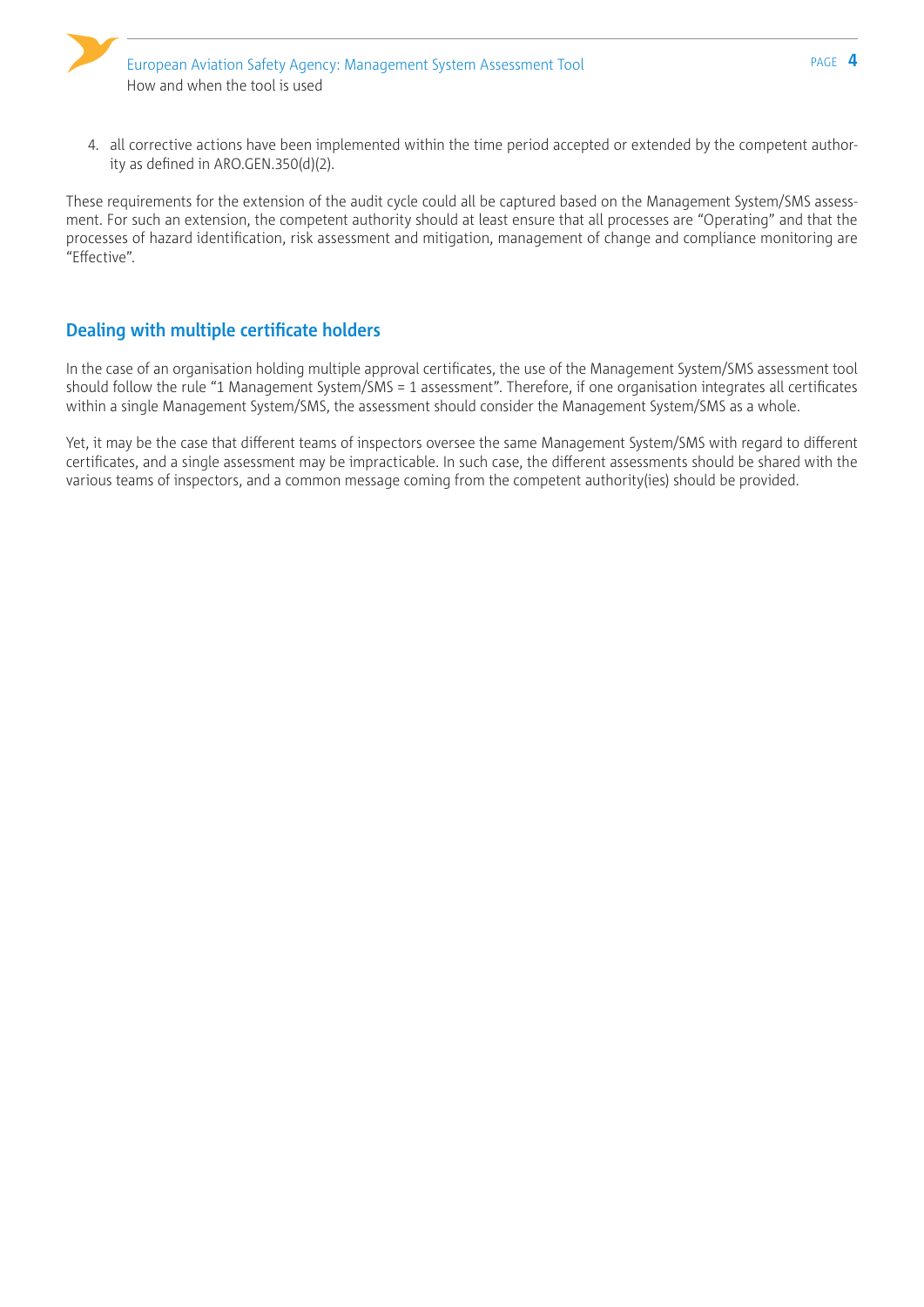4. all corrective actions have been implemented within the time period accepted or extended by the competent authority as defined in ARO.GEN.350(d)(2).

These requirements for the extension of the audit cycle could all be captured based on the Management System/SMS assessment. For such an extension, the competent authority should at least ensure that all processes are "Operating" and that the processes of hazard identification, risk assessment and mitigation, management of change and compliance monitoring are "Effective".

# **Dealing with multiple certificate holders**

In the case of an organisation holding multiple approval certificates, the use of the Management System/SMS assessment tool should follow the rule "1 Management System/SMS = 1 assessment". Therefore, if one organisation integrates all certificates within a single Management System/SMS, the assessment should consider the Management System/SMS as a whole.

Yet, it may be the case that different teams of inspectors oversee the same Management System/SMS with regard to different certificates, and a single assessment may be impracticable. In such case, the different assessments should be shared with the various teams of inspectors, and a common message coming from the competent authority(ies) should be provided.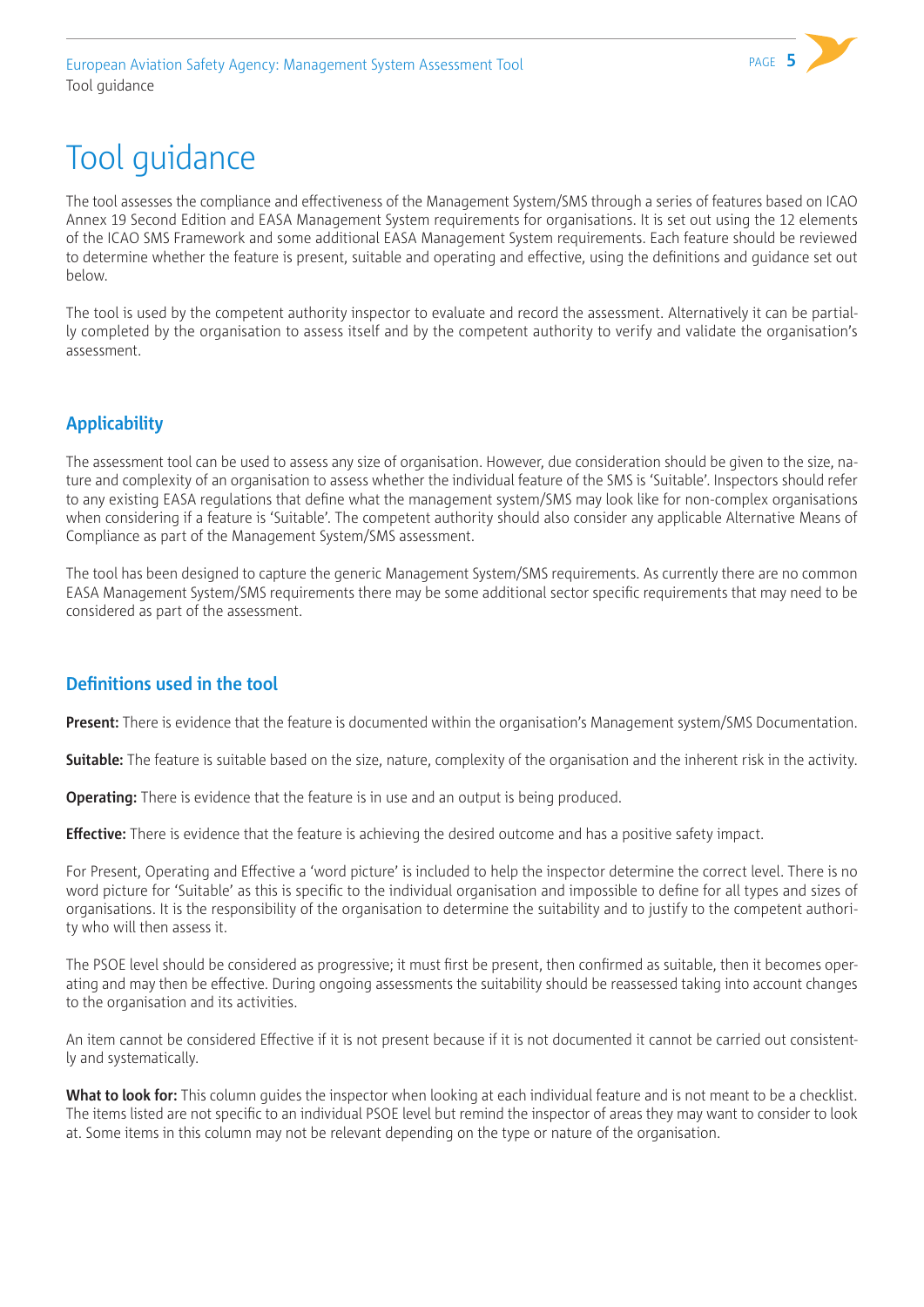

# <span id="page-6-0"></span>Tool guidance

The tool assesses the compliance and effectiveness of the Management System/SMS through a series of features based on ICAO Annex 19 Second Edition and EASA Management System requirements for organisations. It is set out using the 12 elements of the ICAO SMS Framework and some additional EASA Management System requirements. Each feature should be reviewed to determine whether the feature is present, suitable and operating and effective, using the definitions and guidance set out below.

The tool is used by the competent authority inspector to evaluate and record the assessment. Alternatively it can be partially completed by the organisation to assess itself and by the competent authority to verify and validate the organisation's assessment.

# **Applicability**

The assessment tool can be used to assess any size of organisation. However, due consideration should be given to the size, nature and complexity of an organisation to assess whether the individual feature of the SMS is 'Suitable'. Inspectors should refer to any existing EASA regulations that define what the management system/SMS may look like for non-complex organisations when considering if a feature is 'Suitable'. The competent authority should also consider any applicable Alternative Means of Compliance as part of the Management System/SMS assessment.

The tool has been designed to capture the generic Management System/SMS requirements. As currently there are no common EASA Management System/SMS requirements there may be some additional sector specific requirements that may need to be considered as part of the assessment.

# **Definitions used in the tool**

**Present:** There is evidence that the feature is documented within the organisation's Management system/SMS Documentation.

**Suitable:** The feature is suitable based on the size, nature, complexity of the organisation and the inherent risk in the activity.

**Operating:** There is evidence that the feature is in use and an output is being produced.

**Effective:** There is evidence that the feature is achieving the desired outcome and has a positive safety impact.

For Present, Operating and Effective a 'word picture' is included to help the inspector determine the correct level. There is no word picture for 'Suitable' as this is specific to the individual organisation and impossible to define for all types and sizes of organisations. It is the responsibility of the organisation to determine the suitability and to justify to the competent authority who will then assess it.

The PSOE level should be considered as progressive; it must first be present, then confirmed as suitable, then it becomes operating and may then be effective. During ongoing assessments the suitability should be reassessed taking into account changes to the organisation and its activities.

An item cannot be considered Effective if it is not present because if it is not documented it cannot be carried out consistently and systematically.

What to look for: This column quides the inspector when looking at each individual feature and is not meant to be a checklist. The items listed are not specific to an individual PSOE level but remind the inspector of areas they may want to consider to look at. Some items in this column may not be relevant depending on the type or nature of the organisation.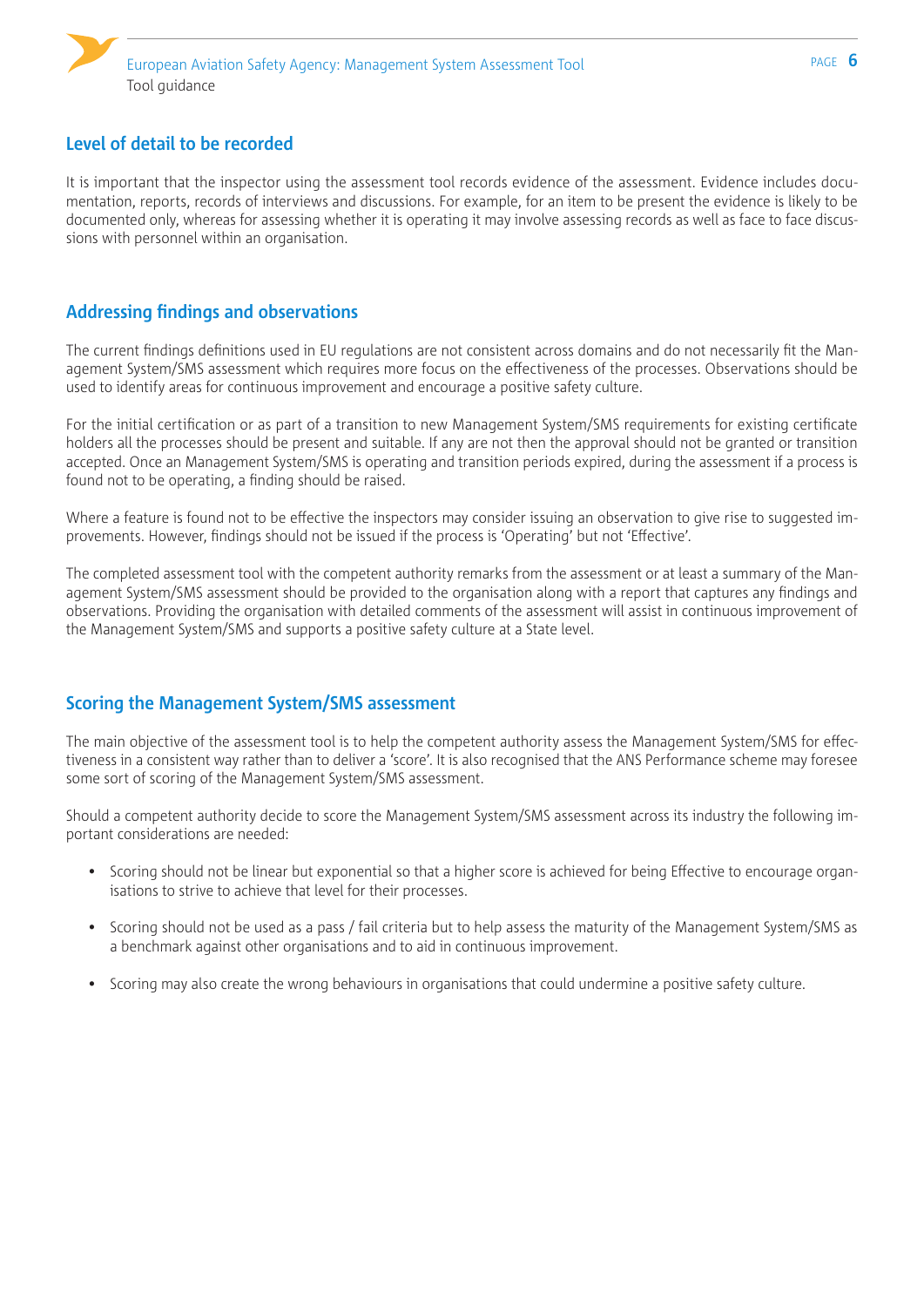

# **Level of detail to be recorded**

It is important that the inspector using the assessment tool records evidence of the assessment. Evidence includes documentation, reports, records of interviews and discussions. For example, for an item to be present the evidence is likely to be documented only, whereas for assessing whether it is operating it may involve assessing records as well as face to face discussions with personnel within an organisation.

# **Addressing findings and observations**

The current findings definitions used in EU regulations are not consistent across domains and do not necessarily fit the Management System/SMS assessment which requires more focus on the effectiveness of the processes. Observations should be used to identify areas for continuous improvement and encourage a positive safety culture.

For the initial certification or as part of a transition to new Management System/SMS requirements for existing certificate holders all the processes should be present and suitable. If any are not then the approval should not be granted or transition accepted. Once an Management System/SMS is operating and transition periods expired, during the assessment if a process is found not to be operating, a finding should be raised.

Where a feature is found not to be effective the inspectors may consider issuing an observation to give rise to suggested improvements. However, findings should not be issued if the process is 'Operating' but not 'Effective'.

The completed assessment tool with the competent authority remarks from the assessment or at least a summary of the Management System/SMS assessment should be provided to the organisation along with a report that captures any findings and observations. Providing the organisation with detailed comments of the assessment will assist in continuous improvement of the Management System/SMS and supports a positive safety culture at a State level.

# **Scoring the Management System/SMS assessment**

The main objective of the assessment tool is to help the competent authority assess the Management System/SMS for effectiveness in a consistent way rather than to deliver a 'score'. It is also recognised that the ANS Performance scheme may foresee some sort of scoring of the Management System/SMS assessment.

Should a competent authority decide to score the Management System/SMS assessment across its industry the following important considerations are needed:

- Scoring should not be linear but exponential so that a higher score is achieved for being Effective to encourage organisations to strive to achieve that level for their processes.
- Scoring should not be used as a pass / fail criteria but to help assess the maturity of the Management System/SMS as a benchmark against other organisations and to aid in continuous improvement.
- Scoring may also create the wrong behaviours in organisations that could undermine a positive safety culture.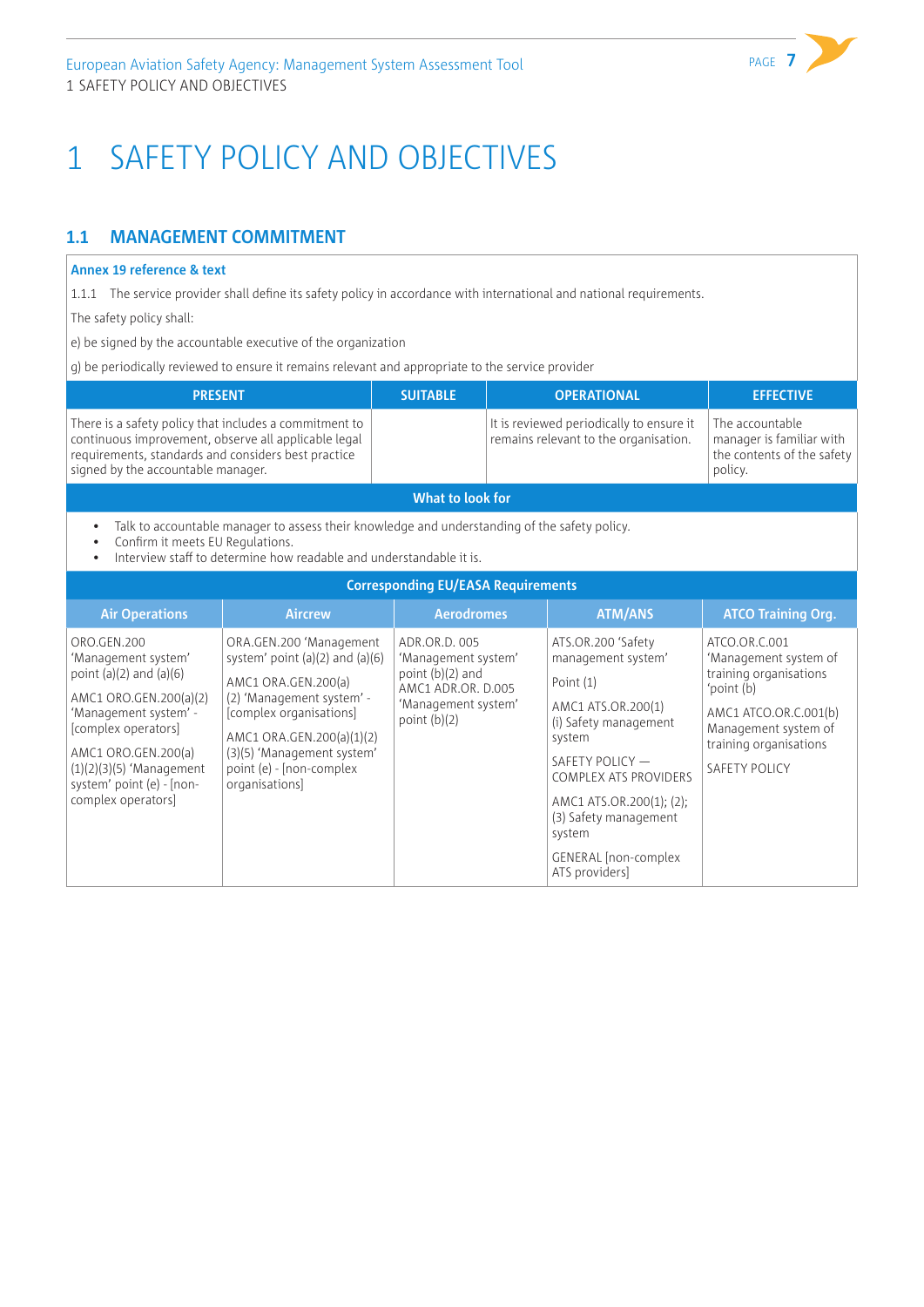# <span id="page-8-0"></span>1 SAFETY POLICY AND OBJECTIVES

# **1.1 MANAGEMENT COMMITMENT**

#### **Annex 19 reference & text**

1.1.1 The service provider shall define its safety policy in accordance with international and national requirements.

The safety policy shall:

e) be signed by the accountable executive of the organization

g) be periodically reviewed to ensure it remains relevant and appropriate to the service provider

| <b>PRESENT</b>                                                                                                                                                                                              | <b>SUITABLE</b> | <b>OPERATIONAL</b>                                                                | <b>EFFECTIVE</b>                                                                     |  |  |
|-------------------------------------------------------------------------------------------------------------------------------------------------------------------------------------------------------------|-----------------|-----------------------------------------------------------------------------------|--------------------------------------------------------------------------------------|--|--|
| There is a safety policy that includes a commitment to<br>continuous improvement, observe all applicable legal<br>requirements, standards and considers best practice<br>signed by the accountable manager. |                 | It is reviewed periodically to ensure it<br>remains relevant to the organisation. | The accountable<br>manager is familiar with<br>the contents of the safety<br>policy. |  |  |
| What to look for                                                                                                                                                                                            |                 |                                                                                   |                                                                                      |  |  |

• Talk to accountable manager to assess their knowledge and understanding of the safety policy.

• Confirm it meets EU Regulations.

Interview staff to determine how readable and understandable it is.

| <b>Corresponding EU/EASA Requirements</b>                                                                                                                                                                                                           |                                                                                                                                                                                                                                                        |                                                                                                                           |                                                                                                                                                                                                                                                                                   |                                                                                                                                                                                   |  |  |
|-----------------------------------------------------------------------------------------------------------------------------------------------------------------------------------------------------------------------------------------------------|--------------------------------------------------------------------------------------------------------------------------------------------------------------------------------------------------------------------------------------------------------|---------------------------------------------------------------------------------------------------------------------------|-----------------------------------------------------------------------------------------------------------------------------------------------------------------------------------------------------------------------------------------------------------------------------------|-----------------------------------------------------------------------------------------------------------------------------------------------------------------------------------|--|--|
| <b>Air Operations</b>                                                                                                                                                                                                                               | <b>Aircrew</b>                                                                                                                                                                                                                                         | <b>Aerodromes</b>                                                                                                         | <b>ATM/ANS</b>                                                                                                                                                                                                                                                                    | <b>ATCO Training Org.</b>                                                                                                                                                         |  |  |
| ORO.GEN.200<br>'Management system'<br>point $(a)(2)$ and $(a)(6)$<br>AMC1 ORO.GEN.200(a)(2)<br>'Management system' -<br>[complex operators]<br>AMC1 ORO.GEN.200(a)<br>$(1)(2)(3)(5)$ 'Management<br>system' point (e) - [non-<br>complex operators] | ORA.GEN.200 'Management<br>system' point $(a)(2)$ and $(a)(6)$<br>AMC1 ORA.GEN.200(a)<br>(2) 'Management system' -<br>[complex organisations]<br>AMC1 ORA.GEN.200(a)(1)(2)<br>(3)(5) 'Management system'<br>point (e) - [non-complex<br>organisations] | ADR.OR.D. 005<br>'Management system'<br>point $(b)(2)$ and<br>AMC1 ADR.OR. D.005<br>'Management system'<br>point $(b)(2)$ | ATS.OR.200 'Safety<br>management system'<br>Point (1)<br>AMC1 ATS.OR.200(1)<br>(i) Safety management<br>system<br>SAFETY POLICY -<br><b>COMPLEX ATS PROVIDERS</b><br>AMC1 ATS.OR.200(1); (2);<br>(3) Safety management<br>system<br><b>GENERAL</b> [non-complex<br>ATS providers] | ATCO.OR.C.001<br>'Management system of<br>training organisations<br>'point (b)<br>AMC1 ATCO.OR.C.001(b)<br>Management system of<br>training organisations<br><b>SAFETY POLICY</b> |  |  |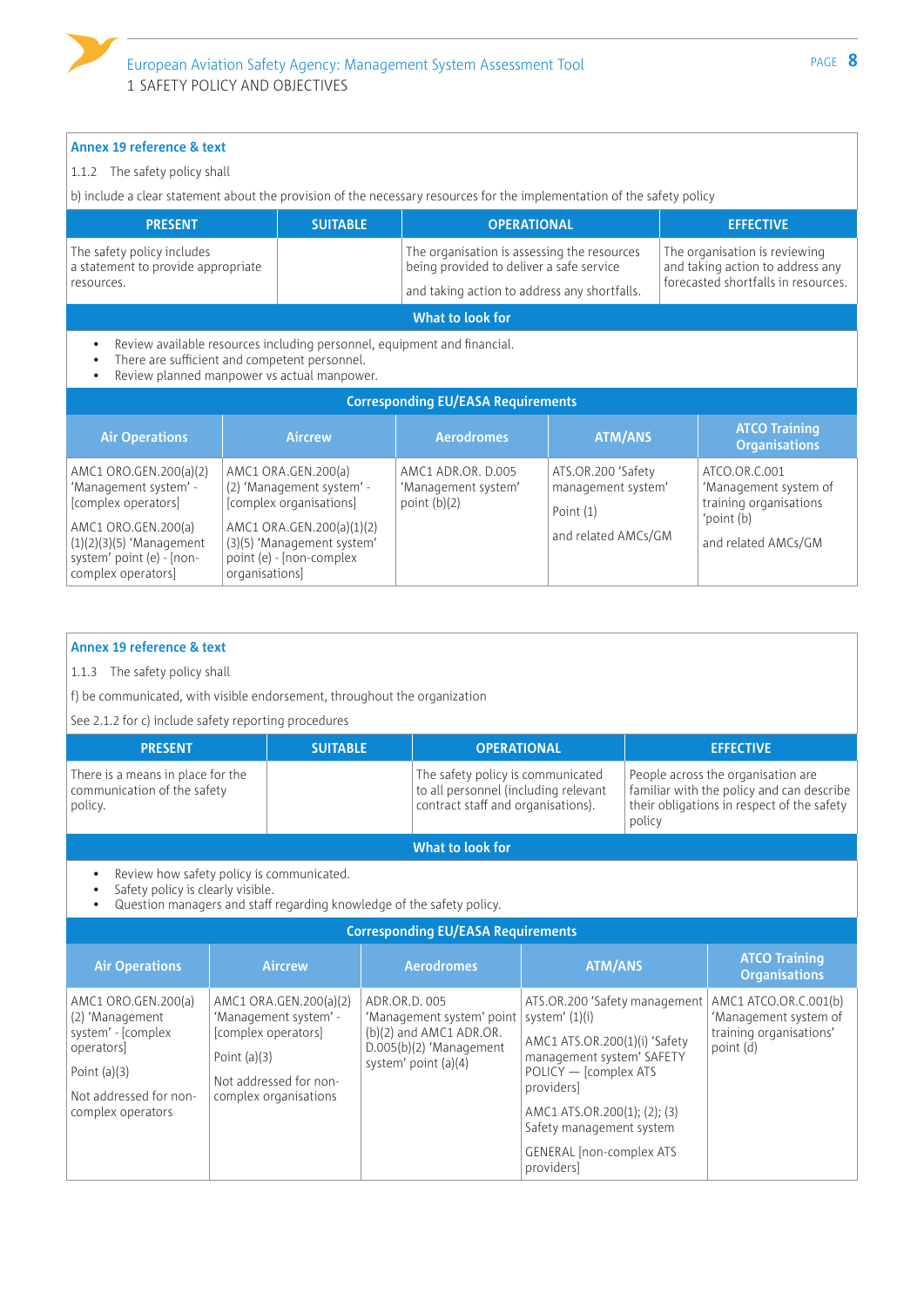#### 1.1.2 The safety policy shall

b) include a clear statement about the provision of the necessary resources for the implementation of the safety policy

| <b>PRESENT</b>                                                                                       |                                                                                                                                                                          | <b>SUITABLE</b>                                                                     | <b>OPERATIONAL</b>                                                                                                                      |                                                         |                                                                                                          | <b>EFFECTIVE</b>                                                 |  |
|------------------------------------------------------------------------------------------------------|--------------------------------------------------------------------------------------------------------------------------------------------------------------------------|-------------------------------------------------------------------------------------|-----------------------------------------------------------------------------------------------------------------------------------------|---------------------------------------------------------|----------------------------------------------------------------------------------------------------------|------------------------------------------------------------------|--|
| The safety policy includes<br>a statement to provide appropriate<br>resources.                       |                                                                                                                                                                          |                                                                                     | The organisation is assessing the resources<br>being provided to deliver a safe service<br>and taking action to address any shortfalls. |                                                         | The organisation is reviewing<br>and taking action to address any<br>forecasted shortfalls in resources. |                                                                  |  |
|                                                                                                      |                                                                                                                                                                          |                                                                                     | What to look for                                                                                                                        |                                                         |                                                                                                          |                                                                  |  |
|                                                                                                      | Review available resources including personnel, equipment and financial.<br>There are sufficient and competent personnel.<br>Review planned manpower vs actual manpower. |                                                                                     |                                                                                                                                         |                                                         |                                                                                                          |                                                                  |  |
|                                                                                                      |                                                                                                                                                                          |                                                                                     | <b>Corresponding EU/EASA Requirements</b>                                                                                               |                                                         |                                                                                                          |                                                                  |  |
| <b>Air Operations</b>                                                                                |                                                                                                                                                                          | <b>Aircrew</b>                                                                      | <b>Aerodromes</b>                                                                                                                       | <b>ATM/ANS</b>                                          |                                                                                                          | <b>ATCO Training</b><br><b>Organisations</b>                     |  |
| AMC1 ORO.GEN.200(a)(2)<br>'Management system' -<br>[complex operators]                               |                                                                                                                                                                          | AMC1 ORA.GEN.200(a)<br>(2) 'Management system' -<br>[complex organisations]         | AMC1 ADR.OR. D.005<br>'Management system'<br>point $(b)(2)$                                                                             | ATS.OR.200 'Safety<br>management system'<br>Point $(1)$ |                                                                                                          | ATCO.OR.C.001<br>'Management system of<br>training organisations |  |
| AMC1 ORO.GEN.200(a)<br>$(1)(2)(3)(5)$ 'Management<br>system' point (e) - [non-<br>complex operators] | organisations                                                                                                                                                            | AMC1 ORA.GEN.200(a)(1)(2)<br>(3)(5) 'Management system'<br>point (e) - [non-complex |                                                                                                                                         | and related AMCs/GM                                     |                                                                                                          | 'point (b)<br>and related AMCs/GM                                |  |

#### **Annex 19 reference & text**

1.1.3 The safety policy shall

f) be communicated, with visible endorsement, throughout the organization

See 2.1.2 for c) include safety reporting procedures

| <b>PRESENT</b>                                                              | <b>SUITABLE</b> | <b>OPERATIONAL</b>                                                                                              | <b>EFFECTIVE</b>                                                                                                                        |
|-----------------------------------------------------------------------------|-----------------|-----------------------------------------------------------------------------------------------------------------|-----------------------------------------------------------------------------------------------------------------------------------------|
| There is a means in place for the<br>communication of the safety<br>policy. |                 | The safety policy is communicated<br>to all personnel (including relevant<br>contract staff and organisations). | People across the organisation are<br>familiar with the policy and can describe<br>their obligations in respect of the safety<br>policy |
|                                                                             |                 | What to look for                                                                                                |                                                                                                                                         |
| Review how safety policy is communicated.                                   |                 |                                                                                                                 |                                                                                                                                         |

• Safety policy is clearly visible.

• Question managers and staff regarding knowledge of the safety policy.

#### **Corresponding EU/EASA Requirements**

| <b>Air Operations</b>                                                                                                                       | <b>Aircrew</b>                                                                                                                              | <b>Aerodromes</b>                                                                                                                           | <b>ATM/ANS</b>                                                                                                                                                                                                                                   | <b>ATCO Training</b><br><b>Organisations</b>                                           |
|---------------------------------------------------------------------------------------------------------------------------------------------|---------------------------------------------------------------------------------------------------------------------------------------------|---------------------------------------------------------------------------------------------------------------------------------------------|--------------------------------------------------------------------------------------------------------------------------------------------------------------------------------------------------------------------------------------------------|----------------------------------------------------------------------------------------|
| AMC1 ORO.GEN.200(a)<br>(2) 'Management<br>system' - [complex<br>operators]<br>Point $(a)(3)$<br>Not addressed for non-<br>complex operators | AMC1 ORA.GEN.200(a)(2)<br>'Management system' -<br>[complex operators]<br>Point $(a)(3)$<br>Not addressed for non-<br>complex organisations | ADR.OR.D. 005<br>'Management system' point   system' (1)(i)<br>(b)(2) and AMC1 ADR.OR.<br>$D.005(b)(2)$ 'Management<br>system' point (a)(4) | ATS.OR.200 'Safety management<br>AMC1 ATS.OR.200(1)(i) 'Safety<br>management system' SAFETY<br>POLICY - [complex ATS<br>providers]<br>AMC1 ATS.OR.200(1); (2); (3)<br>Safety management system<br><b>GENERAL</b> [non-complex ATS]<br>providersl | AMC1 ATCO.OR.C.001(b)<br>'Management system of<br>training organisations'<br>point (d) |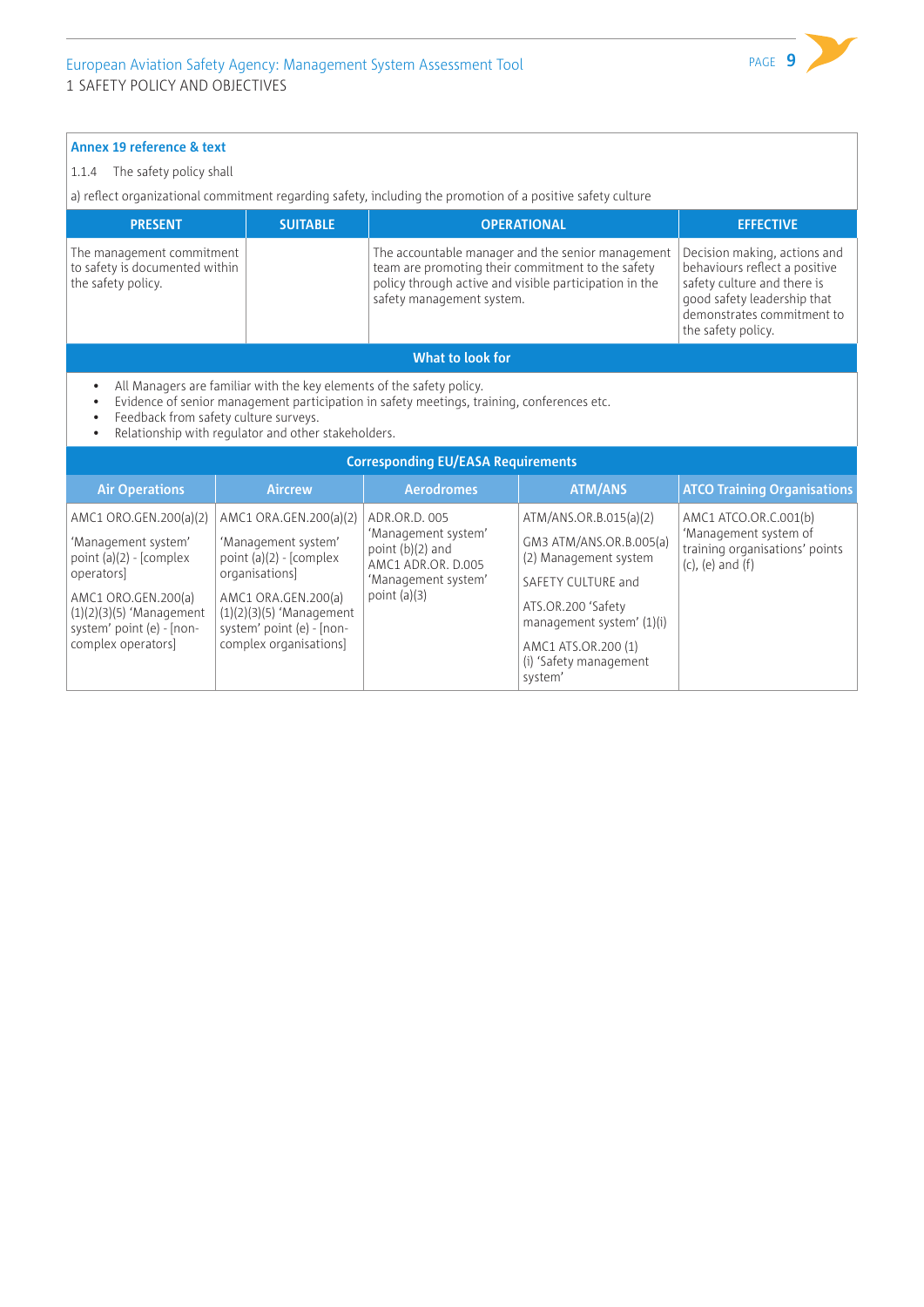#### 1.1.4 The safety policy shall

a) reflect organizational commitment regarding safety, including the promotion of a positive safety culture

| <b>PRESENT</b>                                                                    | <b>SUITABLE</b> | <b>OPERATIONAL</b>                                                                                                                                                                            | <b>EFFECTIVE</b>                                                                                                                                                                |  |  |  |
|-----------------------------------------------------------------------------------|-----------------|-----------------------------------------------------------------------------------------------------------------------------------------------------------------------------------------------|---------------------------------------------------------------------------------------------------------------------------------------------------------------------------------|--|--|--|
| The management commitment<br>to safety is documented within<br>the safety policy. |                 | The accountable manager and the senior management<br>team are promoting their commitment to the safety<br>policy through active and visible participation in the<br>safety management system. | Decision making, actions and<br>behaviours reflect a positive<br>safety culture and there is<br>good safety leadership that<br>demonstrates commitment to<br>the safety policy. |  |  |  |
| What to look for                                                                  |                 |                                                                                                                                                                                               |                                                                                                                                                                                 |  |  |  |

• All Managers are familiar with the key elements of the safety policy.<br>• Evidence of senior management participation in safety meetings, tra

• Evidence of senior management participation in safety meetings, training, conferences etc.

• Feedback from safety culture surveys.<br>• Relationship with requiator and other

• Relationship with regulator and other stakeholders.

| <b>Corresponding EU/EASA Requirements</b>                                                                                                                                                       |                                                                                                                                                                                                          |                                                                                                                           |                                                                                                                                                                                                                 |                                                                                                             |  |  |
|-------------------------------------------------------------------------------------------------------------------------------------------------------------------------------------------------|----------------------------------------------------------------------------------------------------------------------------------------------------------------------------------------------------------|---------------------------------------------------------------------------------------------------------------------------|-----------------------------------------------------------------------------------------------------------------------------------------------------------------------------------------------------------------|-------------------------------------------------------------------------------------------------------------|--|--|
| <b>Air Operations</b>                                                                                                                                                                           | <b>Aircrew</b>                                                                                                                                                                                           | <b>Aerodromes</b>                                                                                                         | <b>ATM/ANS</b>                                                                                                                                                                                                  | <b>ATCO Training Organisations</b>                                                                          |  |  |
| AMC1 ORO.GEN.200(a)(2)<br>'Management system'<br>point $(a)(2)$ - [complex<br>operators<br>AMC1 ORO.GEN.200(a)<br>$(1)(2)(3)(5)$ 'Management<br>system' point (e) - [non-<br>complex operators] | AMC1 ORA.GEN.200(a)(2)<br>'Management system'<br>point $(a)(2)$ - [complex<br>organisations]<br>AMC1 ORA.GEN.200(a)<br>$(1)(2)(3)(5)$ 'Management<br>system' point (e) - [non-<br>complex organisations] | ADR.OR.D. 005<br>'Management system'<br>point $(b)(2)$ and<br>AMC1 ADR.OR. D.005<br>'Management system'<br>point $(a)(3)$ | ATM/ANS.OR.B.015(a)(2)<br>GM3 ATM/ANS.OR.B.005(a)<br>(2) Management system<br>SAFETY CULTURE and<br>ATS.OR.200 'Safety<br>management system' (1)(i)<br>AMC1 ATS.OR.200 (1)<br>(i) 'Safety management<br>system' | AMC1 ATCO.OR.C.001(b)<br>'Management system of<br>training organisations' points<br>$(c)$ , $(e)$ and $(f)$ |  |  |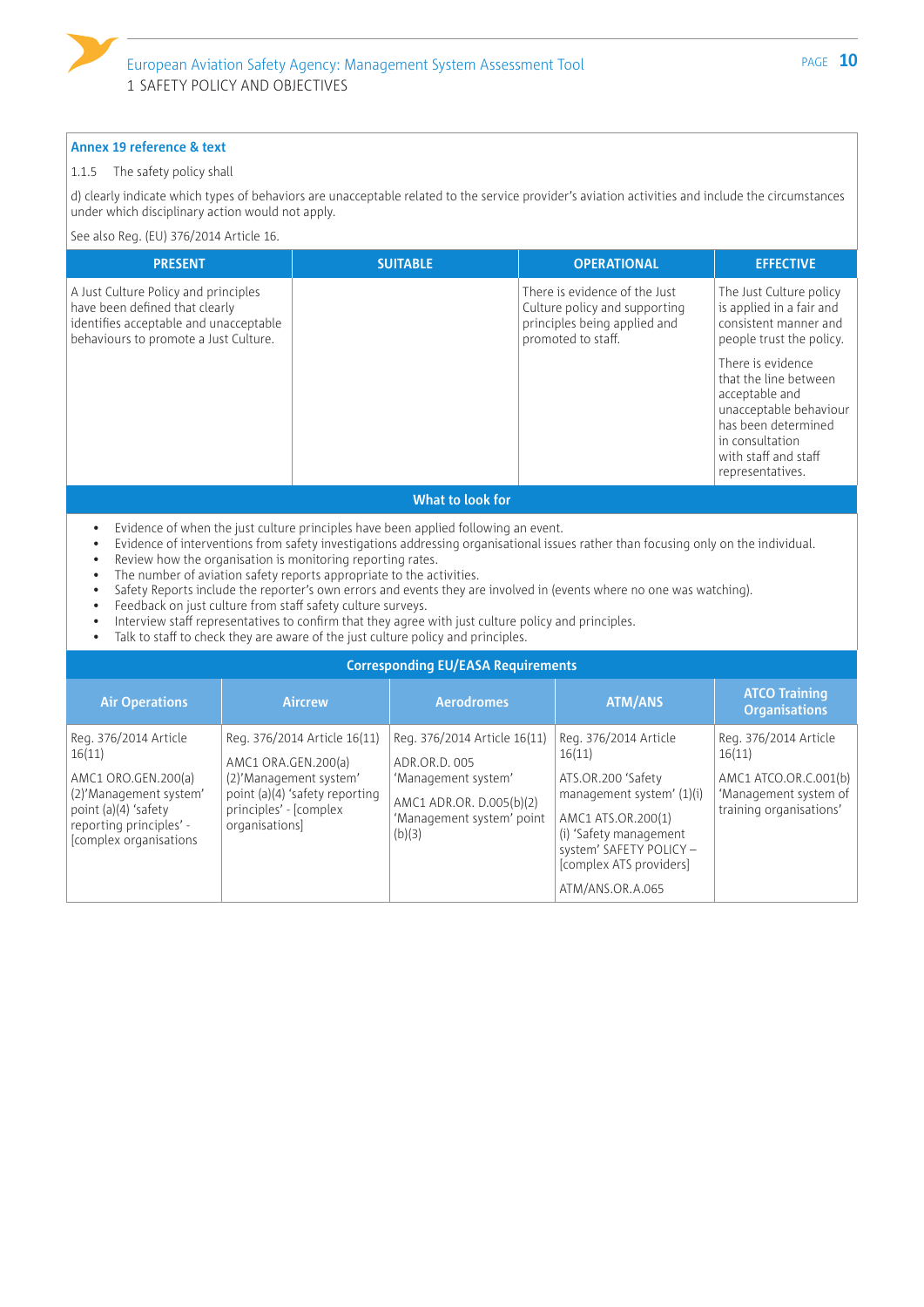

#### 1.1.5 The safety policy shall

d) clearly indicate which types of behaviors are unacceptable related to the service provider's aviation activities and include the circumstances under which disciplinary action would not apply.

See also Reg. (EU) 376/2014 Article 16.

| <b>PRESENT</b>                                                                                                                                            | <b>SUITABLE</b> | <b>OPERATIONAL</b>                                                                                                   | <b>EFFECTIVE</b>                                                                                                                                        |
|-----------------------------------------------------------------------------------------------------------------------------------------------------------|-----------------|----------------------------------------------------------------------------------------------------------------------|---------------------------------------------------------------------------------------------------------------------------------------------------------|
| A Just Culture Policy and principles<br>have been defined that clearly<br>identifies acceptable and unacceptable<br>behaviours to promote a Just Culture. |                 | There is evidence of the Just<br>Culture policy and supporting<br>principles being applied and<br>promoted to staff. | The Just Culture policy<br>is applied in a fair and<br>consistent manner and<br>people trust the policy.<br>There is evidence                           |
|                                                                                                                                                           |                 |                                                                                                                      | that the line between<br>acceptable and<br>unacceptable behaviour<br>has been determined<br>in consultation<br>with staff and staff<br>representatives. |

#### **What to look for**

- Evidence of when the just culture principles have been applied following an event.
- Evidence of interventions from safety investigations addressing organisational issues rather than focusing only on the individual.
- Review how the organisation is monitoring reporting rates.
- The number of aviation safety reports appropriate to the activities.
- Safety Reports include the reporter's own errors and events they are involved in (events where no one was watching).
- Feedback on just culture from staff safety culture surveys.
- Interview staff representatives to confirm that they agree with just culture policy and principles.<br>• Talk to staff to check they are aware of the just culture policy and principles
- Talk to staff to check they are aware of the just culture policy and principles.

| <b>Corresponding EU/EASA Requirements</b>                                                                                                                     |                                                                                                                                                             |                                                                                                                                         |                                                                                                                                                                                                              |                                                                                                              |  |  |
|---------------------------------------------------------------------------------------------------------------------------------------------------------------|-------------------------------------------------------------------------------------------------------------------------------------------------------------|-----------------------------------------------------------------------------------------------------------------------------------------|--------------------------------------------------------------------------------------------------------------------------------------------------------------------------------------------------------------|--------------------------------------------------------------------------------------------------------------|--|--|
| <b>Air Operations</b>                                                                                                                                         | <b>Aircrew</b>                                                                                                                                              | <b>Aerodromes</b>                                                                                                                       | <b>ATM/ANS</b>                                                                                                                                                                                               | <b>ATCO Training</b><br><b>Organisations</b>                                                                 |  |  |
| Reg. 376/2014 Article<br>16(11)<br>AMC1 ORO.GEN.200(a)<br>(2)'Management system'<br>point (a)(4) 'safety<br>reporting principles' -<br>[complex organisations | Reg. 376/2014 Article 16(11)<br>AMC1 ORA.GEN.200(a)<br>(2)'Management system'<br>point (a)(4) 'safety reporting<br>principles' - [complex<br>organisations] | Reg. 376/2014 Article 16(11)<br>ADR.OR.D. 005<br>'Management system'<br>AMC1 ADR.OR. D.005(b)(2)<br>'Management system' point<br>(b)(3) | Reg. 376/2014 Article<br>16(11)<br>ATS.OR.200 'Safety<br>management system' (1)(i)<br>AMC1 ATS.OR.200(1)<br>(i) 'Safety management<br>system' SAFETY POLICY -<br>[complex ATS providers]<br>ATM/ANS.OR.A.065 | Reg. 376/2014 Article<br>16(11)<br>AMC1 ATCO.OR.C.001(b)<br>'Management system of<br>training organisations' |  |  |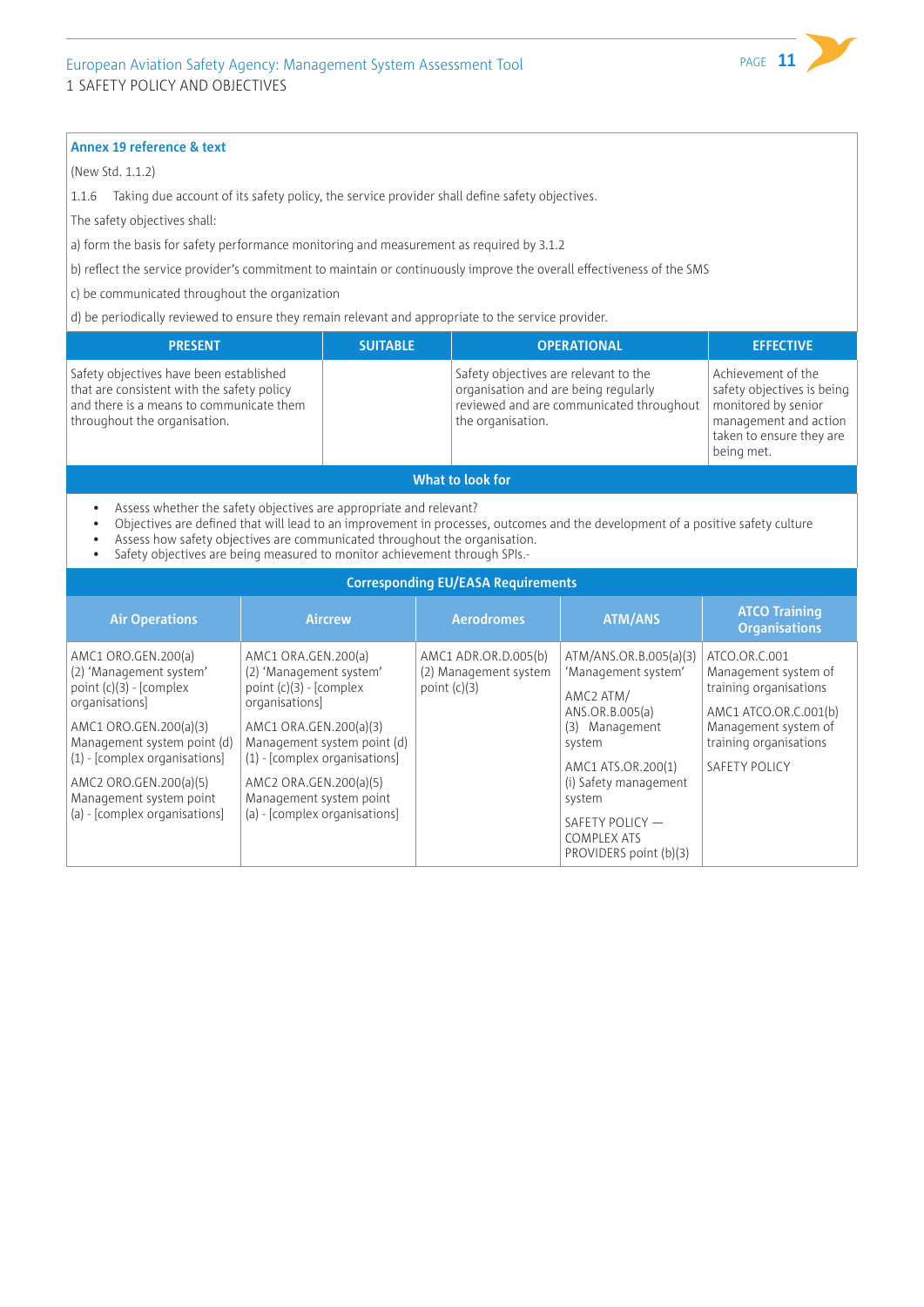(New Std. 1.1.2)

1.1.6 Taking due account of its safety policy, the service provider shall define safety objectives.

The safety objectives shall:

a) form the basis for safety performance monitoring and measurement as required by 3.1.2

b) reflect the service provider's commitment to maintain or continuously improve the overall effectiveness of the SMS

c) be communicated throughout the organization

d) be periodically reviewed to ensure they remain relevant and appropriate to the service provider.

| <b>PRESENT</b>                                                                                                                                                    | <b>SUITABLE</b> | <b>OPERATIONAL</b>                                                                                                                             | <b>EFFECTIVE</b>                                                                                                                           |
|-------------------------------------------------------------------------------------------------------------------------------------------------------------------|-----------------|------------------------------------------------------------------------------------------------------------------------------------------------|--------------------------------------------------------------------------------------------------------------------------------------------|
| Safety objectives have been established<br>that are consistent with the safety policy<br>and there is a means to communicate them<br>throughout the organisation. |                 | Safety objectives are relevant to the<br>organisation and are being regularly<br>reviewed and are communicated throughout<br>the organisation. | Achievement of the<br>safety objectives is being<br>monitored by senior<br>management and action<br>taken to ensure they are<br>being met. |
|                                                                                                                                                                   |                 |                                                                                                                                                |                                                                                                                                            |

**What to look for**

- Assess whether the safety objectives are appropriate and relevant?
- Objectives are defined that will lead to an improvement in processes, outcomes and the development of a positive safety culture
- Assess how safety objectives are communicated throughout the organisation.
- Safety objectives are being measured to monitor achievement through SPIs.-

| <b>Corresponding EU/EASA Requirements</b>                                                                                                                                                                                                                                      |                                                                                                                                                                                                                                                                                |                                                                 |                                                                                                                                                                                                                                          |                                                                                                                                                             |  |  |
|--------------------------------------------------------------------------------------------------------------------------------------------------------------------------------------------------------------------------------------------------------------------------------|--------------------------------------------------------------------------------------------------------------------------------------------------------------------------------------------------------------------------------------------------------------------------------|-----------------------------------------------------------------|------------------------------------------------------------------------------------------------------------------------------------------------------------------------------------------------------------------------------------------|-------------------------------------------------------------------------------------------------------------------------------------------------------------|--|--|
| <b>Air Operations</b>                                                                                                                                                                                                                                                          | <b>Aircrew</b>                                                                                                                                                                                                                                                                 | <b>Aerodromes</b>                                               | <b>ATM/ANS</b>                                                                                                                                                                                                                           | <b>ATCO Training</b><br><b>Organisations</b>                                                                                                                |  |  |
| AMC1 ORO.GEN.200(a)<br>(2) 'Management system'<br>point $(c)(3)$ - [complex<br>organisations<br>AMC1 ORO.GEN.200(a)(3)<br>Management system point (d)<br>$(1)$ - [complex organisations]<br>AMC2 ORO.GEN.200(a)(5)<br>Management system point<br>(a) - [complex organisations] | AMC1 ORA.GEN.200(a)<br>(2) 'Management system'<br>point $(c)(3)$ - [complex<br>organisations<br>AMC1 ORA.GEN.200(a)(3)<br>Management system point (d)<br>$(1)$ - [complex organisations]<br>AMC2 ORA.GEN.200(a)(5)<br>Management system point<br>(a) - [complex organisations] | AMC1 ADR.OR.D.005(b)<br>(2) Management system<br>point $(c)(3)$ | ATM/ANS.OR.B.005(a)(3)<br>'Management system'<br>AMC2 ATM/<br>ANS.OR.B.005(a)<br>Management<br>(3)<br>system<br>AMC1 ATS.OR.200(1)<br>(i) Safety management<br>system<br>SAFETY POLICY -<br><b>COMPLEX ATS</b><br>PROVIDERS point (b)(3) | ATCO.OR.C.001<br>Management system of<br>training organisations<br>AMC1 ATCO.OR.C.001(b)<br>Management system of<br>training organisations<br>SAFETY POLICY |  |  |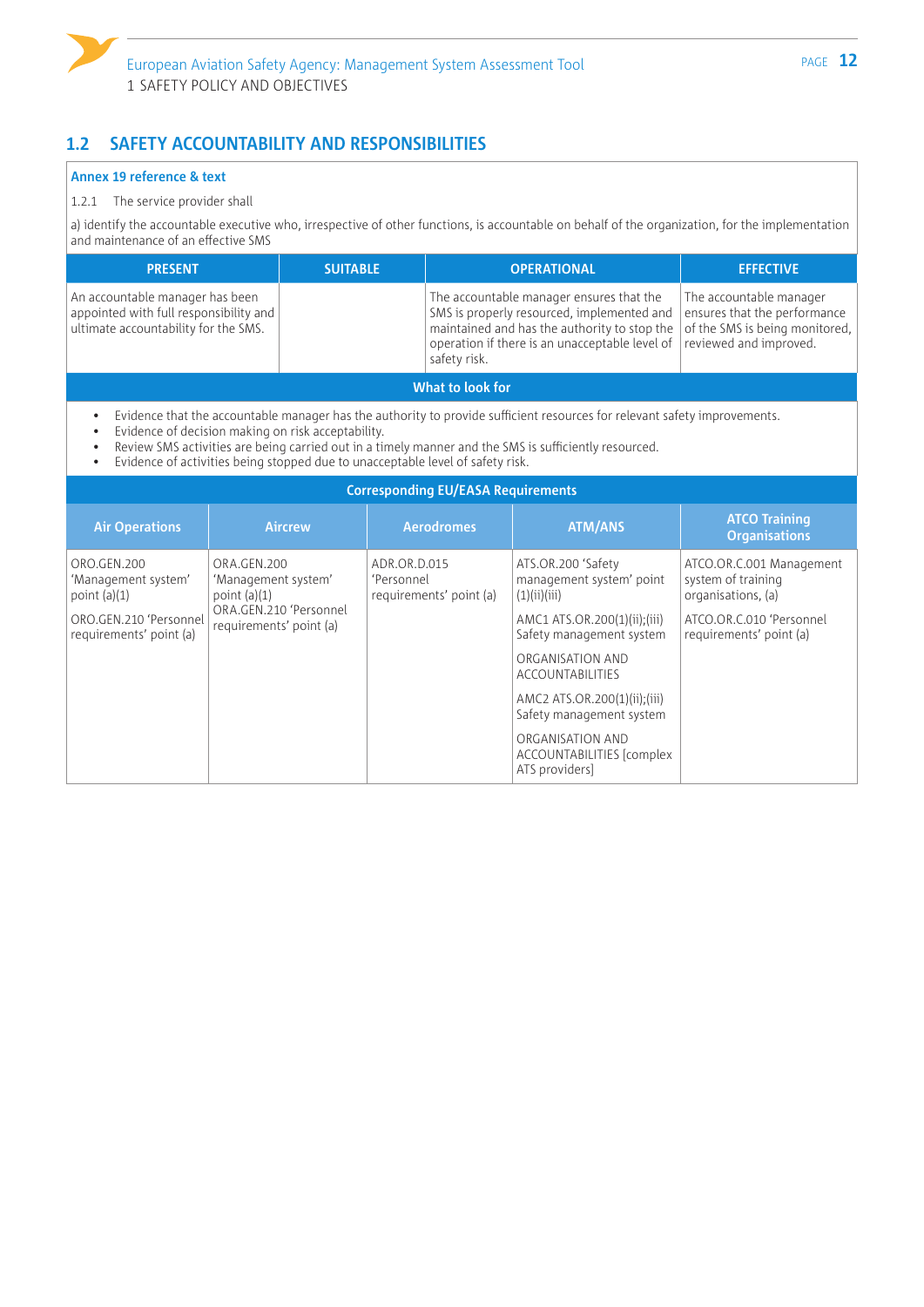# **1.2 SAFETY ACCOUNTABILITY AND RESPONSIBILITIES**

#### **Annex 19 reference & text**

#### 1.2.1 The service provider shall

a) identify the accountable executive who, irrespective of other functions, is accountable on behalf of the organization, for the implementation and maintenance of an effective SMS

| <b>PRESENT</b>                                                                                                    | <b>SUITABLE</b> | <b>OPERATIONAL</b>                                                                                                                                                                                       | <b>EFFECTIVE</b>                                                                                                    |  |
|-------------------------------------------------------------------------------------------------------------------|-----------------|----------------------------------------------------------------------------------------------------------------------------------------------------------------------------------------------------------|---------------------------------------------------------------------------------------------------------------------|--|
| An accountable manager has been<br>appointed with full responsibility and<br>ultimate accountability for the SMS. |                 | The accountable manager ensures that the<br>SMS is properly resourced, implemented and<br>maintained and has the authority to stop the<br>operation if there is an unacceptable level of<br>safety risk. | The accountable manager<br>ensures that the performance<br>of the SMS is being monitored,<br>reviewed and improved. |  |
| What to look for                                                                                                  |                 |                                                                                                                                                                                                          |                                                                                                                     |  |

• Evidence that the accountable manager has the authority to provide sufficient resources for relevant safety improvements.

• Evidence of decision making on risk acceptability.

• Review SMS activities are being carried out in a timely manner and the SMS is sufficiently resourced.<br>• Evidence of activities being stopped due to unacceptable level of safety risk.

• Evidence of activities being stopped due to unacceptable level of safety risk.

| <b>Corresponding EU/EASA Requirements</b>            |                                                      |                                                       |                                                                 |                                                                      |  |  |
|------------------------------------------------------|------------------------------------------------------|-------------------------------------------------------|-----------------------------------------------------------------|----------------------------------------------------------------------|--|--|
| <b>Air Operations</b>                                | <b>Aircrew</b>                                       | <b>Aerodromes</b>                                     | <b>ATM/ANS</b>                                                  | <b>ATCO Training</b><br><b>Organisations</b>                         |  |  |
| ORO.GEN.200<br>'Management system'<br>point $(a)(1)$ | ORA.GEN.200<br>'Management system'<br>point $(a)(1)$ | ADR.OR.D.015<br>'Personnel<br>requirements' point (a) | ATS.OR.200 'Safety<br>management system' point<br>(1)(ii)(iii)  | ATCO.OR.C.001 Management<br>system of training<br>organisations, (a) |  |  |
| ORO.GEN.210 'Personnel<br>requirements' point (a)    | ORA.GEN.210 'Personnel<br>requirements' point (a)    |                                                       | AMC1 ATS.OR.200(1)(ii);(iii)<br>Safety management system        | ATCO.OR.C.010 'Personnel<br>requirements' point (a)                  |  |  |
|                                                      |                                                      |                                                       | ORGANISATION AND<br><b>ACCOUNTABILITIES</b>                     |                                                                      |  |  |
|                                                      |                                                      |                                                       | AMC2 ATS.OR.200(1)(ii);(iii)<br>Safety management system        |                                                                      |  |  |
|                                                      |                                                      |                                                       | ORGANISATION AND<br>ACCOUNTABILITIES [complex<br>ATS providers] |                                                                      |  |  |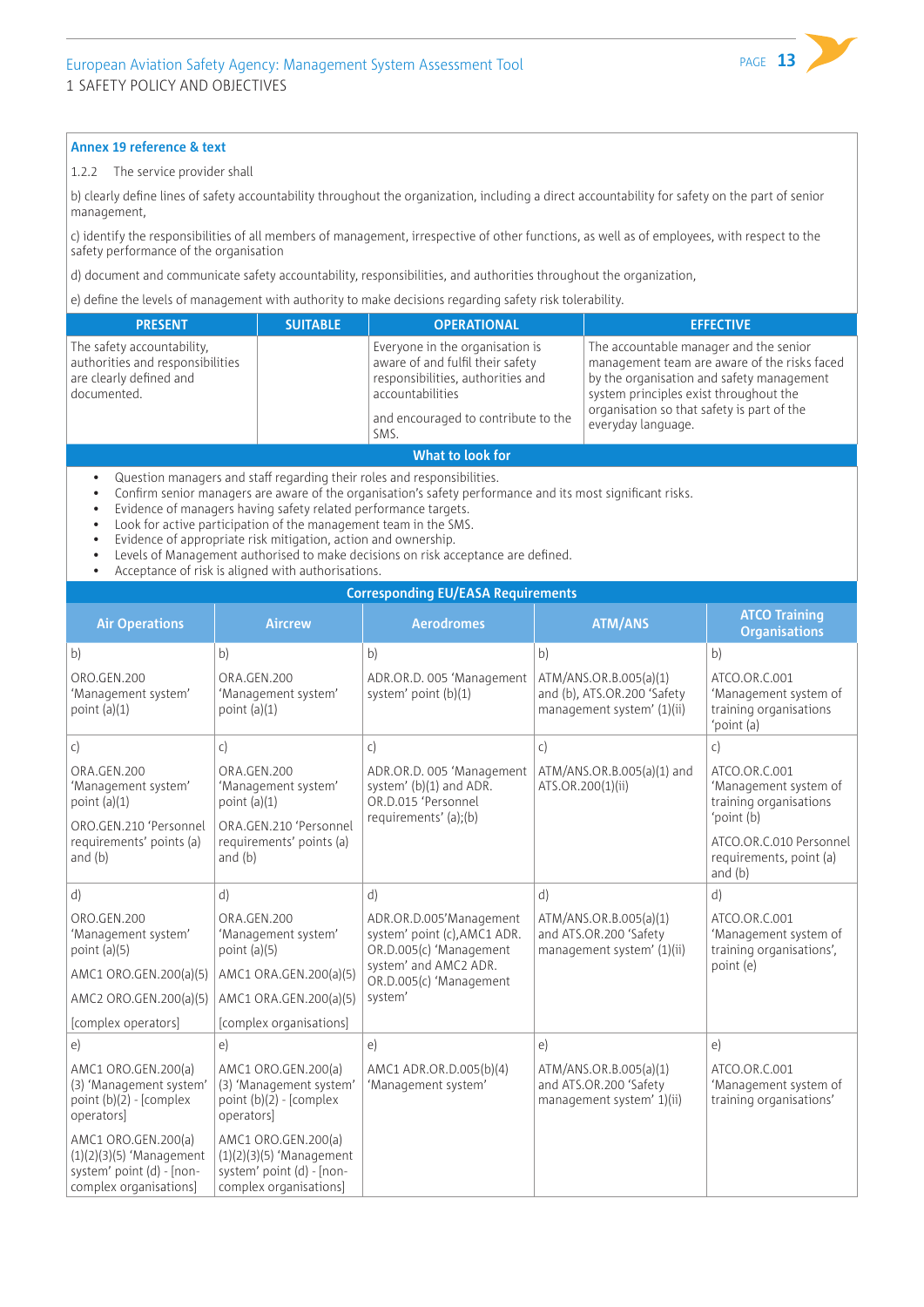

#### 1.2.2 The service provider shall

b) clearly define lines of safety accountability throughout the organization, including a direct accountability for safety on the part of senior management,

c) identify the responsibilities of all members of management, irrespective of other functions, as well as of employees, with respect to the safety performance of the organisation

d) document and communicate safety accountability, responsibilities, and authorities throughout the organization,

e) define the levels of management with authority to make decisions regarding safety risk tolerability.

| <b>PRESENT</b>                                                                                           | <b>SUITABLE</b> | <b>OPERATIONAL</b>                                                                                                                                                          | <b>EFFECTIVE</b>                                                                                                                                                                                                                                  |  |
|----------------------------------------------------------------------------------------------------------|-----------------|-----------------------------------------------------------------------------------------------------------------------------------------------------------------------------|---------------------------------------------------------------------------------------------------------------------------------------------------------------------------------------------------------------------------------------------------|--|
| The safety accountability,<br>authorities and responsibilities<br>are clearly defined and<br>documented. |                 | Everyone in the organisation is<br>aware of and fulfil their safety<br>responsibilities, authorities and<br>accountabilities<br>and encouraged to contribute to the<br>SMS. | The accountable manager and the senior<br>management team are aware of the risks faced<br>by the organisation and safety management<br>system principles exist throughout the<br>organisation so that safety is part of the<br>everyday language. |  |
| What to look for                                                                                         |                 |                                                                                                                                                                             |                                                                                                                                                                                                                                                   |  |

- Question managers and staff regarding their roles and responsibilities.
- Confirm senior managers are aware of the organisation's safety performance and its most significant risks.
- Evidence of managers having safety related performance targets.
- Look for active participation of the management team in the SMS.
- Evidence of appropriate risk mitigation, action and ownership.
- Levels of Management authorised to make decisions on risk acceptance are defined.
- Acceptance of risk is aligned with authorisations.

#### **Corresponding EU/EASA Requirements**

|                                                                                                          | corresponding EOJ EASA Requirements                                                                      |                                                                                                      |                                                                                     |                                                                                |  |  |
|----------------------------------------------------------------------------------------------------------|----------------------------------------------------------------------------------------------------------|------------------------------------------------------------------------------------------------------|-------------------------------------------------------------------------------------|--------------------------------------------------------------------------------|--|--|
| <b>Air Operations</b>                                                                                    | <b>Aircrew</b>                                                                                           | <b>Aerodromes</b>                                                                                    | <b>ATM/ANS</b>                                                                      | <b>ATCO Training</b><br><b>Organisations</b>                                   |  |  |
| b)                                                                                                       | b)                                                                                                       | b)                                                                                                   | b)                                                                                  | b)                                                                             |  |  |
| ORO.GEN.200<br>'Management system'<br>point $(a)(1)$                                                     | ORA.GEN.200<br>'Management system'<br>point $(a)(1)$                                                     | ADR.OR.D. 005 'Management<br>system' point (b)(1)                                                    | ATM/ANS.OR.B.005(a)(1)<br>and (b), ATS.OR.200 'Safety<br>management system' (1)(ii) | ATCO.OR.C.001<br>'Management system of<br>training organisations<br>'point (a) |  |  |
| $\mathsf{C}$                                                                                             | $\mathsf{C}$                                                                                             | c)                                                                                                   | $\mathsf{C}$                                                                        | $\mathsf{C}$                                                                   |  |  |
| ORA.GEN.200<br>'Management system'<br>point $(a)(1)$                                                     | ORA.GEN.200<br>'Management system'<br>point $(a)(1)$                                                     | ADR.OR.D. 005 'Management<br>system' (b)(1) and ADR.<br>OR.D.015 'Personnel<br>requirements' (a);(b) | ATM/ANS.OR.B.005(a)(1) and<br>ATS.OR.200(1)(ii)                                     | ATCO.OR.C.001<br>'Management system of<br>training organisations<br>'point (b) |  |  |
| ORO.GEN.210 'Personnel<br>requirements' points (a)<br>and $(b)$                                          | ORA.GEN.210 'Personnel<br>requirements' points (a)<br>and $(b)$                                          |                                                                                                      |                                                                                     | ATCO.OR.C.010 Personnel<br>requirements, point (a)<br>and $(b)$                |  |  |
| d)                                                                                                       | d)                                                                                                       | d)                                                                                                   | d)                                                                                  | d)                                                                             |  |  |
| ORO.GEN.200<br>'Management system'<br>point $(a)(5)$                                                     | ORA.GEN.200<br>'Management system'<br>point $(a)(5)$                                                     | ADR.OR.D.005'Management<br>system' point (c), AMC1 ADR.<br>OR.D.005(c) 'Management                   | ATM/ANS.OR.B.005(a)(1)<br>and ATS.OR.200 'Safety<br>management system' (1)(ii)      | ATCO.OR.C.001<br>'Management system of<br>training organisations',             |  |  |
| AMC1 ORO.GEN.200(a)(5)                                                                                   | AMC1 ORA.GEN.200(a)(5)                                                                                   | system' and AMC2 ADR.<br>OR.D.005(c) 'Management                                                     |                                                                                     | point (e)                                                                      |  |  |
| AMC2 ORO.GEN.200(a)(5)                                                                                   | AMC1 ORA.GEN.200(a)(5)                                                                                   | system'                                                                                              |                                                                                     |                                                                                |  |  |
| [complex operators]                                                                                      | [complex organisations]                                                                                  |                                                                                                      |                                                                                     |                                                                                |  |  |
| $\epsilon$                                                                                               | $\epsilon$                                                                                               | e)                                                                                                   | e)                                                                                  | e)                                                                             |  |  |
| AMC1 ORO.GEN.200(a)<br>(3) 'Management system'<br>point $(b)(2)$ - [complex<br>operators]                | AMC1 ORO.GEN.200(a)<br>(3) 'Management system'<br>point (b)(2) - [complex<br>operators]                  | AMC1 ADR.OR.D.005(b)(4)<br>'Management system'                                                       | ATM/ANS.OR.B.005(a)(1)<br>and ATS.OR.200 'Safety<br>management system' 1)(ii)       | ATCO.OR.C.001<br>'Management system of<br>training organisations'              |  |  |
| AMC1 ORO.GEN.200(a)<br>$(1)(2)(3)(5)$ 'Management<br>system' point (d) - [non-<br>complex organisations] | AMC1 ORO.GEN.200(a)<br>$(1)(2)(3)(5)$ 'Management<br>system' point (d) - [non-<br>complex organisations] |                                                                                                      |                                                                                     |                                                                                |  |  |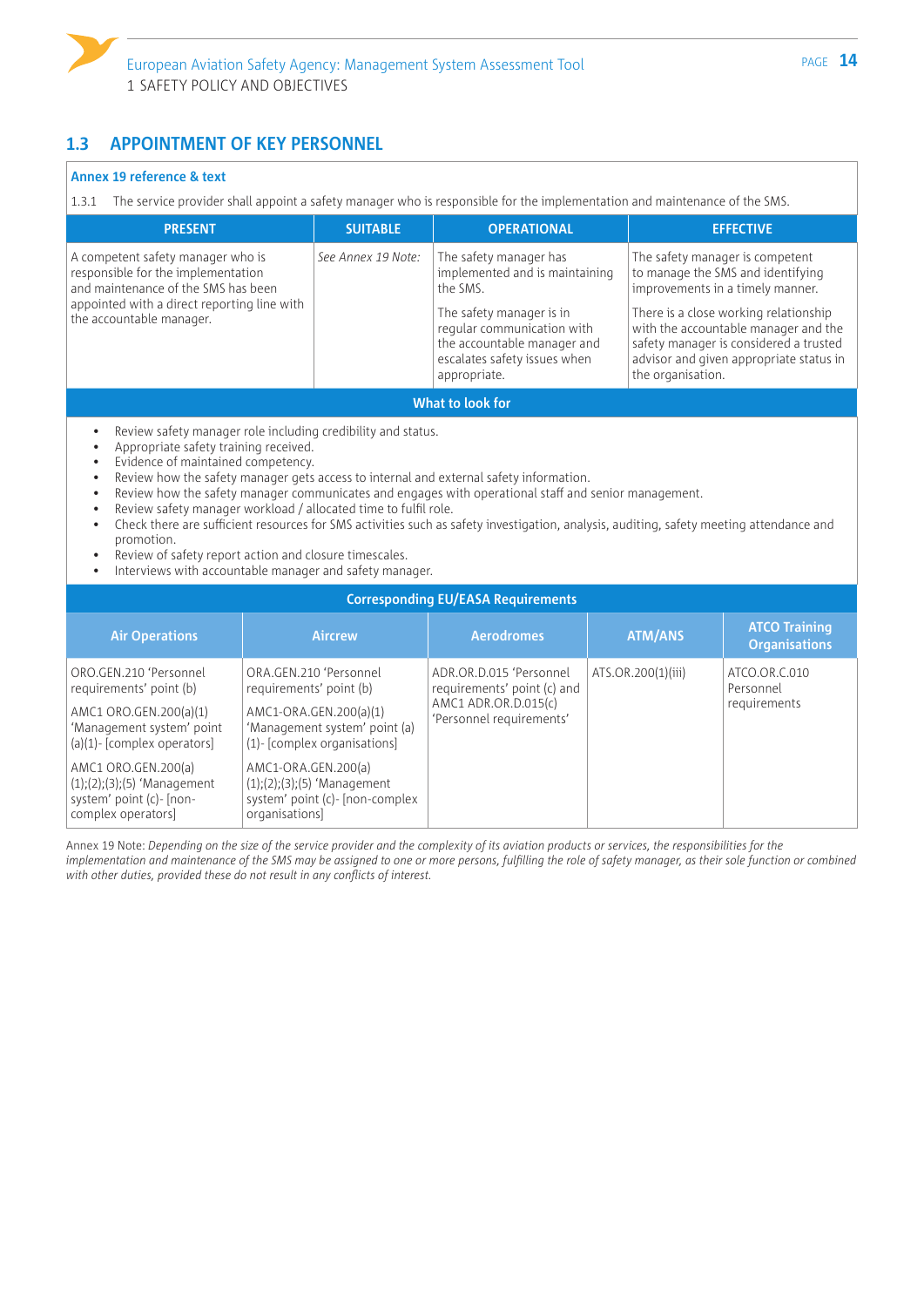

### **1.3 APPOINTMENT OF KEY PERSONNEL**

#### **Annex 19 reference & text**

1.3.1 The service provider shall appoint a safety manager who is responsible for the implementation and maintenance of the SMS.

| <b>PRESENT</b>                                                                                                                                                                            | <b>SUITABLE</b>    | <b>OPERATIONAL</b>                                                                                                                                                                                            | <b>EFFECTIVE</b>                                                                                                                                                                                                                                                                                    |  |  |
|-------------------------------------------------------------------------------------------------------------------------------------------------------------------------------------------|--------------------|---------------------------------------------------------------------------------------------------------------------------------------------------------------------------------------------------------------|-----------------------------------------------------------------------------------------------------------------------------------------------------------------------------------------------------------------------------------------------------------------------------------------------------|--|--|
| A competent safety manager who is<br>responsible for the implementation<br>and maintenance of the SMS has been<br>appointed with a direct reporting line with<br>the accountable manager. | See Annex 19 Note: | The safety manager has<br>implemented and is maintaining<br>the SMS.<br>The safety manager is in<br>regular communication with<br>the accountable manager and<br>escalates safety issues when<br>appropriate. | The safety manager is competent<br>to manage the SMS and identifying<br>improvements in a timely manner.<br>There is a close working relationship<br>with the accountable manager and the<br>safety manager is considered a trusted<br>advisor and given appropriate status in<br>the organisation. |  |  |
| What to look for                                                                                                                                                                          |                    |                                                                                                                                                                                                               |                                                                                                                                                                                                                                                                                                     |  |  |

Review safety manager role including credibility and status.

- Appropriate safety training received.
- Evidence of maintained competency.
- Review how the safety manager gets access to internal and external safety information.
- Review how the safety manager communicates and engages with operational staff and senior management.
- Review safety manager workload / allocated time to fulfil role.
- Check there are sufficient resources for SMS activities such as safety investigation, analysis, auditing, safety meeting attendance and promotion.
- Review of safety report action and closure timescales.
- Interviews with accountable manager and safety manager.

| <b>Corresponding EU/EASA Requirements</b>                                                                                              |                                                                                                                                                 |                                                                                                            |                    |                                              |  |
|----------------------------------------------------------------------------------------------------------------------------------------|-------------------------------------------------------------------------------------------------------------------------------------------------|------------------------------------------------------------------------------------------------------------|--------------------|----------------------------------------------|--|
| <b>Air Operations</b>                                                                                                                  | <b>Aircrew</b>                                                                                                                                  | <b>Aerodromes</b>                                                                                          | <b>ATM/ANS</b>     | <b>ATCO Training</b><br><b>Organisations</b> |  |
| ORO.GEN.210 'Personnel<br>requirements' point (b)<br>AMC1 ORO.GEN.200(a)(1)<br>'Management system' point<br>(a)(1)-[complex operators] | ORA.GEN.210 'Personnel<br>requirements' point (b)<br>AMC1-ORA.GEN.200(a)(1)<br>'Management system' point (a)<br>$(1)$ - [complex organisations] | ADR.OR.D.015 'Personnel<br>requirements' point (c) and<br>AMC1 ADR.OR.D.015(c)<br>'Personnel requirements' | ATS.OR.200(1)(iii) | ATCO.OR.C.010<br>Personnel<br>requirements   |  |
| AMC1 ORO.GEN.200(a)<br>$(1);(2);(3);(5)$ 'Management<br>system' point (c)- [non-<br>complex operators]                                 | AMC1-ORA.GEN.200(a)<br>$(1);(2);(3);(5)$ 'Management<br>system' point (c)- [non-complex<br>organisations]                                       |                                                                                                            |                    |                                              |  |

Annex 19 Note: *Depending on the size of the service provider and the complexity of its aviation products or services, the responsibilities for the*  implementation and maintenance of the SMS may be assigned to one or more persons, fulfilling the role of safety manager, as their sole function or combined *with other duties, provided these do not result in any conflicts of interest.*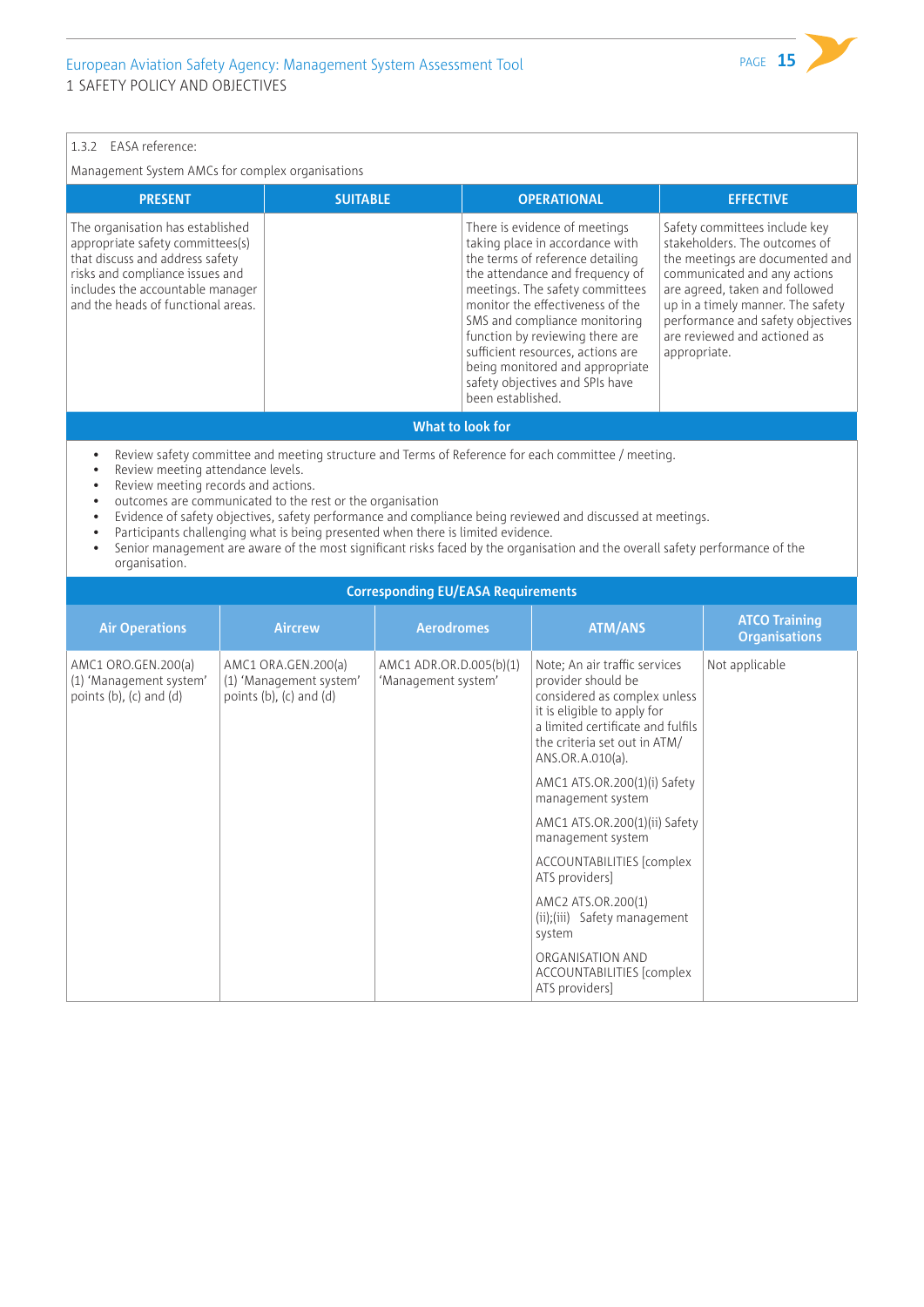#### 1.3.2 EASA reference:

Management System AMCs for complex organisations

| Safety committees include key<br>The organisation has established<br>There is evidence of meetings<br>stakeholders. The outcomes of<br>appropriate safety committees(s)<br>taking place in accordance with<br>that discuss and address safety<br>the terms of reference detailing<br>the attendance and frequency of<br>risks and compliance issues and<br>includes the accountable manager<br>meetings. The safety committees<br>monitor the effectiveness of the<br>and the heads of functional areas.<br>SMS and compliance monitoring<br>are reviewed and actioned as<br>function by reviewing there are<br>sufficient resources, actions are<br>appropriate. | <b>PRESENT</b> | <b>SUITABLE</b> | <b>OPERATIONAL</b>              | <b>EFFECTIVE</b>                                                                                                                                                            |
|-------------------------------------------------------------------------------------------------------------------------------------------------------------------------------------------------------------------------------------------------------------------------------------------------------------------------------------------------------------------------------------------------------------------------------------------------------------------------------------------------------------------------------------------------------------------------------------------------------------------------------------------------------------------|----------------|-----------------|---------------------------------|-----------------------------------------------------------------------------------------------------------------------------------------------------------------------------|
| safety objectives and SPIs have<br>been established.                                                                                                                                                                                                                                                                                                                                                                                                                                                                                                                                                                                                              |                |                 | being monitored and appropriate | the meetings are documented and<br>communicated and any actions<br>are agreed, taken and followed<br>up in a timely manner. The safety<br>performance and safety objectives |

#### **What to look for**

• Review safety committee and meeting structure and Terms of Reference for each committee / meeting.

- Review meeting attendance levels.
- Review meeting records and actions.
- outcomes are communicated to the rest or the organisation
- Evidence of safety objectives, safety performance and compliance being reviewed and discussed at meetings.
- Participants challenging what is being presented when there is limited evidence.
- Senior management are aware of the most significant risks faced by the organisation and the overall safety performance of the organisation.

#### **Corresponding EU/EASA Requirements**

| <b>Air Operations</b>                                                            | <b>Aircrew</b>                                                                   | <b>Aerodromes</b>                              | <b>ATM/ANS</b>                                                                                                                                                                                              | <b>ATCO Training</b><br><b>Organisations</b> |
|----------------------------------------------------------------------------------|----------------------------------------------------------------------------------|------------------------------------------------|-------------------------------------------------------------------------------------------------------------------------------------------------------------------------------------------------------------|----------------------------------------------|
| AMC1 ORO.GEN.200(a)<br>(1) 'Management system'<br>points $(b)$ , $(c)$ and $(d)$ | AMC1 ORA.GEN.200(a)<br>(1) 'Management system'<br>points $(b)$ , $(c)$ and $(d)$ | AMC1 ADR.OR.D.005(b)(1)<br>'Management system' | Note; An air traffic services<br>provider should be<br>considered as complex unless<br>it is eligible to apply for<br>a limited certificate and fulfils<br>the criteria set out in ATM/<br>ANS.OR.A.010(a). | Not applicable                               |
|                                                                                  |                                                                                  |                                                | AMC1 ATS.OR.200(1)(i) Safety<br>management system                                                                                                                                                           |                                              |
|                                                                                  |                                                                                  |                                                | AMC1 ATS.OR.200(1)(ii) Safety<br>management system                                                                                                                                                          |                                              |
|                                                                                  |                                                                                  |                                                | ACCOUNTABILITIES [complex<br>ATS providers]                                                                                                                                                                 |                                              |
|                                                                                  |                                                                                  |                                                | AMC2 ATS.OR.200(1)<br>(ii);(iii) Safety management<br>system                                                                                                                                                |                                              |
|                                                                                  |                                                                                  |                                                | ORGANISATION AND<br>ACCOUNTABILITIES [complex<br>ATS providers]                                                                                                                                             |                                              |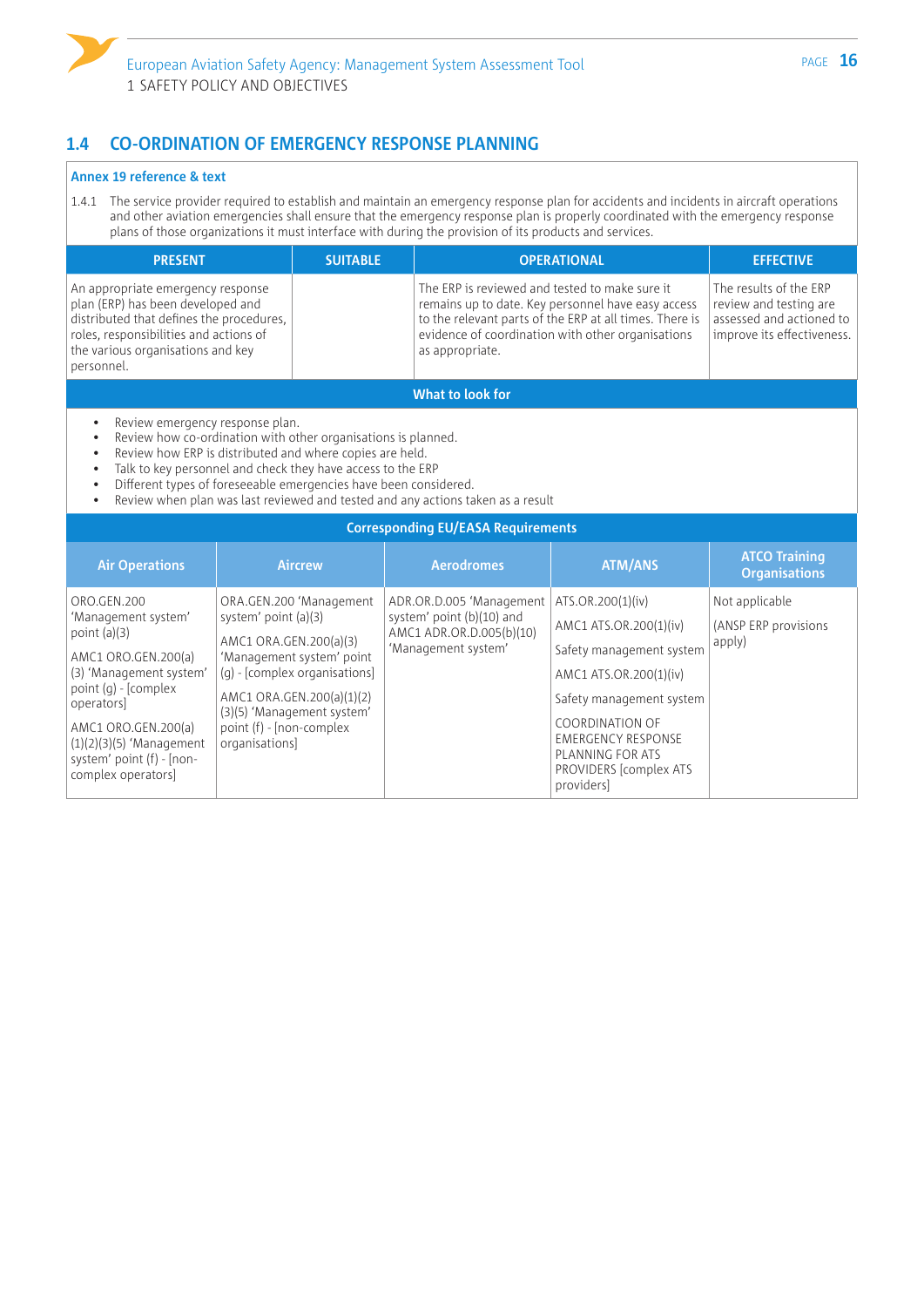

### **1.4 CO-ORDINATION OF EMERGENCY RESPONSE PLANNING**

#### **Annex 19 reference & text**

1.4.1 The service provider required to establish and maintain an emergency response plan for accidents and incidents in aircraft operations and other aviation emergencies shall ensure that the emergency response plan is properly coordinated with the emergency response plans of those organizations it must interface with during the provision of its products and services.

| <b>PRESENT</b>                                                                                                                                                                                                  | <b>SUITABLE</b> | <b>OPERATIONAL</b>                                                                                                                                                                                                                      | <b>EFFECTIVE</b>                                                                                           |  |
|-----------------------------------------------------------------------------------------------------------------------------------------------------------------------------------------------------------------|-----------------|-----------------------------------------------------------------------------------------------------------------------------------------------------------------------------------------------------------------------------------------|------------------------------------------------------------------------------------------------------------|--|
| An appropriate emergency response<br>plan (ERP) has been developed and<br>distributed that defines the procedures,<br>roles, responsibilities and actions of<br>the various organisations and key<br>personnel. |                 | The ERP is reviewed and tested to make sure it<br>remains up to date. Key personnel have easy access<br>to the relevant parts of the ERP at all times. There is<br>evidence of coordination with other organisations<br>as appropriate. | The results of the ERP<br>review and testing are<br>assessed and actioned to<br>improve its effectiveness. |  |
| What to look for                                                                                                                                                                                                |                 |                                                                                                                                                                                                                                         |                                                                                                            |  |

- Review emergency response plan.
- Review how co-ordination with other organisations is planned.
- Review how ERP is distributed and where copies are held.
- Talk to key personnel and check they have access to the ERP
- Different types of foreseeable emergencies have been considered.
- Review when plan was last reviewed and tested and any actions taken as a result

| <b>Corresponding EU/EASA Requirements</b>                                                                                                                                                                                                                  |                                                                                                                                                                                                                                                  |                                                                                                          |                                                                                                                                                                                                                                                   |                                                   |  |
|------------------------------------------------------------------------------------------------------------------------------------------------------------------------------------------------------------------------------------------------------------|--------------------------------------------------------------------------------------------------------------------------------------------------------------------------------------------------------------------------------------------------|----------------------------------------------------------------------------------------------------------|---------------------------------------------------------------------------------------------------------------------------------------------------------------------------------------------------------------------------------------------------|---------------------------------------------------|--|
| <b>Air Operations</b>                                                                                                                                                                                                                                      | <b>Aircrew</b>                                                                                                                                                                                                                                   | <b>Aerodromes</b>                                                                                        | <b>ATM/ANS</b>                                                                                                                                                                                                                                    | <b>ATCO Training</b><br><b>Organisations</b>      |  |
| ORO.GEN.200<br>'Management system'<br>point $(a)(3)$<br>AMC1 ORO.GEN.200(a)<br>(3) 'Management system'<br>point $(q)$ - [complex]<br>operators<br>AMC1 ORO.GEN.200(a)<br>$(1)(2)(3)(5)$ 'Management<br>system' point $(f)$ - $[non-$<br>complex operators] | ORA.GEN.200 'Management<br>system' point (a)(3)<br>AMC1 ORA.GEN.200(a)(3)<br>'Management system' point<br>(g) - [complex organisations]<br>AMC1 ORA.GEN.200(a)(1)(2)<br>(3)(5) 'Management system'<br>point (f) - [non-complex<br>organisations] | ADR.OR.D.005 'Management<br>system' point (b)(10) and<br>AMC1 ADR.OR.D.005(b)(10)<br>'Management system' | ATS.OR.200(1)(iv)<br>AMC1 ATS.OR.200(1)(iv)<br>Safety management system<br>AMC1 ATS.OR.200(1)(iv)<br>Safety management system<br><b>COORDINATION OF</b><br><b>EMERGENCY RESPONSE</b><br>PLANNING FOR ATS<br>PROVIDERS [complex ATS]<br>providers] | Not applicable<br>(ANSP ERP provisions)<br>apply) |  |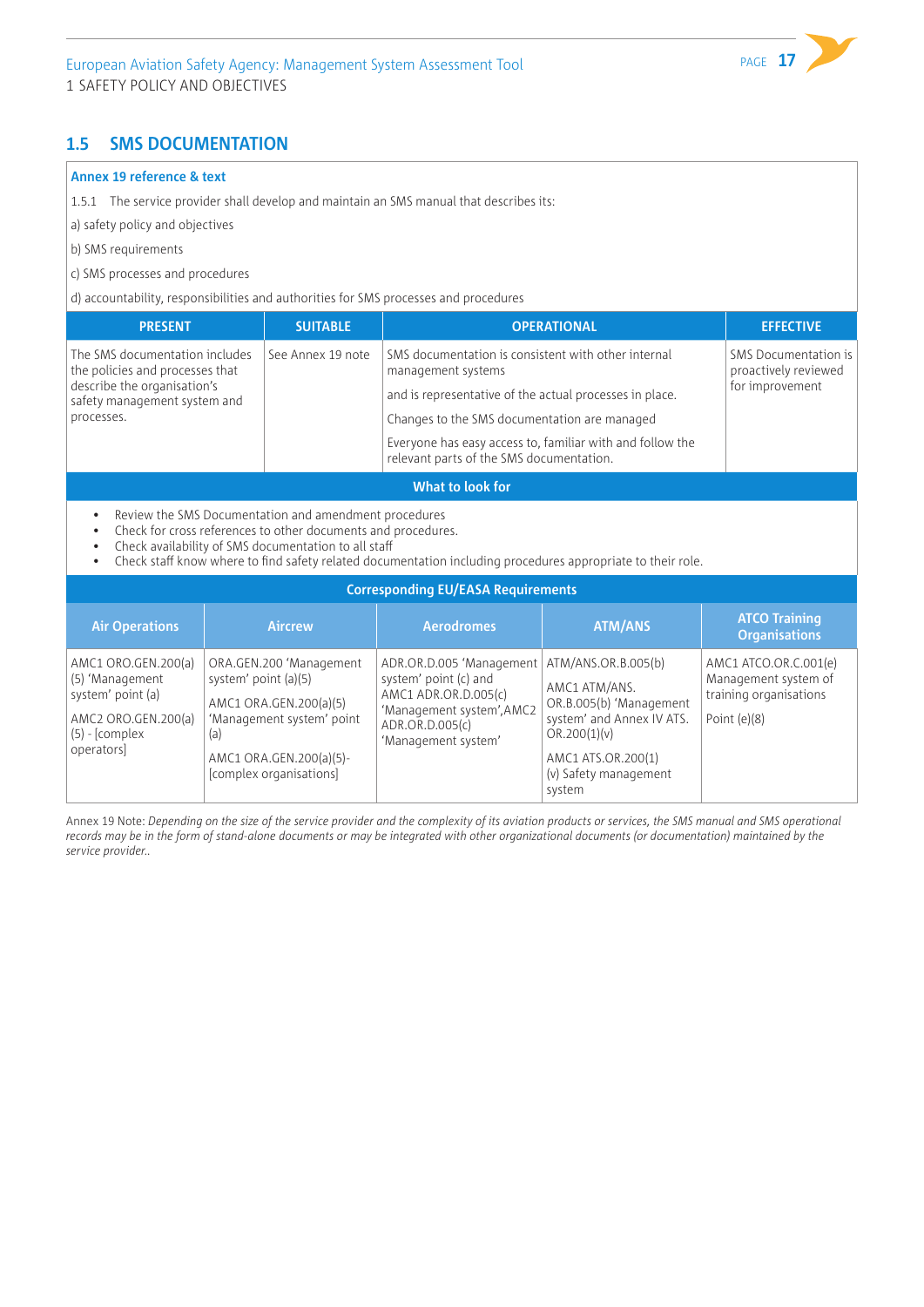### **1.5 SMS DOCUMENTATION**

#### **Annex 19 reference & text**

1.5.1 The service provider shall develop and maintain an SMS manual that describes its:

a) safety policy and objectives

- b) SMS requirements
- c) SMS processes and procedures

d) accountability, responsibilities and authorities for SMS processes and procedures

| <b>PRESENT</b>                                                                                                                                 | <b>SUITABLE</b>   | <b>OPERATIONAL</b>                                                                                                                                                                                                                                                                            | <b>EFFECTIVE</b>                                                |
|------------------------------------------------------------------------------------------------------------------------------------------------|-------------------|-----------------------------------------------------------------------------------------------------------------------------------------------------------------------------------------------------------------------------------------------------------------------------------------------|-----------------------------------------------------------------|
| The SMS documentation includes<br>the policies and processes that<br>describe the organisation's<br>safety management system and<br>processes. | See Annex 19 note | SMS documentation is consistent with other internal<br>management systems<br>and is representative of the actual processes in place.<br>Changes to the SMS documentation are managed<br>Everyone has easy access to, familiar with and follow the<br>relevant parts of the SMS documentation. | SMS Documentation is<br>proactively reviewed<br>for improvement |
|                                                                                                                                                |                   |                                                                                                                                                                                                                                                                                               |                                                                 |

#### **What to look for**

- Review the SMS Documentation and amendment procedures
- Check for cross references to other documents and procedures.
- Check availability of SMS documentation to all staff
- Check staff know where to find safety related documentation including procedures appropriate to their role.

| <b>Corresponding EU/EASA Requirements</b>                                                                            |                                                                                                                                                                     |                                                                                                                                                  |                                                                                                                                                                       |                                                                                           |  |  |
|----------------------------------------------------------------------------------------------------------------------|---------------------------------------------------------------------------------------------------------------------------------------------------------------------|--------------------------------------------------------------------------------------------------------------------------------------------------|-----------------------------------------------------------------------------------------------------------------------------------------------------------------------|-------------------------------------------------------------------------------------------|--|--|
| <b>Air Operations</b>                                                                                                | <b>Aircrew</b>                                                                                                                                                      | <b>Aerodromes</b>                                                                                                                                | <b>ATM/ANS</b>                                                                                                                                                        | <b>ATCO Training</b><br><b>Organisations</b>                                              |  |  |
| AMC1 ORO.GEN.200(a)<br>(5) 'Management<br>system' point (a)<br>AMC2 ORO.GEN.200(a)<br>$(5)$ - [complex]<br>operators | ORA.GEN.200 'Management<br>system' point (a)(5)<br>AMC1 ORA.GEN.200(a)(5)<br>'Management system' point<br>(a)<br>AMC1 ORA.GEN.200(a)(5)-<br>[complex organisations] | ADR.OR.D.005 'Management<br>system' point (c) and<br>AMC1 ADR.OR.D.005(c)<br>'Management system', AMC2<br>ADR.OR.D.005(c)<br>'Management system' | ATM/ANS.OR.B.005(b)<br>AMC1 ATM/ANS.<br>OR.B.005(b) 'Management<br>system' and Annex IV ATS.<br>OR.200(1)(v)<br>AMC1 ATS.OR.200(1)<br>(v) Safety management<br>system | AMC1 ATCO.OR.C.001(e)<br>Management system of<br>training organisations<br>Point $(e)(8)$ |  |  |

Annex 19 Note: *Depending on the size of the service provider and the complexity of its aviation products or services, the SMS manual and SMS operational records may be in the form of stand-alone documents or may be integrated with other organizational documents (or documentation) maintained by the service provider..*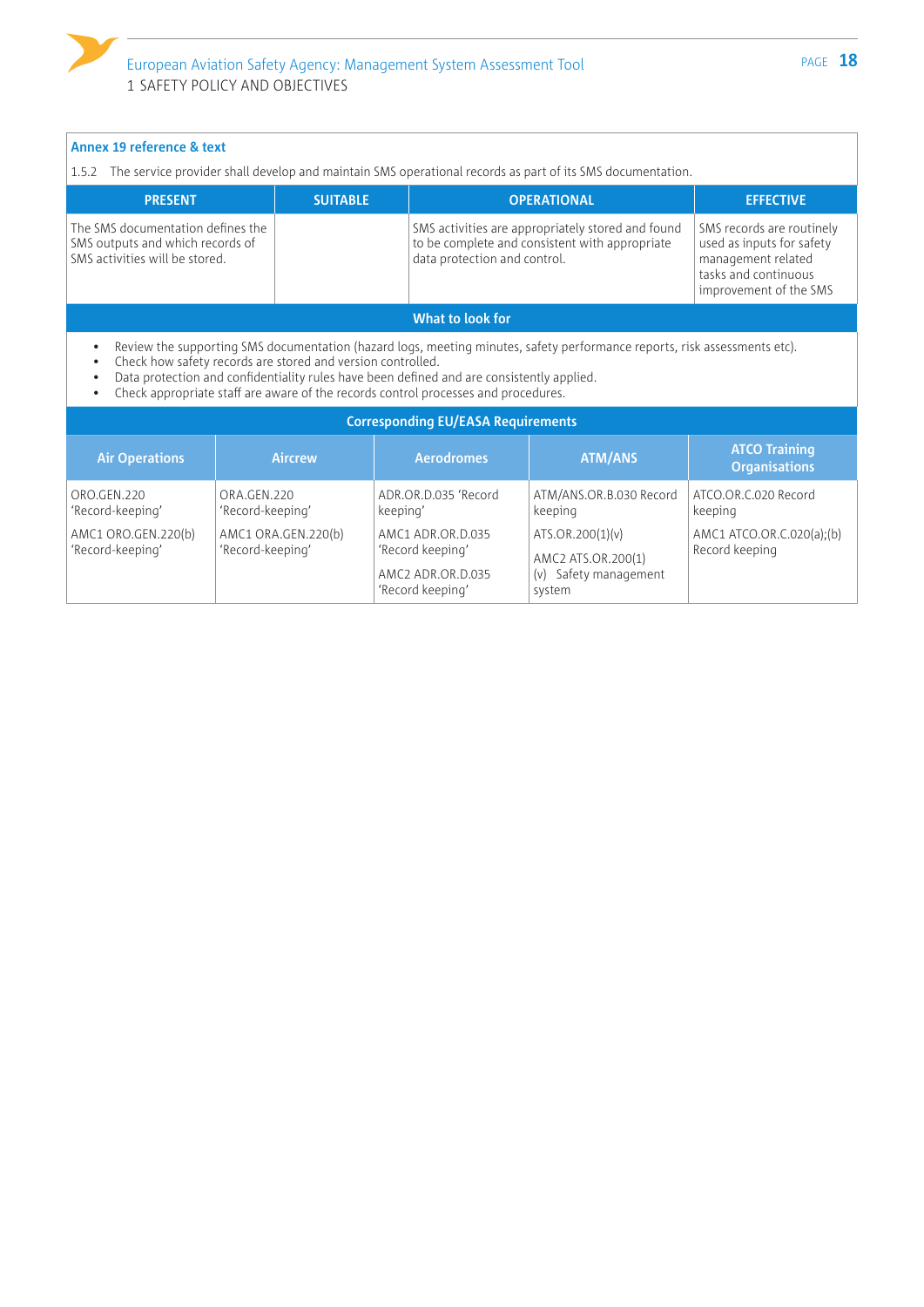| Annex 19 reference & text<br>1.5.2 The service provider shall develop and maintain SMS operational records as part of its SMS documentation. |                                                             |                                                                                                                                                                                 |                                                                                                                           |                                                                                                                                |  |
|----------------------------------------------------------------------------------------------------------------------------------------------|-------------------------------------------------------------|---------------------------------------------------------------------------------------------------------------------------------------------------------------------------------|---------------------------------------------------------------------------------------------------------------------------|--------------------------------------------------------------------------------------------------------------------------------|--|
| <b>PRESENT</b>                                                                                                                               | <b>SUITABLE</b>                                             |                                                                                                                                                                                 | <b>OPERATIONAL</b>                                                                                                        | <b>EFFECTIVE</b>                                                                                                               |  |
| The SMS documentation defines the<br>SMS outputs and which records of<br>SMS activities will be stored.                                      |                                                             | data protection and control.                                                                                                                                                    | SMS activities are appropriately stored and found<br>to be complete and consistent with appropriate                       | SMS records are routinely<br>used as inputs for safety<br>management related<br>tasks and continuous<br>improvement of the SMS |  |
|                                                                                                                                              |                                                             | What to look for                                                                                                                                                                |                                                                                                                           |                                                                                                                                |  |
| $\bullet$<br>$\bullet$                                                                                                                       | Check how safety records are stored and version controlled. | Data protection and confidentiality rules have been defined and are consistently applied.<br>Check appropriate staff are aware of the records control processes and procedures. | Review the supporting SMS documentation (hazard logs, meeting minutes, safety performance reports, risk assessments etc). |                                                                                                                                |  |
|                                                                                                                                              |                                                             | <b>Corresponding EU/EASA Requirements</b>                                                                                                                                       |                                                                                                                           |                                                                                                                                |  |
| <b>Air Operations</b>                                                                                                                        | <b>Aircrew</b>                                              | <b>Aerodromes</b>                                                                                                                                                               | <b>ATM/ANS</b>                                                                                                            | <b>ATCO Training</b><br><b>Organisations</b>                                                                                   |  |
| ORO.GEN.220<br>'Record-keeping'                                                                                                              | ORA.GEN.220<br>'Record-keeping'                             | ADR.OR.D.035 'Record<br>keeping'                                                                                                                                                | ATM/ANS.OR.B.030 Record<br>keeping                                                                                        | ATCO.OR.C.020 Record<br>keeping                                                                                                |  |
| AMC1 ORO.GEN.220(b)<br>'Record-keeping'                                                                                                      | AMC1 ORA.GEN.220(b)<br>'Record-keeping'                     | AMC1 ADR.OR.D.035<br>'Record keeping'<br>AMC2 ADR.OR.D.035<br>'Record keeping'                                                                                                  | ATS.OR.200(1)(v)<br>AMC2 ATS.OR.200(1)<br>(v) Safety management<br>system                                                 | AMC1 ATCO.OR.C.020(a);(b)<br>Record keeping                                                                                    |  |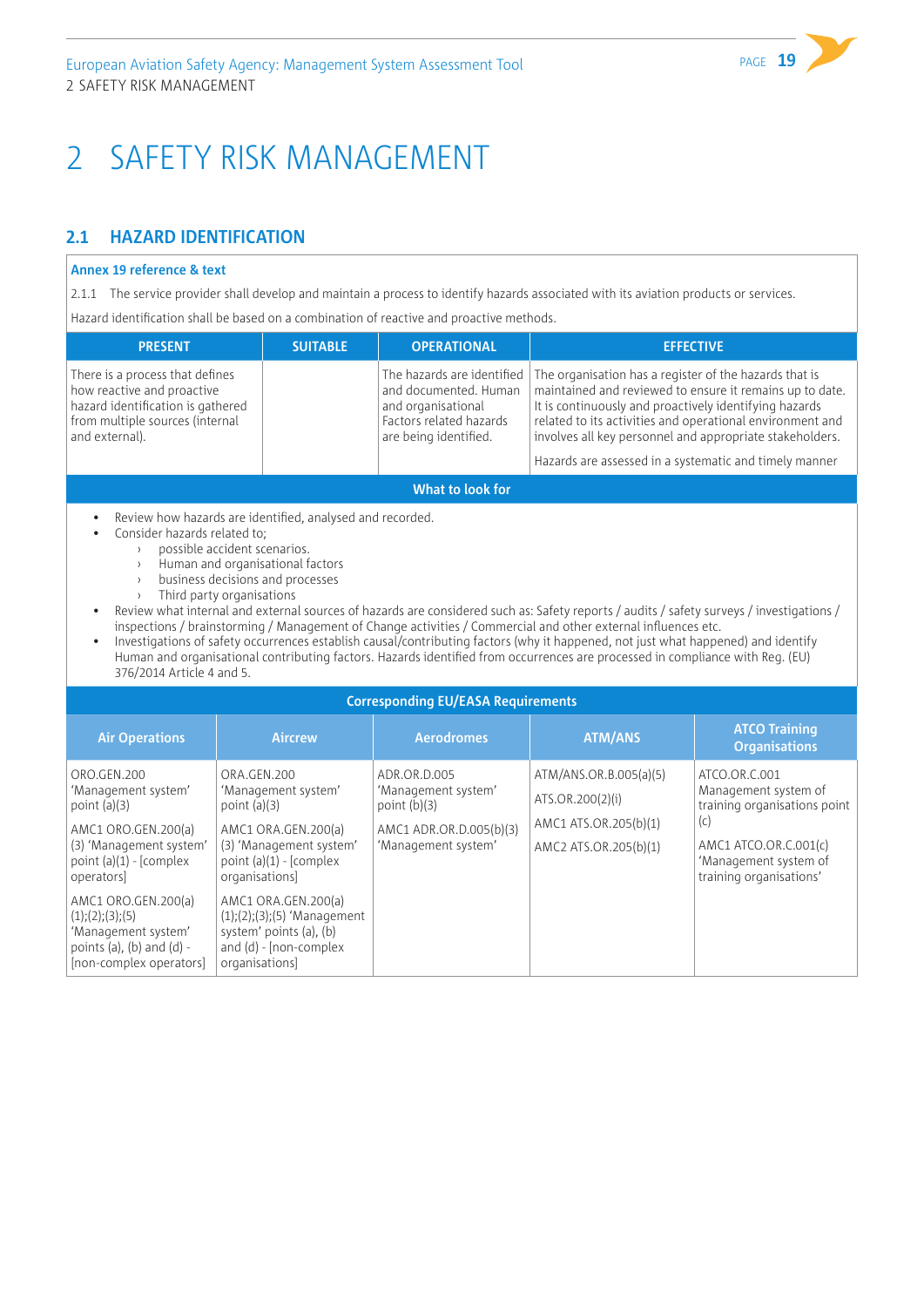# <span id="page-20-0"></span>2 SAFETY RISK MANAGEMENT

# **2.1 HAZARD IDENTIFICATION**

#### **Annex 19 reference & text**

2.1.1 The service provider shall develop and maintain a process to identify hazards associated with its aviation products or services.

Hazard identification shall be based on a combination of reactive and proactive methods.

| <b>PRESENT</b>                                                                                                                                          | <b>SUITABLE</b> | <b>OPERATIONAL</b>                                                                                                            | <b>EFFECTIVE</b>                                                                                                                                                                                                                                                                                                                                                |
|---------------------------------------------------------------------------------------------------------------------------------------------------------|-----------------|-------------------------------------------------------------------------------------------------------------------------------|-----------------------------------------------------------------------------------------------------------------------------------------------------------------------------------------------------------------------------------------------------------------------------------------------------------------------------------------------------------------|
| There is a process that defines<br>how reactive and proactive<br>hazard identification is gathered<br>from multiple sources (internal<br>and external). |                 | The hazards are identified<br>and documented. Human<br>and organisational<br>Factors related hazards<br>are being identified. | The organisation has a register of the hazards that is<br>maintained and reviewed to ensure it remains up to date.<br>It is continuously and proactively identifying hazards<br>related to its activities and operational environment and<br>involves all key personnel and appropriate stakeholders.<br>Hazards are assessed in a systematic and timely manner |
|                                                                                                                                                         |                 | What to look for                                                                                                              |                                                                                                                                                                                                                                                                                                                                                                 |
| Review how hazards are identified, analysed and recorded.<br>$\bullet$<br>Consider hazards related to:<br>possible accident scenarios.                  |                 |                                                                                                                               |                                                                                                                                                                                                                                                                                                                                                                 |

- Human and organisational factors
- business decisions and processes
- › Third party organisations
- Review what internal and external sources of hazards are considered such as: Safety reports / audits / safety surveys / investigations / inspections / brainstorming / Management of Change activities / Commercial and other external influences etc.
- Investigations of safety occurrences establish causal/contributing factors (why it happened, not just what happened) and identify Human and organisational contributing factors. Hazards identified from occurrences are processed in compliance with Reg. (EU) 376/2014 Article 4 and 5.

| <b>Corresponding EU/EASA Requirements</b>                                                                                                         |                                                                                                                                                       |                                                                                                         |                                                                                              |                                                                                                                                                           |  |  |
|---------------------------------------------------------------------------------------------------------------------------------------------------|-------------------------------------------------------------------------------------------------------------------------------------------------------|---------------------------------------------------------------------------------------------------------|----------------------------------------------------------------------------------------------|-----------------------------------------------------------------------------------------------------------------------------------------------------------|--|--|
| <b>Air Operations</b>                                                                                                                             | <b>Aircrew</b>                                                                                                                                        | <b>Aerodromes</b>                                                                                       | <b>ATM/ANS</b>                                                                               | <b>ATCO Training</b><br><b>Organisations</b>                                                                                                              |  |  |
| ORO.GEN.200<br>'Management system'<br>point $(a)(3)$<br>AMC1 ORO.GEN.200(a)<br>(3) 'Management system'<br>point $(a)(1)$ - [complex]<br>operators | ORA.GEN.200<br>'Management system'<br>point $(a)(3)$<br>AMC1 ORA.GEN.200(a)<br>(3) 'Management system'<br>point $(a)(1)$ - [complex<br>organisations] | ADR.OR.D.005<br>'Management system'<br>point $(b)(3)$<br>AMC1 ADR.OR.D.005(b)(3)<br>'Management system' | ATM/ANS.OR.B.005(a)(5)<br>ATS.OR.200(2)(i)<br>AMC1 ATS.OR.205(b)(1)<br>AMC2 ATS.OR.205(b)(1) | ATCO.OR.C.001<br>Management system of<br>training organisations point<br>(c)<br>AMC1 ATCO.OR.C.001(c)<br>'Management system of<br>training organisations' |  |  |
| AMC1 ORO.GEN.200(a)<br>(1); (2); (3); (5)<br>'Management system'<br>points (a), (b) and (d) -<br>[non-complex operators]                          | AMC1 ORA.GEN.200(a)<br>$(1);(2);(3);(5)$ 'Management<br>system' points (a), (b)<br>and $(d)$ - [non-complex<br>organisations]                         |                                                                                                         |                                                                                              |                                                                                                                                                           |  |  |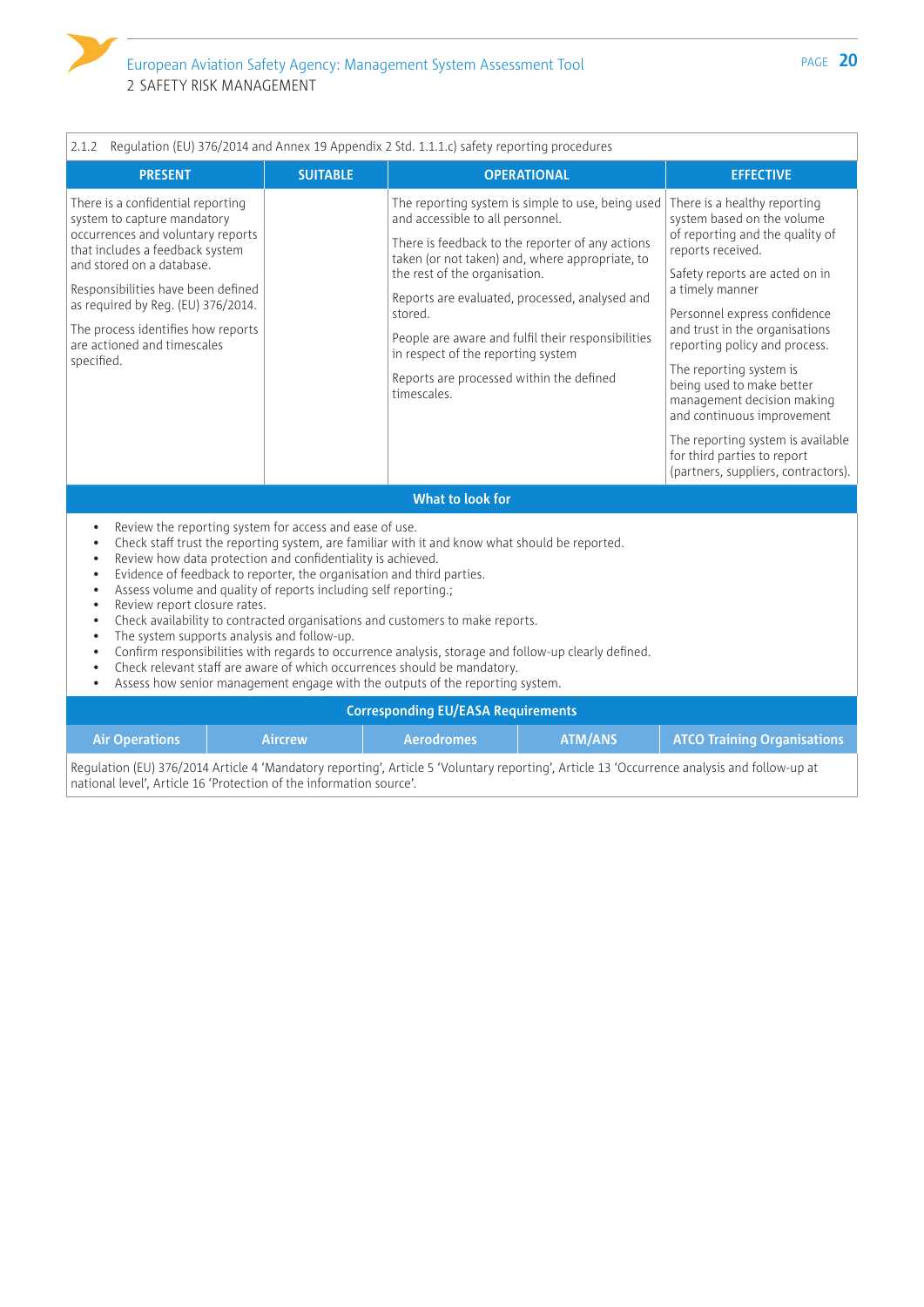

 $\sqrt{ }$ 

| <b>SUITABLE</b><br><b>PRESENT</b><br><b>OPERATIONAL</b><br><b>EFFECTIVE</b><br>There is a confidential reporting<br>The reporting system is simple to use, being used<br>There is a healthy reporting<br>system to capture mandatory<br>and accessible to all personnel.<br>system based on the volume<br>occurrences and voluntary reports<br>of reporting and the quality of<br>There is feedback to the reporter of any actions<br>that includes a feedback system<br>reports received.<br>taken (or not taken) and, where appropriate, to<br>and stored on a database.<br>the rest of the organisation.<br>Safety reports are acted on in<br>Responsibilities have been defined<br>a timely manner<br>Reports are evaluated, processed, analysed and<br>as required by Req. (EU) 376/2014.<br>stored.<br>Personnel express confidence<br>and trust in the organisations<br>The process identifies how reports<br>People are aware and fulfil their responsibilities<br>are actioned and timescales<br>reporting policy and process.<br>in respect of the reporting system<br>specified.<br>The reporting system is<br>Reports are processed within the defined<br>being used to make better<br>timescales.<br>management decision making<br>and continuous improvement<br>for third parties to report<br>What to look for<br>Review the reporting system for access and ease of use.<br>$\bullet$<br>Check staff trust the reporting system, are familiar with it and know what should be reported.<br>$\bullet$<br>Review how data protection and confidentiality is achieved.<br>$\bullet$<br>Evidence of feedback to reporter, the organisation and third parties.<br>$\bullet$<br>Assess volume and quality of reports including self reporting.;<br>$\bullet$<br>Review report closure rates.<br>$\bullet$<br>Check availability to contracted organisations and customers to make reports.<br>$\bullet$<br>The system supports analysis and follow-up.<br>$\bullet$<br>Confirm responsibilities with regards to occurrence analysis, storage and follow-up clearly defined.<br>$\bullet$<br>Check relevant staff are aware of which occurrences should be mandatory.<br>$\bullet$<br>Assess how senior management engage with the outputs of the reporting system.<br>$\bullet$<br><b>Corresponding EU/EASA Requirements</b><br><b>ATM/ANS</b><br><b>Air Operations</b><br><b>Aircrew</b><br><b>Aerodromes</b><br><b>ATCO Training Organisations</b> | Regulation (EU) 376/2014 and Annex 19 Appendix 2 Std. 1.1.1.c) safety reporting procedures<br>2.1.2 |  |  |  |                                                                          |  |  |
|----------------------------------------------------------------------------------------------------------------------------------------------------------------------------------------------------------------------------------------------------------------------------------------------------------------------------------------------------------------------------------------------------------------------------------------------------------------------------------------------------------------------------------------------------------------------------------------------------------------------------------------------------------------------------------------------------------------------------------------------------------------------------------------------------------------------------------------------------------------------------------------------------------------------------------------------------------------------------------------------------------------------------------------------------------------------------------------------------------------------------------------------------------------------------------------------------------------------------------------------------------------------------------------------------------------------------------------------------------------------------------------------------------------------------------------------------------------------------------------------------------------------------------------------------------------------------------------------------------------------------------------------------------------------------------------------------------------------------------------------------------------------------------------------------------------------------------------------------------------------------------------------------------------------------------------------------------------------------------------------------------------------------------------------------------------------------------------------------------------------------------------------------------------------------------------------------------------------------------------------------------------------------------------------------------------------------------------------------------------------------------------------------------------------------------------------------------------|-----------------------------------------------------------------------------------------------------|--|--|--|--------------------------------------------------------------------------|--|--|
|                                                                                                                                                                                                                                                                                                                                                                                                                                                                                                                                                                                                                                                                                                                                                                                                                                                                                                                                                                                                                                                                                                                                                                                                                                                                                                                                                                                                                                                                                                                                                                                                                                                                                                                                                                                                                                                                                                                                                                                                                                                                                                                                                                                                                                                                                                                                                                                                                                                                |                                                                                                     |  |  |  |                                                                          |  |  |
|                                                                                                                                                                                                                                                                                                                                                                                                                                                                                                                                                                                                                                                                                                                                                                                                                                                                                                                                                                                                                                                                                                                                                                                                                                                                                                                                                                                                                                                                                                                                                                                                                                                                                                                                                                                                                                                                                                                                                                                                                                                                                                                                                                                                                                                                                                                                                                                                                                                                |                                                                                                     |  |  |  |                                                                          |  |  |
|                                                                                                                                                                                                                                                                                                                                                                                                                                                                                                                                                                                                                                                                                                                                                                                                                                                                                                                                                                                                                                                                                                                                                                                                                                                                                                                                                                                                                                                                                                                                                                                                                                                                                                                                                                                                                                                                                                                                                                                                                                                                                                                                                                                                                                                                                                                                                                                                                                                                |                                                                                                     |  |  |  |                                                                          |  |  |
|                                                                                                                                                                                                                                                                                                                                                                                                                                                                                                                                                                                                                                                                                                                                                                                                                                                                                                                                                                                                                                                                                                                                                                                                                                                                                                                                                                                                                                                                                                                                                                                                                                                                                                                                                                                                                                                                                                                                                                                                                                                                                                                                                                                                                                                                                                                                                                                                                                                                |                                                                                                     |  |  |  |                                                                          |  |  |
|                                                                                                                                                                                                                                                                                                                                                                                                                                                                                                                                                                                                                                                                                                                                                                                                                                                                                                                                                                                                                                                                                                                                                                                                                                                                                                                                                                                                                                                                                                                                                                                                                                                                                                                                                                                                                                                                                                                                                                                                                                                                                                                                                                                                                                                                                                                                                                                                                                                                |                                                                                                     |  |  |  |                                                                          |  |  |
|                                                                                                                                                                                                                                                                                                                                                                                                                                                                                                                                                                                                                                                                                                                                                                                                                                                                                                                                                                                                                                                                                                                                                                                                                                                                                                                                                                                                                                                                                                                                                                                                                                                                                                                                                                                                                                                                                                                                                                                                                                                                                                                                                                                                                                                                                                                                                                                                                                                                |                                                                                                     |  |  |  |                                                                          |  |  |
|                                                                                                                                                                                                                                                                                                                                                                                                                                                                                                                                                                                                                                                                                                                                                                                                                                                                                                                                                                                                                                                                                                                                                                                                                                                                                                                                                                                                                                                                                                                                                                                                                                                                                                                                                                                                                                                                                                                                                                                                                                                                                                                                                                                                                                                                                                                                                                                                                                                                |                                                                                                     |  |  |  |                                                                          |  |  |
|                                                                                                                                                                                                                                                                                                                                                                                                                                                                                                                                                                                                                                                                                                                                                                                                                                                                                                                                                                                                                                                                                                                                                                                                                                                                                                                                                                                                                                                                                                                                                                                                                                                                                                                                                                                                                                                                                                                                                                                                                                                                                                                                                                                                                                                                                                                                                                                                                                                                |                                                                                                     |  |  |  | The reporting system is available<br>(partners, suppliers, contractors). |  |  |
|                                                                                                                                                                                                                                                                                                                                                                                                                                                                                                                                                                                                                                                                                                                                                                                                                                                                                                                                                                                                                                                                                                                                                                                                                                                                                                                                                                                                                                                                                                                                                                                                                                                                                                                                                                                                                                                                                                                                                                                                                                                                                                                                                                                                                                                                                                                                                                                                                                                                |                                                                                                     |  |  |  |                                                                          |  |  |
|                                                                                                                                                                                                                                                                                                                                                                                                                                                                                                                                                                                                                                                                                                                                                                                                                                                                                                                                                                                                                                                                                                                                                                                                                                                                                                                                                                                                                                                                                                                                                                                                                                                                                                                                                                                                                                                                                                                                                                                                                                                                                                                                                                                                                                                                                                                                                                                                                                                                |                                                                                                     |  |  |  |                                                                          |  |  |
|                                                                                                                                                                                                                                                                                                                                                                                                                                                                                                                                                                                                                                                                                                                                                                                                                                                                                                                                                                                                                                                                                                                                                                                                                                                                                                                                                                                                                                                                                                                                                                                                                                                                                                                                                                                                                                                                                                                                                                                                                                                                                                                                                                                                                                                                                                                                                                                                                                                                |                                                                                                     |  |  |  |                                                                          |  |  |
|                                                                                                                                                                                                                                                                                                                                                                                                                                                                                                                                                                                                                                                                                                                                                                                                                                                                                                                                                                                                                                                                                                                                                                                                                                                                                                                                                                                                                                                                                                                                                                                                                                                                                                                                                                                                                                                                                                                                                                                                                                                                                                                                                                                                                                                                                                                                                                                                                                                                |                                                                                                     |  |  |  |                                                                          |  |  |

Regulation (EU) 376/2014 Article 4 'Mandatory reporting', Article 5 'Voluntary reporting', Article 13 'Occurrence analysis and follow-up at national level', Article 16 'Protection of the information source'.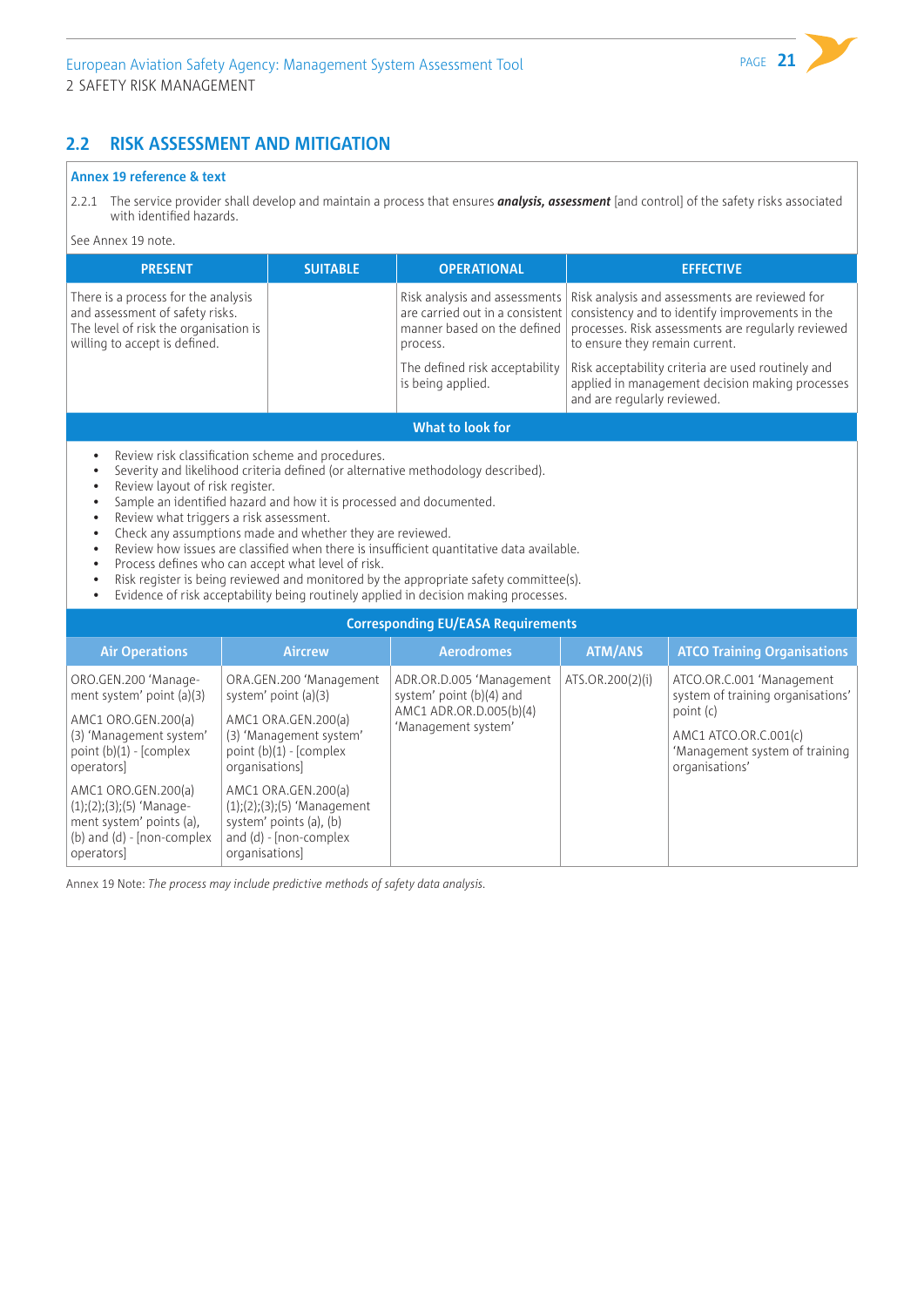# **2.2 RISK ASSESSMENT AND MITIGATION**

#### **Annex 19 reference & text**

See Annex 19 note.

operators]

2.2.1 The service provider shall develop and maintain a process that ensures *analysis, assessment* [and control] of the safety risks associated with identified hazards.

| <b>PRESENT</b>                                                                                                                                                                                                                                                | <b>SUITABLE</b>                                                                                                                                                                                                                                                                                                                                                                                                                                                                                                                                                                                                                                                                            | <b>OPERATIONAL</b>                                                                                                                                                 |                                                               | <b>EFFECTIVE</b>                                                                                                                                                                                                                                                 |  |  |  |
|---------------------------------------------------------------------------------------------------------------------------------------------------------------------------------------------------------------------------------------------------------------|--------------------------------------------------------------------------------------------------------------------------------------------------------------------------------------------------------------------------------------------------------------------------------------------------------------------------------------------------------------------------------------------------------------------------------------------------------------------------------------------------------------------------------------------------------------------------------------------------------------------------------------------------------------------------------------------|--------------------------------------------------------------------------------------------------------------------------------------------------------------------|---------------------------------------------------------------|------------------------------------------------------------------------------------------------------------------------------------------------------------------------------------------------------------------------------------------------------------------|--|--|--|
| There is a process for the analysis<br>and assessment of safety risks.<br>The level of risk the organisation is<br>willing to accept is defined.                                                                                                              |                                                                                                                                                                                                                                                                                                                                                                                                                                                                                                                                                                                                                                                                                            | Risk analysis and assessments<br>are carried out in a consistent<br>manner based on the defined<br>process.<br>The defined risk acceptability<br>is being applied. | to ensure they remain current.<br>and are regularly reviewed. | Risk analysis and assessments are reviewed for<br>consistency and to identify improvements in the<br>processes. Risk assessments are regularly reviewed<br>Risk acceptability criteria are used routinely and<br>applied in management decision making processes |  |  |  |
|                                                                                                                                                                                                                                                               | What to look for                                                                                                                                                                                                                                                                                                                                                                                                                                                                                                                                                                                                                                                                           |                                                                                                                                                                    |                                                               |                                                                                                                                                                                                                                                                  |  |  |  |
| $\bullet$<br>$\bullet$<br>$\bullet$<br>$\bullet$<br>$\bullet$<br>$\bullet$<br>$\bullet$<br>$\bullet$<br>$\bullet$<br>$\bullet$                                                                                                                                | Review risk classification scheme and procedures.<br>Severity and likelihood criteria defined (or alternative methodology described).<br>Review layout of risk register.<br>Sample an identified hazard and how it is processed and documented.<br>Review what triggers a risk assessment.<br>Check any assumptions made and whether they are reviewed.<br>Review how issues are classified when there is insufficient quantitative data available.<br>Process defines who can accept what level of risk.<br>Risk register is being reviewed and monitored by the appropriate safety committee(s).<br>Evidence of risk acceptability being routinely applied in decision making processes. |                                                                                                                                                                    |                                                               |                                                                                                                                                                                                                                                                  |  |  |  |
|                                                                                                                                                                                                                                                               |                                                                                                                                                                                                                                                                                                                                                                                                                                                                                                                                                                                                                                                                                            | <b>Corresponding EU/EASA Requirements</b>                                                                                                                          |                                                               |                                                                                                                                                                                                                                                                  |  |  |  |
| <b>Air Operations</b>                                                                                                                                                                                                                                         | <b>Aircrew</b>                                                                                                                                                                                                                                                                                                                                                                                                                                                                                                                                                                                                                                                                             | <b>Aerodromes</b>                                                                                                                                                  | <b>ATM/ANS</b>                                                | <b>ATCO Training Organisations</b>                                                                                                                                                                                                                               |  |  |  |
| ORO.GEN.200 'Manage-<br>ment system' point (a)(3)<br>AMC1 ORO.GEN.200(a)<br>(3) 'Management system'<br>point $(b)(1)$ - [complex<br>operators]<br>AMC1 ORO.GEN.200(a)<br>$(1);(2);(3);(5)$ 'Manage-<br>ment system' points (a),<br>(b) and (d) - [non-complex | ORA.GEN.200 'Management<br>system' point (a)(3)<br>AMC1 ORA.GEN.200(a)<br>(3) 'Management system'<br>point (b)(1) - [complex<br>organisations]<br>AMC1 ORA.GEN.200(a)<br>$(1);(2);(3);(5)$ 'Management<br>system' points (a), (b)<br>and (d) - [non-complex                                                                                                                                                                                                                                                                                                                                                                                                                                | ADR.OR.D.005 'Management<br>system' point (b)(4) and<br>AMC1 ADR.OR.D.005(b)(4)<br>'Management system'                                                             | ATS.OR.200(2)(i)                                              | ATCO.OR.C.001 'Management<br>system of training organisations'<br>point (c)<br>AMC1 ATCO.OR.C.001(c)<br>'Management system of training<br>organisations'                                                                                                         |  |  |  |

Annex 19 Note: *The process may include predictive methods of safety data analysis.*

organisations]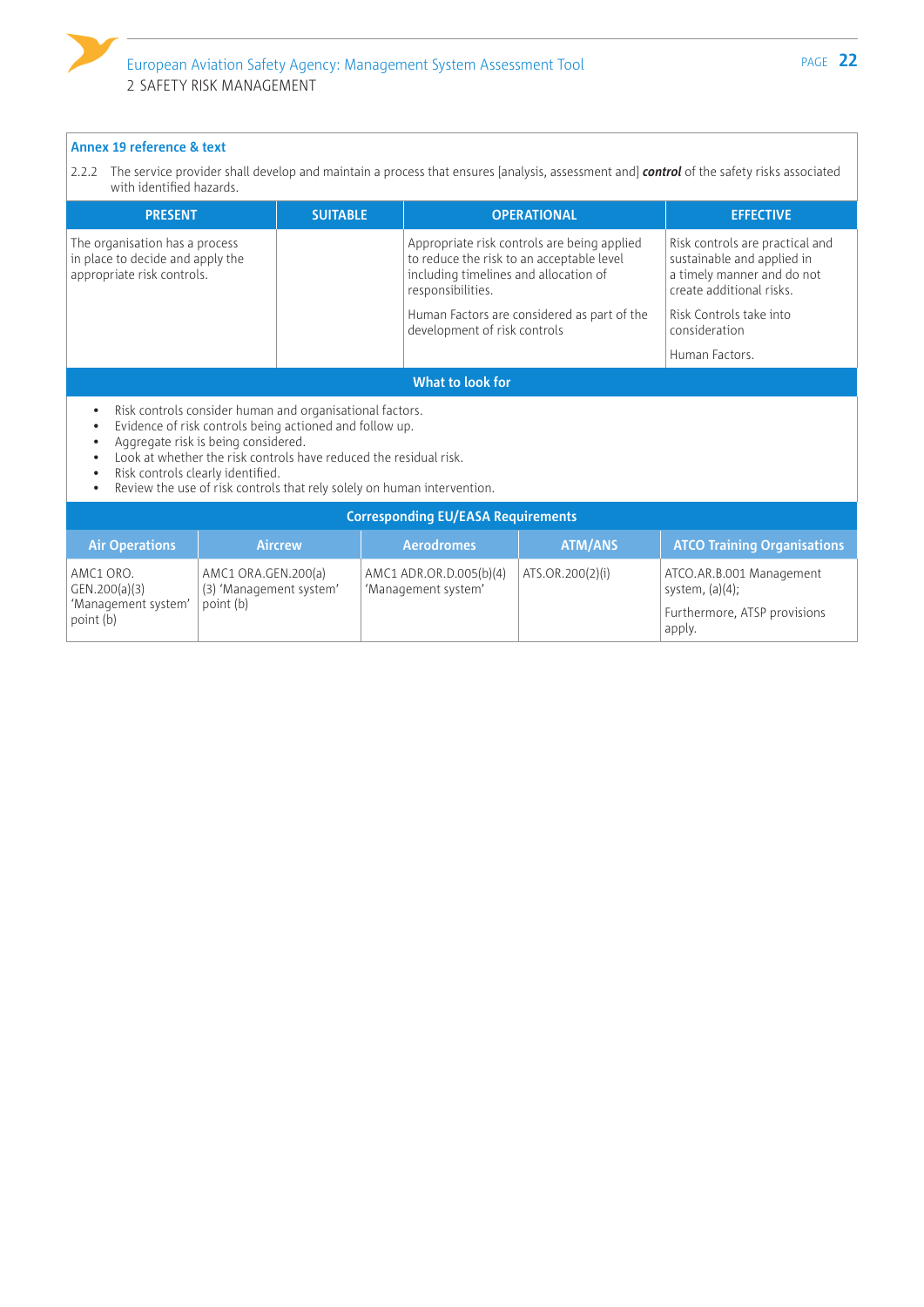2.2.2 The service provider shall develop and maintain a process that ensures [analysis, assessment and] *control* of the safety risks associated with identified hazards.

| <b>PRESENT</b>                                                                                   |                                                                                                                                                                                                                                                                                                                                                 | <b>SUITABLE</b> |                                                                                                         | <b>OPERATIONAL</b>                          | <b>EFFECTIVE</b>                                                                                                        |
|--------------------------------------------------------------------------------------------------|-------------------------------------------------------------------------------------------------------------------------------------------------------------------------------------------------------------------------------------------------------------------------------------------------------------------------------------------------|-----------------|---------------------------------------------------------------------------------------------------------|---------------------------------------------|-------------------------------------------------------------------------------------------------------------------------|
| The organisation has a process<br>in place to decide and apply the<br>appropriate risk controls. |                                                                                                                                                                                                                                                                                                                                                 |                 | to reduce the risk to an acceptable level<br>including timelines and allocation of<br>responsibilities. | Appropriate risk controls are being applied | Risk controls are practical and<br>sustainable and applied in<br>a timely manner and do not<br>create additional risks. |
|                                                                                                  |                                                                                                                                                                                                                                                                                                                                                 |                 | development of risk controls                                                                            | Human Factors are considered as part of the | Risk Controls take into<br>consideration                                                                                |
|                                                                                                  |                                                                                                                                                                                                                                                                                                                                                 |                 |                                                                                                         |                                             | Human Factors.                                                                                                          |
|                                                                                                  |                                                                                                                                                                                                                                                                                                                                                 |                 | What to look for                                                                                        |                                             |                                                                                                                         |
|                                                                                                  | Risk controls consider human and organisational factors.<br>Evidence of risk controls being actioned and follow up.<br>Aggregate risk is being considered.<br>Look at whether the risk controls have reduced the residual risk.<br>Risk controls clearly identified.<br>Review the use of risk controls that rely solely on human intervention. |                 |                                                                                                         |                                             |                                                                                                                         |
|                                                                                                  |                                                                                                                                                                                                                                                                                                                                                 |                 | <b>Corresponding EU/EASA Requirements</b>                                                               |                                             |                                                                                                                         |
| <b>Air Operations</b>                                                                            |                                                                                                                                                                                                                                                                                                                                                 | <b>Aircrew</b>  | <b>Aerodromes</b>                                                                                       | <b>ATM/ANS</b>                              | <b>ATCO Training Organisations</b>                                                                                      |
| AMC1 ORO.<br>GEN.200(a)(3)<br>'Management system'<br>point (b)                                   | AMC1 ORA.GEN.200(a)<br>(3) 'Management system'<br>point (b)                                                                                                                                                                                                                                                                                     |                 | AMC1 ADR.OR.D.005(b)(4)<br>'Management system'                                                          | ATS.OR.200(2)(i)                            | ATCO.AR.B.001 Management<br>system, $(a)(4)$ ;<br>Furthermore, ATSP provisions                                          |
|                                                                                                  |                                                                                                                                                                                                                                                                                                                                                 |                 |                                                                                                         |                                             | apply.                                                                                                                  |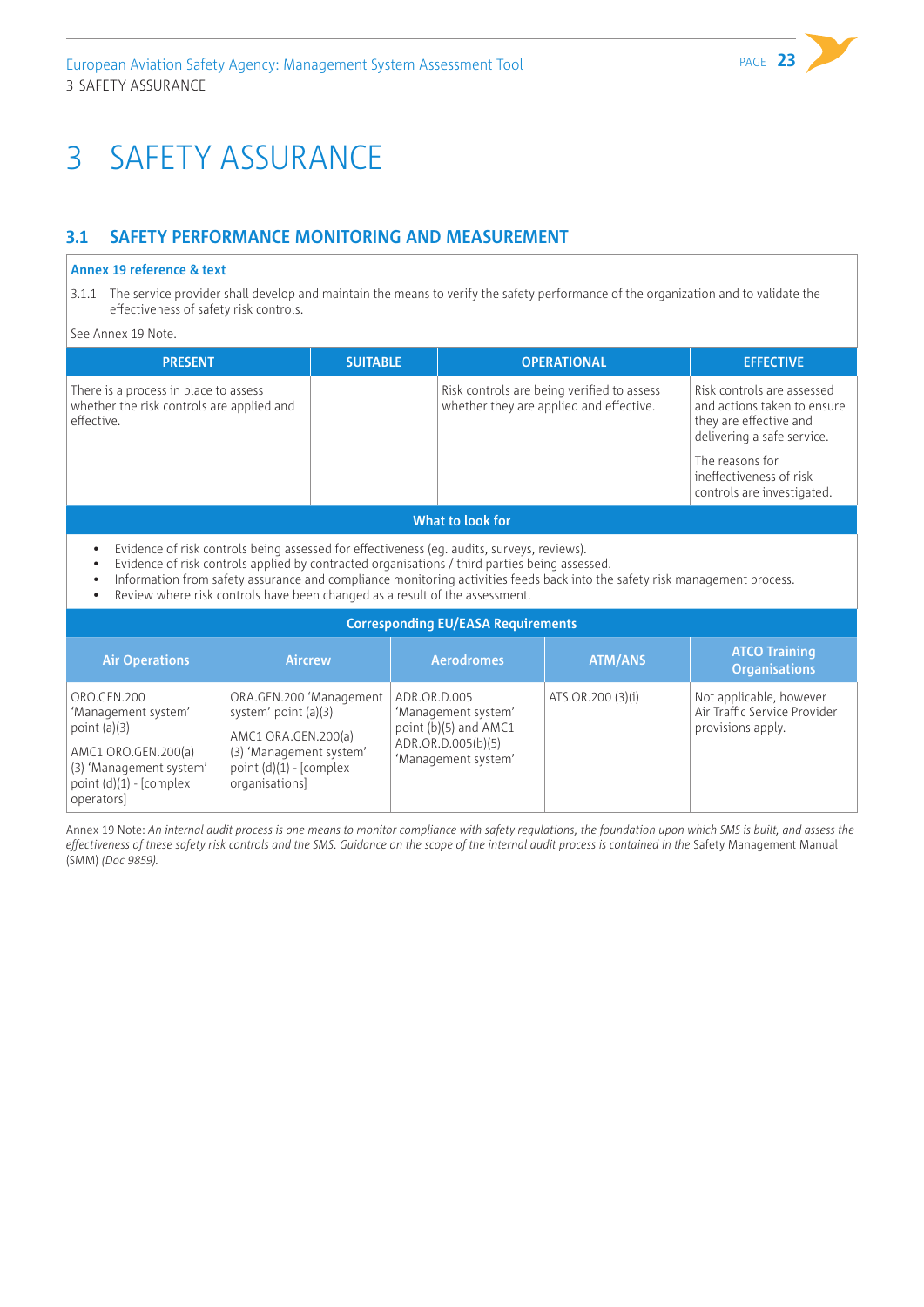# <span id="page-24-0"></span>3 SAFETY ASSURANCE

# **3.1 SAFETY PERFORMANCE MONITORING AND MEASUREMENT**

#### **Annex 19 reference & text**

3.1.1 The service provider shall develop and maintain the means to verify the safety performance of the organization and to validate the effectiveness of safety risk controls.

#### See Annex 19 Note.

| <b>PRESENT</b>                                                                                   | <b>SUITABLE</b> | <b>OPERATIONAL</b>                                                                    | <b>EFFECTIVE</b>                                                                                                                                                                              |  |  |
|--------------------------------------------------------------------------------------------------|-----------------|---------------------------------------------------------------------------------------|-----------------------------------------------------------------------------------------------------------------------------------------------------------------------------------------------|--|--|
| There is a process in place to assess<br>whether the risk controls are applied and<br>effective. |                 | Risk controls are being verified to assess<br>whether they are applied and effective. | Risk controls are assessed<br>and actions taken to ensure<br>they are effective and<br>delivering a safe service.<br>The reasons for<br>ineffectiveness of risk<br>controls are investigated. |  |  |
| What to look for                                                                                 |                 |                                                                                       |                                                                                                                                                                                               |  |  |

- Evidence of risk controls being assessed for effectiveness (eg. audits, surveys, reviews).
- Evidence of risk controls applied by contracted organisations / third parties being assessed.
- Information from safety assurance and compliance monitoring activities feeds back into the safety risk management process.
- Review where risk controls have been changed as a result of the assessment.

| <b>Corresponding EU/EASA Requirements</b>                                                                                                         |                                                                                                                                                  |                                                                                                           |                   |                                                                              |  |
|---------------------------------------------------------------------------------------------------------------------------------------------------|--------------------------------------------------------------------------------------------------------------------------------------------------|-----------------------------------------------------------------------------------------------------------|-------------------|------------------------------------------------------------------------------|--|
| <b>Air Operations</b>                                                                                                                             | <b>Aircrew</b>                                                                                                                                   | <b>Aerodromes</b>                                                                                         | <b>ATM/ANS</b>    | <b>ATCO Training</b><br><b>Organisations</b>                                 |  |
| ORO.GEN.200<br>'Management system'<br>point $(a)(3)$<br>AMC1 ORO.GEN.200(a)<br>(3) 'Management system'<br>point $(d)(1)$ - [complex<br>operators] | ORA.GEN.200 'Management<br>system' point (a)(3)<br>AMC1 ORA.GEN.200(a)<br>(3) 'Management system'<br>point $(d)(1)$ - [complex<br>organisations] | ADR.OR.D.005<br>'Management system'<br>point (b)(5) and AMC1<br>ADR.OR.D.005(b)(5)<br>'Management system' | ATS.OR.200 (3)(i) | Not applicable, however<br>Air Traffic Service Provider<br>provisions apply. |  |

Annex 19 Note: *An internal audit process is one means to monitor compliance with safety regulations, the foundation upon which SMS is built, and assess the*  effectiveness of these safety risk controls and the SMS. Guidance on the scope of the internal audit process is contained in the Safety Management Manual (SMM) *(Doc 9859).*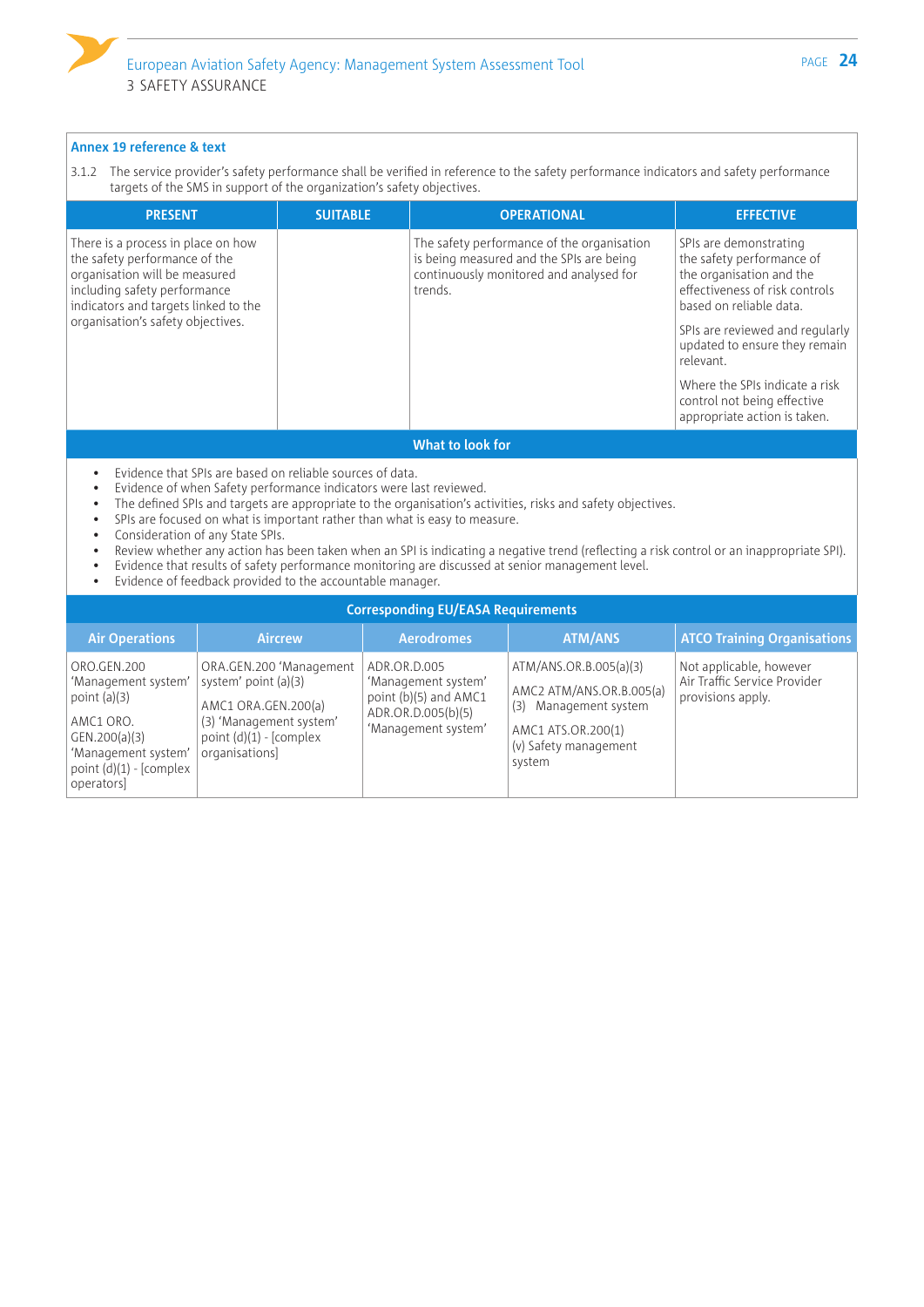3.1.2 The service provider's safety performance shall be verified in reference to the safety performance indicators and safety performance targets of the SMS in support of the organization's safety objectives.

| <b>PRESENT</b>                                                                                                                                                                                                    | <b>SUITABLE</b> | <b>OPERATIONAL</b>                                                                                                                           | <b>EFFECTIVE</b>                                                                                                                                                                                                                                                                                                               |
|-------------------------------------------------------------------------------------------------------------------------------------------------------------------------------------------------------------------|-----------------|----------------------------------------------------------------------------------------------------------------------------------------------|--------------------------------------------------------------------------------------------------------------------------------------------------------------------------------------------------------------------------------------------------------------------------------------------------------------------------------|
| There is a process in place on how<br>the safety performance of the<br>organisation will be measured<br>including safety performance<br>indicators and targets linked to the<br>organisation's safety objectives. |                 | The safety performance of the organisation<br>is being measured and the SPIs are being<br>continuously monitored and analysed for<br>trends. | SPIs are demonstrating<br>the safety performance of<br>the organisation and the<br>effectiveness of risk controls<br>based on reliable data.<br>SPIs are reviewed and regularly<br>updated to ensure they remain<br>relevant.<br>Where the SPIs indicate a risk<br>control not being effective<br>appropriate action is taken. |
|                                                                                                                                                                                                                   |                 | <b>AMERICAN FRANCISCO</b>                                                                                                                    |                                                                                                                                                                                                                                                                                                                                |

#### **What to look fo**

- Evidence that SPIs are based on reliable sources of data.
- Evidence of when Safety performance indicators were last reviewed.
- The defined SPIs and targets are appropriate to the organisation's activities, risks and safety objectives.
- SPIs are focused on what is important rather than what is easy to measure.
- Consideration of any State SPIs.
- Review whether any action has been taken when an SPI is indicating a negative trend (reflecting a risk control or an inappropriate SPI).
- Evidence that results of safety performance monitoring are discussed at senior management level.
- Evidence of feedback provided to the accountable manager.

|                                                                                                                                                      | <b>Corresponding EU/EASA Requirements</b>                                                                                                       |                                                                                                           |                                                                                                                                         |                                                                              |  |
|------------------------------------------------------------------------------------------------------------------------------------------------------|-------------------------------------------------------------------------------------------------------------------------------------------------|-----------------------------------------------------------------------------------------------------------|-----------------------------------------------------------------------------------------------------------------------------------------|------------------------------------------------------------------------------|--|
| <b>Air Operations</b>                                                                                                                                | <b>Aircrew</b>                                                                                                                                  | <b>Aerodromes</b>                                                                                         | <b>ATM/ANS</b>                                                                                                                          | <b>ATCO Training Organisations</b>                                           |  |
| ORO.GEN.200<br>'Management system'<br>point $(a)(3)$<br>AMC1 ORO.<br>GEN.200(a)(3)<br>'Management system'<br>point $(d)(1)$ - [complex<br>operators] | ORA.GEN.200 'Management<br>system' point (a)(3)<br>AMC1 ORA.GEN.200(a)<br>(3) 'Management system'<br>point $(d)(1)$ - [complex<br>organisations | ADR.OR.D.005<br>'Management system'<br>point (b)(5) and AMC1<br>ADR.OR.D.005(b)(5)<br>'Management system' | ATM/ANS.OR.B.005(a)(3)<br>AMC2 ATM/ANS.OR.B.005(a)<br>Management system<br>(3)<br>AMC1 ATS.OR.200(1)<br>(v) Safety management<br>system | Not applicable, however<br>Air Traffic Service Provider<br>provisions apply. |  |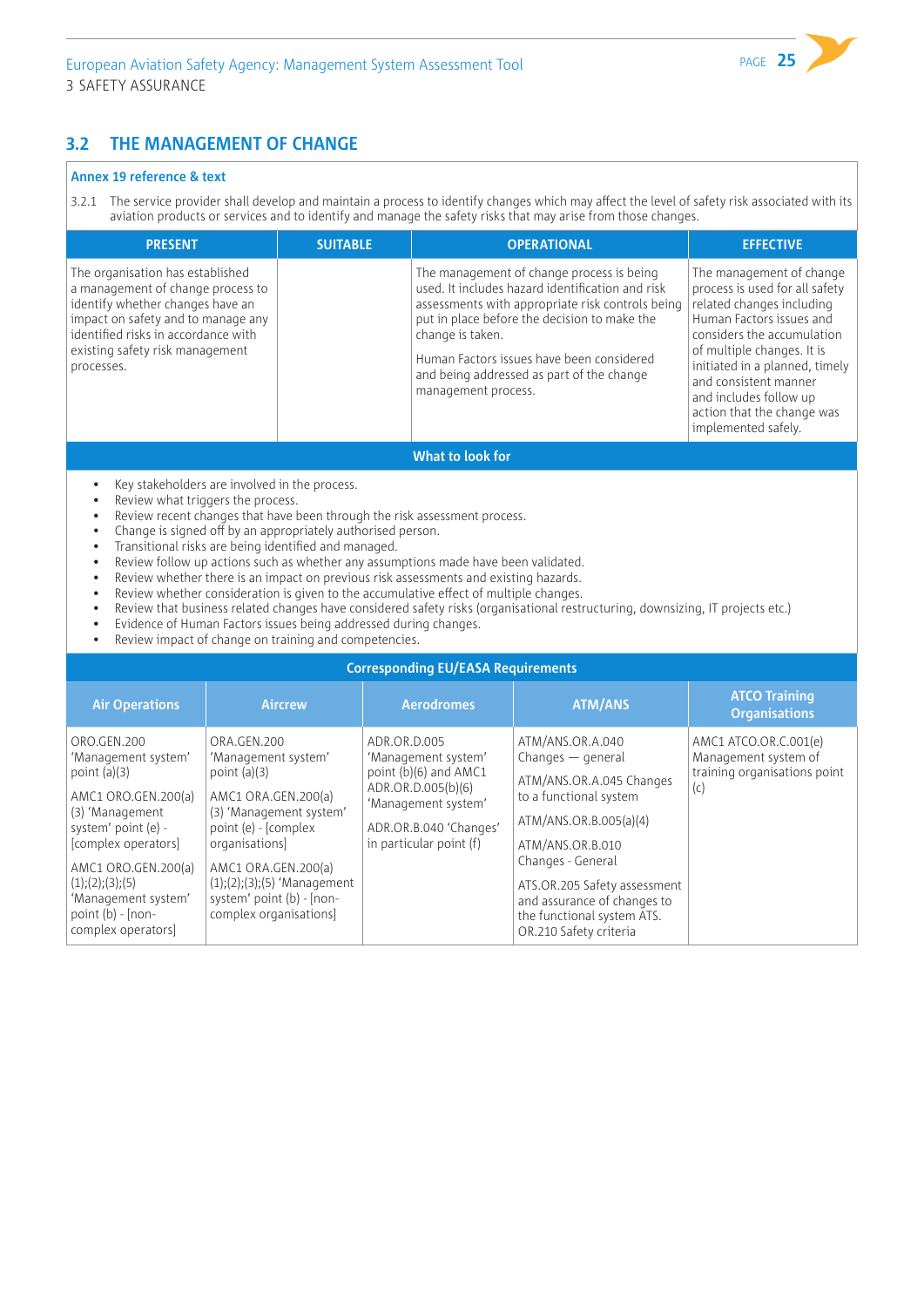### **3.2 THE MANAGEMENT OF CHANGE**

#### **Annex 19 reference & text**

3.2.1 The service provider shall develop and maintain a process to identify changes which may affect the level of safety risk associated with its aviation products or services and to identify and manage the safety risks that may arise from those changes.

| <b>PRESENT</b>                                                                                                                                                                                                                          | <b>SUITABLE</b> | <b>OPERATIONAL</b>                                                                                                                                                                                                                                                                                                                     | <b>EFFECTIVE</b>                                                                                                                                                                                                                                                                                                          |  |  |
|-----------------------------------------------------------------------------------------------------------------------------------------------------------------------------------------------------------------------------------------|-----------------|----------------------------------------------------------------------------------------------------------------------------------------------------------------------------------------------------------------------------------------------------------------------------------------------------------------------------------------|---------------------------------------------------------------------------------------------------------------------------------------------------------------------------------------------------------------------------------------------------------------------------------------------------------------------------|--|--|
| The organisation has established<br>a management of change process to<br>identify whether changes have an<br>impact on safety and to manage any<br>identified risks in accordance with<br>existing safety risk management<br>processes. |                 | The management of change process is being<br>used. It includes hazard identification and risk<br>assessments with appropriate risk controls being<br>put in place before the decision to make the<br>change is taken.<br>Human Factors issues have been considered<br>and being addressed as part of the change<br>management process. | The management of change<br>process is used for all safety<br>related changes including<br>Human Factors issues and<br>considers the accumulation<br>of multiple changes. It is<br>initiated in a planned, timely<br>and consistent manner<br>and includes follow up<br>action that the change was<br>implemented safely. |  |  |
| What to look for                                                                                                                                                                                                                        |                 |                                                                                                                                                                                                                                                                                                                                        |                                                                                                                                                                                                                                                                                                                           |  |  |

- Key stakeholders are involved in the process.
- Review what triggers the process.
- Review recent changes that have been through the risk assessment process.
- Change is signed off by an appropriately authorised person.
- Transitional risks are being identified and managed.
- Review follow up actions such as whether any assumptions made have been validated.
- Review whether there is an impact on previous risk assessments and existing hazards.
- Review whether consideration is given to the accumulative effect of multiple changes.
- Review that business related changes have considered safety risks (organisational restructuring, downsizing, IT projects etc.)
- Evidence of Human Factors issues being addressed during changes.
- Review impact of change on training and competencies.

#### **Corresponding EU/EASA Requirements**

| <b>Air Operations</b>                                                                                                                                                                                                                                         | <b>Aircrew</b>                                                                                                                                                                                                                                                  | <b>Aerodromes</b>                                                                                                                                                | <b>ATM/ANS</b>                                                                                                                                                                                                                                                                          | <b>ATCO Training</b><br><b>Organisations</b>                                         |
|---------------------------------------------------------------------------------------------------------------------------------------------------------------------------------------------------------------------------------------------------------------|-----------------------------------------------------------------------------------------------------------------------------------------------------------------------------------------------------------------------------------------------------------------|------------------------------------------------------------------------------------------------------------------------------------------------------------------|-----------------------------------------------------------------------------------------------------------------------------------------------------------------------------------------------------------------------------------------------------------------------------------------|--------------------------------------------------------------------------------------|
| ORO.GEN.200<br>'Management system'<br>point $(a)(3)$<br>AMC1 ORO.GEN.200(a)<br>(3) 'Management<br>system' point (e) -<br>[complex operators]<br>AMC1 ORO.GEN.200(a)<br>(1); (2); (3); (5)<br>'Management system'<br>point $(b)$ - [non-<br>complex operators] | ORA.GEN.200<br>'Management system'<br>point $(a)(3)$<br>AMC1 ORA.GEN.200(a)<br>(3) 'Management system'<br>point (e) - [complex]<br>organisations<br>AMC1 ORA.GEN.200(a)<br>$(1);(2);(3);(5)$ 'Management<br>system' point (b) - [non-<br>complex organisations] | ADR.OR.D.005<br>'Management system'<br>point (b)(6) and AMC1<br>ADR.OR.D.005(b)(6)<br>'Management system'<br>ADR.OR.B.040 'Changes'<br>in particular point $(f)$ | ATM/ANS.OR.A.040<br>$Changes - general$<br>ATM/ANS.OR.A.045 Changes<br>to a functional system<br>ATM/ANS.OR.B.005(a)(4)<br>ATM/ANS.OR.B.010<br>Changes - General<br>ATS.OR.205 Safety assessment<br>and assurance of changes to<br>the functional system ATS.<br>OR.210 Safety criteria | AMC1 ATCO.OR.C.001(e)<br>Management system of<br>training organisations point<br>(c) |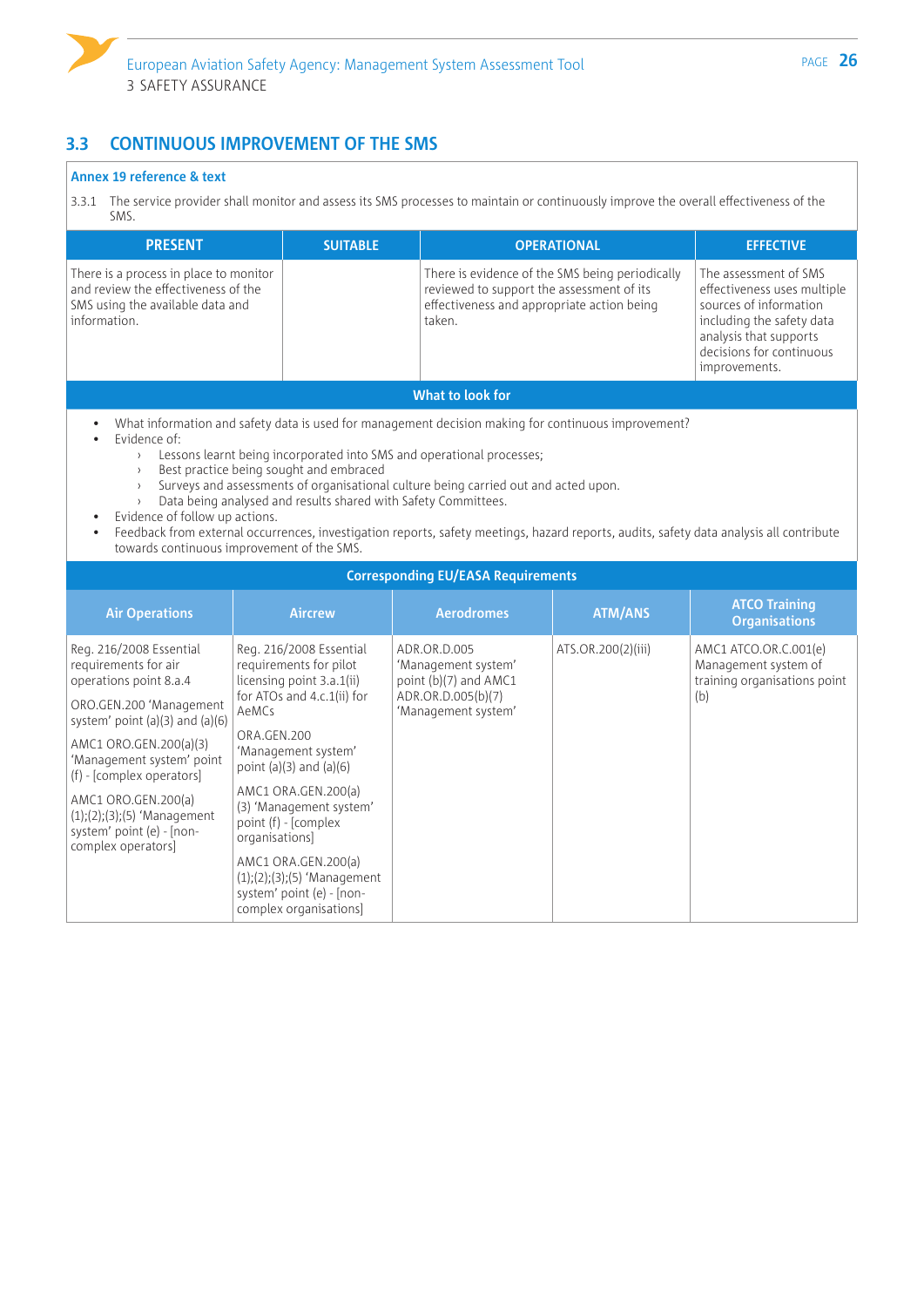

# **3.3 CONTINUOUS IMPROVEMENT OF THE SMS**

complex organisations]

#### **Annex 19 reference & text**

3.3.1 The service provider shall monitor and assess its SMS processes to maintain or continuously improve the overall effectiveness of the SMS.

| <b>PRESENT</b>                                                                                                                                                                                                                                                                                                                             | <b>SUITABLE</b>                                                                                                                                                                                                                                                                                                                                                                                                                                                                                                                                                           |                                                                                                                                                      | <b>OPERATIONAL</b> | <b>EFFECTIVE</b>                                                                                                                                                                   |
|--------------------------------------------------------------------------------------------------------------------------------------------------------------------------------------------------------------------------------------------------------------------------------------------------------------------------------------------|---------------------------------------------------------------------------------------------------------------------------------------------------------------------------------------------------------------------------------------------------------------------------------------------------------------------------------------------------------------------------------------------------------------------------------------------------------------------------------------------------------------------------------------------------------------------------|------------------------------------------------------------------------------------------------------------------------------------------------------|--------------------|------------------------------------------------------------------------------------------------------------------------------------------------------------------------------------|
| There is a process in place to monitor<br>and review the effectiveness of the<br>SMS using the available data and<br>information.                                                                                                                                                                                                          |                                                                                                                                                                                                                                                                                                                                                                                                                                                                                                                                                                           | There is evidence of the SMS being periodically<br>reviewed to support the assessment of its<br>effectiveness and appropriate action being<br>taken. |                    | The assessment of SMS<br>effectiveness uses multiple<br>sources of information<br>including the safety data<br>analysis that supports<br>decisions for continuous<br>improvements. |
|                                                                                                                                                                                                                                                                                                                                            |                                                                                                                                                                                                                                                                                                                                                                                                                                                                                                                                                                           | <b>What to look for</b>                                                                                                                              |                    |                                                                                                                                                                                    |
| Evidence of:<br>$\lambda$<br>$\rightarrow$<br>Evidence of follow up actions.<br>$\bullet$                                                                                                                                                                                                                                                  | What information and safety data is used for management decision making for continuous improvement?<br>Lessons learnt being incorporated into SMS and operational processes;<br>Best practice being sought and embraced<br>Surveys and assessments of organisational culture being carried out and acted upon.<br>Data being analysed and results shared with Safety Committees.<br>Feedback from external occurrences, investigation reports, safety meetings, hazard reports, audits, safety data analysis all contribute<br>towards continuous improvement of the SMS. |                                                                                                                                                      |                    |                                                                                                                                                                                    |
|                                                                                                                                                                                                                                                                                                                                            |                                                                                                                                                                                                                                                                                                                                                                                                                                                                                                                                                                           | <b>Corresponding EU/EASA Requirements</b>                                                                                                            |                    |                                                                                                                                                                                    |
| <b>Air Operations</b>                                                                                                                                                                                                                                                                                                                      | <b>Aircrew</b>                                                                                                                                                                                                                                                                                                                                                                                                                                                                                                                                                            | <b>Aerodromes</b>                                                                                                                                    | <b>ATM/ANS</b>     | <b>ATCO Training</b><br><b>Organisations</b>                                                                                                                                       |
| Reg. 216/2008 Essential<br>requirements for air<br>operations point 8.a.4<br>ORO.GEN.200 'Management<br>system' point $(a)(3)$ and $(a)(6)$<br>AMC1 ORO.GEN.200(a)(3)<br>'Management system' point<br>(f) - [complex operators]<br>AMC1 ORO.GEN.200(a)<br>$(1);(2);(3);(5)$ 'Management<br>system' point (e) - [non-<br>complex operators] | Reg. 216/2008 Essential<br>requirements for pilot<br>licensing point 3.a.1(ii)<br>for ATOs and 4.c.1(ii) for<br>AeMCs<br>ORA.GEN.200<br>'Management system'<br>point $(a)(3)$ and $(a)(6)$<br>AMC1 ORA.GEN.200(a)<br>(3) 'Management system'<br>point (f) - [complex<br>organisations]<br>AMC1 ORA.GEN.200(a)<br>$(1);(2);(3);(5)$ 'Management<br>system' point (e) - [non-                                                                                                                                                                                               | ADR.OR.D.005<br>'Management system'<br>point (b)(7) and AMC1<br>ADR.OR.D.005(b)(7)<br>'Management system'                                            | ATS.OR.200(2)(iii) | AMC1 ATCO.OR.C.001(e)<br>Management system of<br>training organisations point<br>(b)                                                                                               |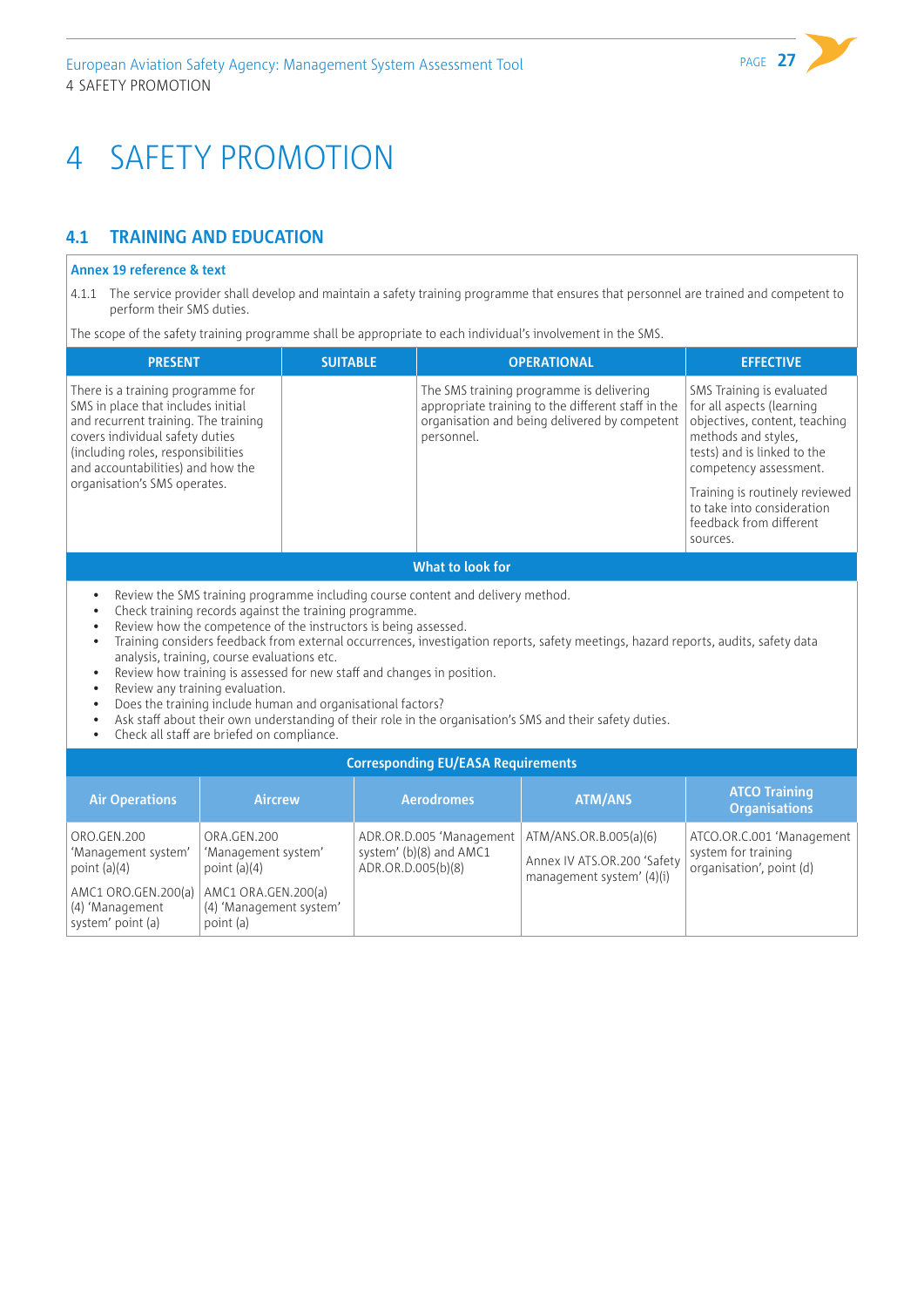# <span id="page-28-0"></span>4 SAFETY PROMOTION

# **4.1 TRAINING AND EDUCATION**

#### **Annex 19 reference & text**

4.1.1 The service provider shall develop and maintain a safety training programme that ensures that personnel are trained and competent to perform their SMS duties.

The scope of the safety training programme shall be appropriate to each individual's involvement in the SMS.

| <b>PRESENT</b>                                                                                                                                                                                                                                                | <b>SUITABLE</b> | <b>OPERATIONAL</b>                                                                                                                                            | <b>EFFECTIVE</b>                                                                                                                                                                                                                        |  |  |
|---------------------------------------------------------------------------------------------------------------------------------------------------------------------------------------------------------------------------------------------------------------|-----------------|---------------------------------------------------------------------------------------------------------------------------------------------------------------|-----------------------------------------------------------------------------------------------------------------------------------------------------------------------------------------------------------------------------------------|--|--|
| There is a training programme for<br>SMS in place that includes initial<br>and recurrent training. The training<br>covers individual safety duties<br>(including roles, responsibilities<br>and accountabilities) and how the<br>organisation's SMS operates. |                 | The SMS training programme is delivering<br>appropriate training to the different staff in the<br>organisation and being delivered by competent<br>personnel. | SMS Training is evaluated<br>for all aspects (learning<br>objectives, content, teaching<br>methods and styles.<br>tests) and is linked to the<br>competency assessment.<br>Training is routinely reviewed<br>to take into consideration |  |  |
|                                                                                                                                                                                                                                                               |                 |                                                                                                                                                               | feedback from different<br>sources.                                                                                                                                                                                                     |  |  |
| What to look for                                                                                                                                                                                                                                              |                 |                                                                                                                                                               |                                                                                                                                                                                                                                         |  |  |

- Review the SMS training programme including course content and delivery method.
- Check training records against the training programme.
- Review how the competence of the instructors is being assessed.
- Training considers feedback from external occurrences, investigation reports, safety meetings, hazard reports, audits, safety data analysis, training, course evaluations etc.
- Review how training is assessed for new staff and changes in position.
- Review any training evaluation.
- Does the training include human and organisational factors?
- Ask staff about their own understanding of their role in the organisation's SMS and their safety duties.
- Check all staff are briefed on compliance.

#### **Corresponding EU/EASA Requirements**

| <b>Air Operations</b>                                                                                               | <b>Aircrew</b>                                                                                                      | <b>Aerodromes</b>                                                         | <b>ATM/ANS</b>                                                                     | <b>ATCO Training</b><br><b>Organisations</b>                                 |
|---------------------------------------------------------------------------------------------------------------------|---------------------------------------------------------------------------------------------------------------------|---------------------------------------------------------------------------|------------------------------------------------------------------------------------|------------------------------------------------------------------------------|
| ORO.GEN.200<br>'Management system'<br>point $(a)(4)$<br>AMC1 ORO.GEN.200(a)<br>(4) 'Management<br>system' point (a) | ORA.GEN.200<br>'Management system'<br>point $(a)(4)$<br>AMC1 ORA.GEN.200(a)<br>(4) 'Management system'<br>point (a) | ADR.OR.D.005 'Management<br>system' (b)(8) and AMC1<br>ADR.OR.D.005(b)(8) | ATM/ANS.OR.B.005(a)(6)<br>Annex IV ATS.OR.200 'Safety<br>management system' (4)(i) | ATCO.OR.C.001 'Management<br>system for training<br>organisation', point (d) |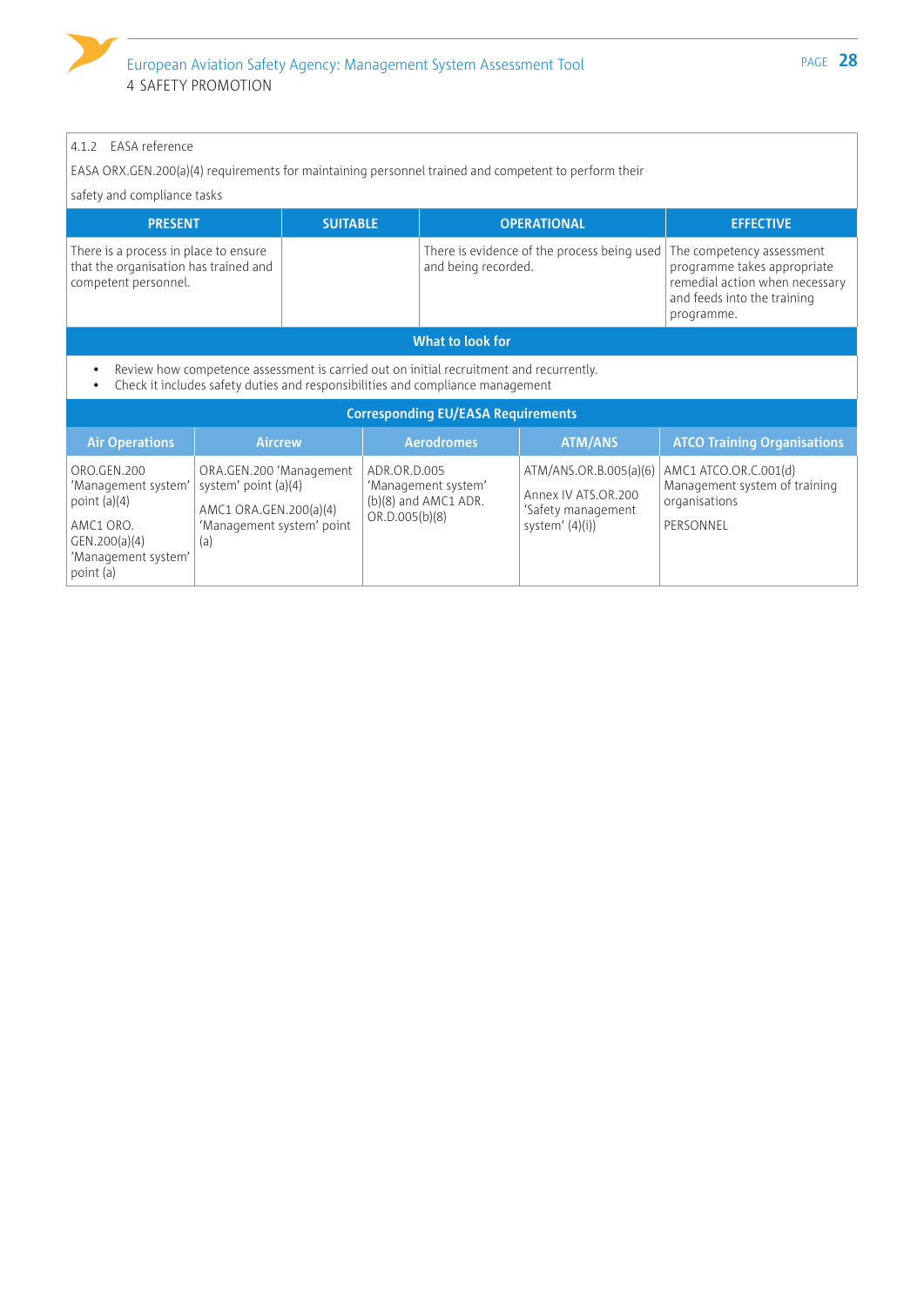### 4.1.2 EASA reference

EASA ORX.GEN.200(a)(4) requirements for maintaining personnel trained and competent to perform their

safety and compliance tasks

| <b>PRESENT</b>                                                                                         | <b>SUITABLE</b> | <b>OPERATIONAL</b>                                                                             | <b>EFFECTIVE</b>                                                                                           |  |
|--------------------------------------------------------------------------------------------------------|-----------------|------------------------------------------------------------------------------------------------|------------------------------------------------------------------------------------------------------------|--|
| There is a process in place to ensure<br>that the organisation has trained and<br>competent personnel. |                 | There is evidence of the process being used   The competency assessment<br>and being recorded. | programme takes appropriate<br>remedial action when necessary<br>and feeds into the training<br>programme. |  |
| What to look for                                                                                       |                 |                                                                                                |                                                                                                            |  |

• Review how competence assessment is carried out on initial recruitment and recurrently.<br>• Check it includes safety duties and responsibilities and compliance management

• Check it includes safety duties and responsibilities and compliance management

| <b>Corresponding EU/EASA Requirements</b>                                                                              |                                                                                                               |                                                                               |                                                                                         |                                                                                      |  |
|------------------------------------------------------------------------------------------------------------------------|---------------------------------------------------------------------------------------------------------------|-------------------------------------------------------------------------------|-----------------------------------------------------------------------------------------|--------------------------------------------------------------------------------------|--|
| <b>Air Operations</b>                                                                                                  | <b>Aircrew</b>                                                                                                | <b>Aerodromes</b>                                                             | <b>ATM/ANS</b>                                                                          | <b>ATCO Training Organisations</b>                                                   |  |
| ORO.GEN.200<br>'Management system'<br>point $(a)(4)$<br>AMC1 ORO.<br>GEN.200(a)(4)<br>'Management system'<br>point (a) | ORA.GEN.200 'Management<br>system' point (a)(4)<br>AMC1 ORA.GEN.200(a)(4)<br>'Management system' point<br>(a) | ADR.OR.D.005<br>'Management system'<br>(b)(8) and AMC1 ADR.<br>OR.D.005(b)(8) | ATM/ANS.OR.B.005(a)(6)<br>Annex IV ATS.OR.200<br>'Safety management<br>system' $(4)(i)$ | AMC1 ATCO.OR.C.001(d)<br>Management system of training<br>organisations<br>PERSONNEL |  |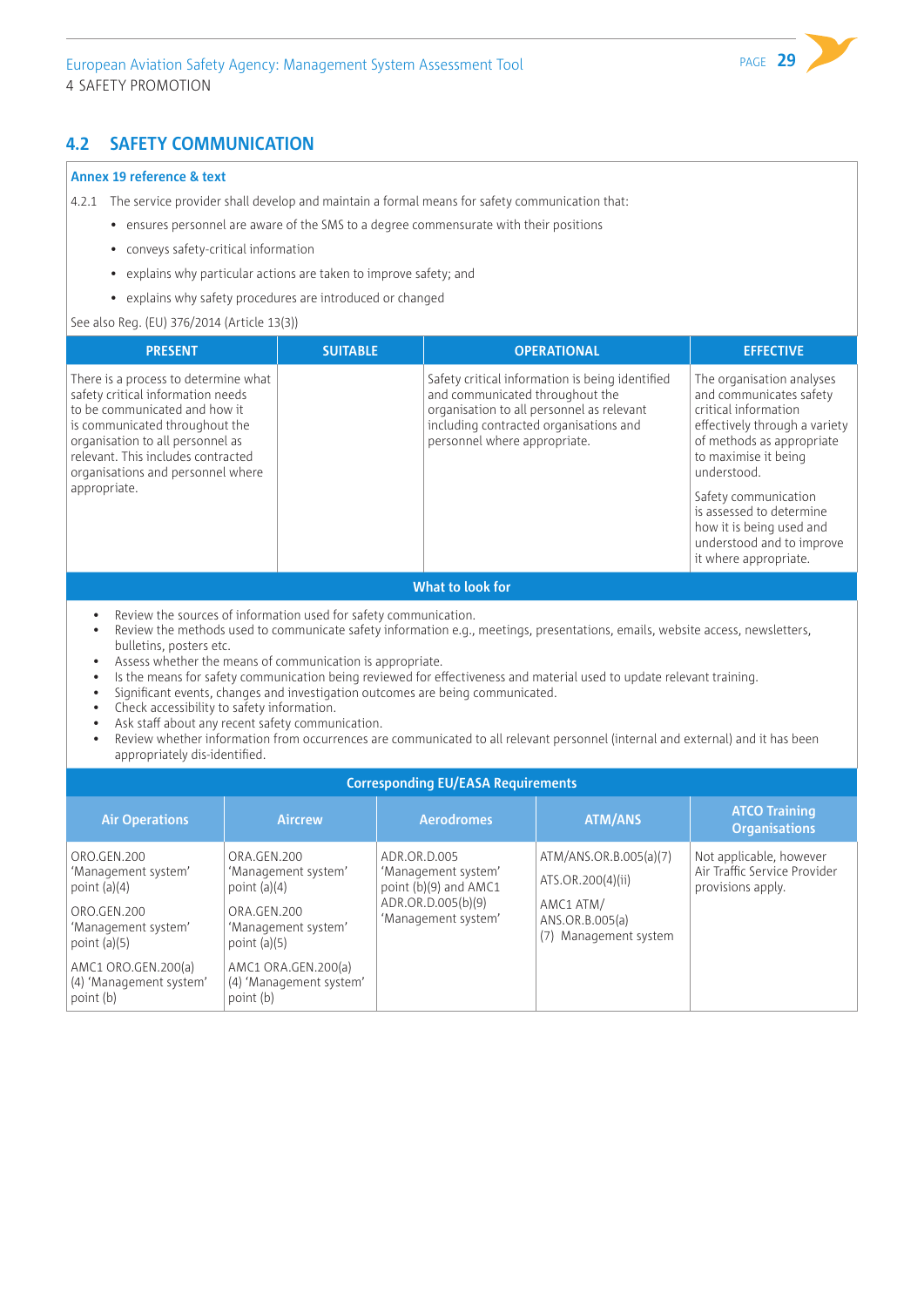### **4.2 SAFETY COMMUNICATION**

#### **Annex 19 reference & text**

4.2.1 The service provider shall develop and maintain a formal means for safety communication that:

- ensures personnel are aware of the SMS to a degree commensurate with their positions
- conveys safety-critical information
- explains why particular actions are taken to improve safety; and
- explains why safety procedures are introduced or changed

#### See also Reg. (EU) 376/2014 (Article 13(3))

| <b>PRESENT</b>                                                                                                                                                                                                                                                              | <b>SUITABLE</b> | <b>OPERATIONAL</b>                                                                                                                                                                                        | <b>EFFECTIVE</b>                                                                                                                                                                                                                                                                                                        |
|-----------------------------------------------------------------------------------------------------------------------------------------------------------------------------------------------------------------------------------------------------------------------------|-----------------|-----------------------------------------------------------------------------------------------------------------------------------------------------------------------------------------------------------|-------------------------------------------------------------------------------------------------------------------------------------------------------------------------------------------------------------------------------------------------------------------------------------------------------------------------|
| There is a process to determine what<br>safety critical information needs<br>to be communicated and how it<br>is communicated throughout the<br>organisation to all personnel as<br>relevant. This includes contracted<br>organisations and personnel where<br>appropriate. |                 | Safety critical information is being identified<br>and communicated throughout the<br>organisation to all personnel as relevant<br>including contracted organisations and<br>personnel where appropriate. | The organisation analyses<br>and communicates safety<br>critical information<br>effectively through a variety<br>of methods as appropriate<br>to maximise it being<br>understood.<br>Safety communication<br>is assessed to determine<br>how it is being used and<br>understood and to improve<br>it where appropriate. |

#### **What to look for**

- Review the sources of information used for safety communication.
- Review the methods used to communicate safety information e.g., meetings, presentations, emails, website access, newsletters, bulletins, posters etc.
- Assess whether the means of communication is appropriate.
- Is the means for safety communication being reviewed for effectiveness and material used to update relevant training.
- Significant events, changes and investigation outcomes are being communicated.
- Check accessibility to safety information.
- Ask staff about any recent safety communication.
- Review whether information from occurrences are communicated to all relevant personnel (internal and external) and it has been appropriately dis-identified.

### **Corresponding EU/EASA Requirements**

| <b>Air Operations</b>                                                                                                                                                       | <b>Aircrew</b>                                                                                                                                                              | <b>Aerodromes</b>                                                                                         | <b>ATM/ANS</b>                                                                                       | <b>ATCO Training</b><br><b>Organisations</b>                                 |  |  |
|-----------------------------------------------------------------------------------------------------------------------------------------------------------------------------|-----------------------------------------------------------------------------------------------------------------------------------------------------------------------------|-----------------------------------------------------------------------------------------------------------|------------------------------------------------------------------------------------------------------|------------------------------------------------------------------------------|--|--|
| ORO.GEN.200<br>'Management system'<br>point $(a)(4)$<br>ORO.GEN.200<br>'Management system'<br>point $(a)(5)$<br>AMC1 ORO.GEN.200(a)<br>(4) 'Management system'<br>point (b) | ORA.GEN.200<br>'Management system'<br>point $(a)(4)$<br>ORA.GEN.200<br>'Management system'<br>point $(a)(5)$<br>AMC1 ORA.GEN.200(a)<br>(4) 'Management system'<br>point (b) | ADR.OR.D.005<br>'Management system'<br>point (b)(9) and AMC1<br>ADR.OR.D.005(b)(9)<br>'Management system' | ATM/ANS.OR.B.005(a)(7)<br>ATS.OR.200(4)(ii)<br>AMC1 ATM/<br>ANS.OR.B.005(a)<br>(7) Management system | Not applicable, however<br>Air Traffic Service Provider<br>provisions apply. |  |  |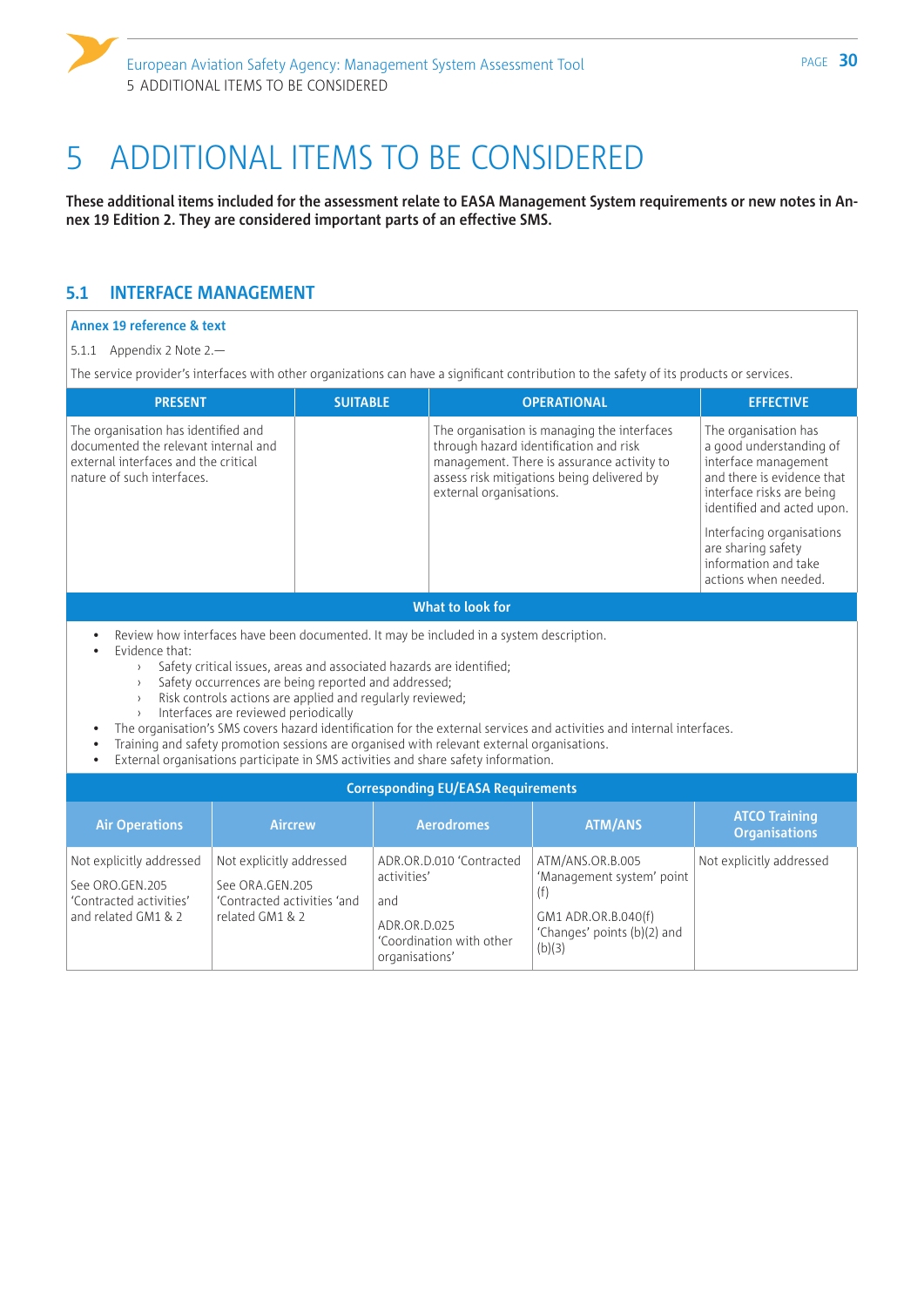# <span id="page-31-0"></span>5 ADDITIONAL ITEMS TO BE CONSIDERED

**These additional items included for the assessment relate to EASA Management System requirements or new notes in Annex 19 Edition 2. They are considered important parts of an effective SMS.**

### **5.1 INTERFACE MANAGEMENT**

#### **Annex 19 reference & text**

#### 5.1.1 Appendix 2 Note 2.—

The service provider's interfaces with other organizations can have a significant contribution to the safety of its products or services.

| <b>PRESENT</b>                                                                                                                                    | <b>SUITABLE</b> | <b>OPERATIONAL</b>                                                                                                                                                                                           | <b>EFFECTIVE</b>                                                                                                                                                                                                                                                    |  |  |
|---------------------------------------------------------------------------------------------------------------------------------------------------|-----------------|--------------------------------------------------------------------------------------------------------------------------------------------------------------------------------------------------------------|---------------------------------------------------------------------------------------------------------------------------------------------------------------------------------------------------------------------------------------------------------------------|--|--|
| The organisation has identified and<br>documented the relevant internal and<br>external interfaces and the critical<br>nature of such interfaces. |                 | The organisation is managing the interfaces<br>through hazard identification and risk<br>management. There is assurance activity to<br>assess risk mitigations being delivered by<br>external organisations. | The organisation has<br>a good understanding of<br>interface management<br>and there is evidence that<br>interface risks are being<br>identified and acted upon.<br>Interfacing organisations<br>are sharing safety<br>information and take<br>actions when needed. |  |  |
| What to look for                                                                                                                                  |                 |                                                                                                                                                                                                              |                                                                                                                                                                                                                                                                     |  |  |
| Review how interfaces have been documented. It may be included in a system description.                                                           |                 |                                                                                                                                                                                                              |                                                                                                                                                                                                                                                                     |  |  |

- Evidence that:
	- › Safety critical issues, areas and associated hazards are identified;
	- › Safety occurrences are being reported and addressed;
	- › Risk controls actions are applied and regularly reviewed;
	- › Interfaces are reviewed periodically
- The organisation's SMS covers hazard identification for the external services and activities and internal interfaces.
- Training and safety promotion sessions are organised with relevant external organisations.
- External organisations participate in SMS activities and share safety information.

| <b>Corresponding EU/EASA Requirements</b>                                                     |                                                                                               |                                                                                                              |                                                                                                               |                                              |  |
|-----------------------------------------------------------------------------------------------|-----------------------------------------------------------------------------------------------|--------------------------------------------------------------------------------------------------------------|---------------------------------------------------------------------------------------------------------------|----------------------------------------------|--|
| <b>Air Operations</b>                                                                         | <b>Aircrew</b>                                                                                | <b>Aerodromes</b>                                                                                            | <b>ATM/ANS</b>                                                                                                | <b>ATCO Training</b><br><b>Organisations</b> |  |
| Not explicitly addressed<br>See ORO.GEN.205<br>'Contracted activities'<br>and related GM1 & 2 | Not explicitly addressed<br>See ORA.GEN.205<br>'Contracted activities 'and<br>related GM1 & 2 | ADR.OR.D.010 'Contracted<br>activities'<br>and<br>ADR.OR.D.025<br>'Coordination with other<br>organisations' | ATM/ANS.OR.B.005<br>'Management system' point<br>GM1 ADR.OR.B.040(f)<br>'Changes' points (b)(2) and<br>(b)(3) | Not explicitly addressed                     |  |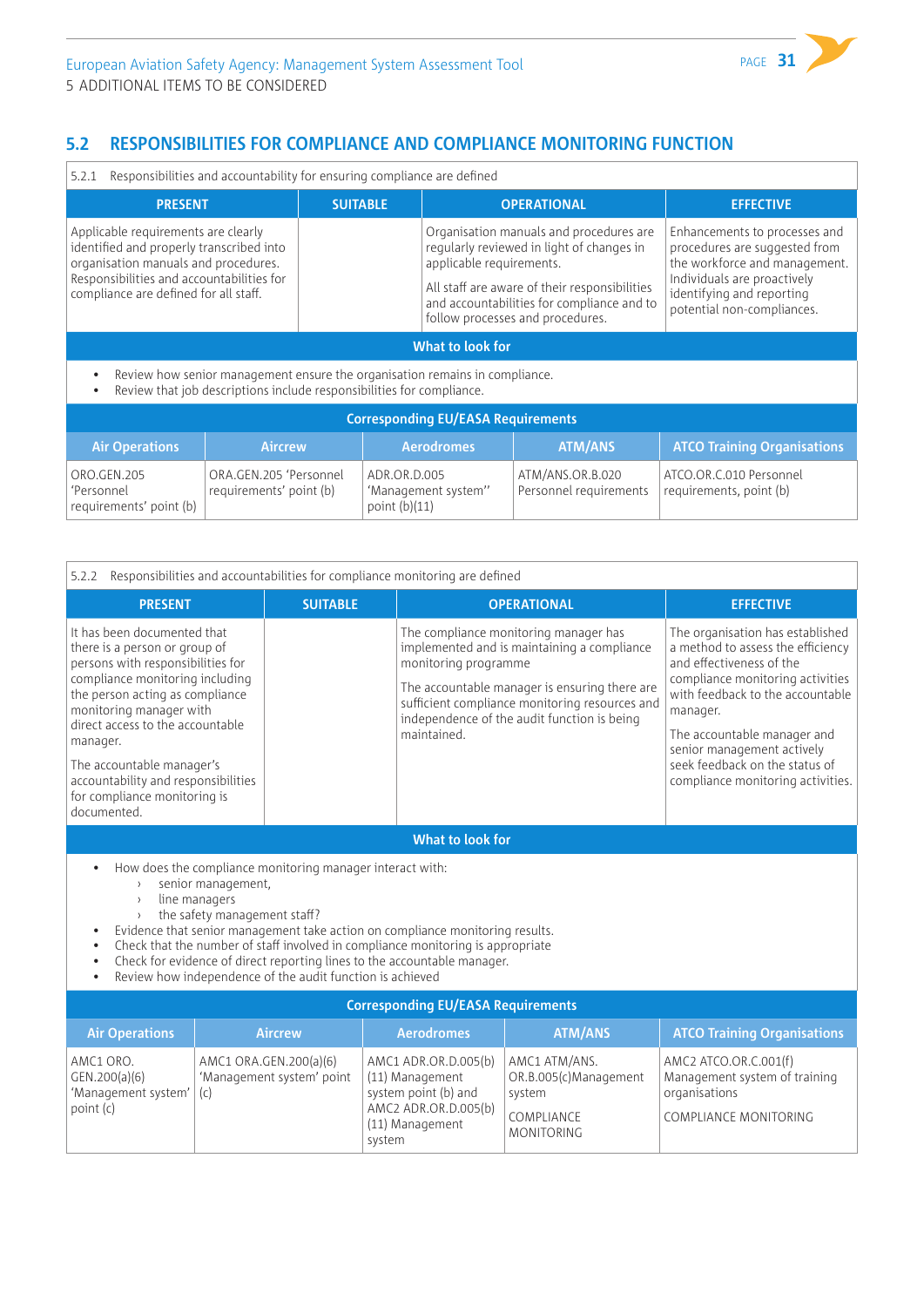# **5.2 RESPONSIBILITIES FOR COMPLIANCE AND COMPLIANCE MONITORING FUNCTION**

5.2.1 Responsibilities and accountability for ensuring compliance are defined

| responsibilities and accountability for chisarmiq complianted are achi                                                                                                                                        |                 |                                                                                                                                                                                                                                                     |                                                                                                                                                                                           |  |  |
|---------------------------------------------------------------------------------------------------------------------------------------------------------------------------------------------------------------|-----------------|-----------------------------------------------------------------------------------------------------------------------------------------------------------------------------------------------------------------------------------------------------|-------------------------------------------------------------------------------------------------------------------------------------------------------------------------------------------|--|--|
| <b>PRESENT</b>                                                                                                                                                                                                | <b>SUITABLE</b> | <b>OPERATIONAL</b>                                                                                                                                                                                                                                  | <b>EFFECTIVE</b>                                                                                                                                                                          |  |  |
| Applicable requirements are clearly<br>identified and properly transcribed into<br>organisation manuals and procedures.<br>Responsibilities and accountabilities for<br>compliance are defined for all staff. |                 | Organisation manuals and procedures are<br>regularly reviewed in light of changes in<br>applicable requirements.<br>All staff are aware of their responsibilities<br>and accountabilities for compliance and to<br>follow processes and procedures. | Enhancements to processes and<br>procedures are suggested from<br>the workforce and management.<br>Individuals are proactively<br>identifying and reporting<br>potential non-compliances. |  |  |
|                                                                                                                                                                                                               |                 | What to look for                                                                                                                                                                                                                                    |                                                                                                                                                                                           |  |  |
| Review how senior management ensure the organisation remains in compliance.<br>Review that job descriptions include responsibilities for compliance.                                                          |                 |                                                                                                                                                                                                                                                     |                                                                                                                                                                                           |  |  |
|                                                                                                                                                                                                               |                 | Corrosponding ELL/EACA Doquiromants                                                                                                                                                                                                                 |                                                                                                                                                                                           |  |  |

| <b>Corresponding EU/EASA Requirements</b>            |                                                   |                                                        |                                            |                                                    |  |
|------------------------------------------------------|---------------------------------------------------|--------------------------------------------------------|--------------------------------------------|----------------------------------------------------|--|
| <b>Air Operations</b>                                | <b>Aircrew</b>                                    | <b>Aerodromes</b>                                      | <b>ATM/ANS</b>                             | <b>ATCO Training Organisations</b>                 |  |
| ORO.GEN.205<br>'Personnel<br>requirements' point (b) | ORA.GEN.205 'Personnel<br>requirements' point (b) | ADR.OR.D.005<br>'Management system"<br>point $(b)(11)$ | ATM/ANS.OR.B.020<br>Personnel requirements | ATCO.OR.C.010 Personnel<br>requirements, point (b) |  |

| Responsibilities and accountabilities for compliance monitoring are defined<br>5.2.2                                                                                                                                                                                                                                                                                                                                                                                                                               |                                                            |                                                                                                                      |                                                                                                                                                                                                                                        |                                                                                                                                                                                                                                                                                                                           |  |  |
|--------------------------------------------------------------------------------------------------------------------------------------------------------------------------------------------------------------------------------------------------------------------------------------------------------------------------------------------------------------------------------------------------------------------------------------------------------------------------------------------------------------------|------------------------------------------------------------|----------------------------------------------------------------------------------------------------------------------|----------------------------------------------------------------------------------------------------------------------------------------------------------------------------------------------------------------------------------------|---------------------------------------------------------------------------------------------------------------------------------------------------------------------------------------------------------------------------------------------------------------------------------------------------------------------------|--|--|
| <b>PRESENT</b>                                                                                                                                                                                                                                                                                                                                                                                                                                                                                                     | <b>SUITABLE</b>                                            |                                                                                                                      | <b>OPERATIONAL</b>                                                                                                                                                                                                                     | <b>EFFECTIVE</b>                                                                                                                                                                                                                                                                                                          |  |  |
| It has been documented that<br>there is a person or group of<br>persons with responsibilities for<br>compliance monitoring including<br>the person acting as compliance<br>monitoring manager with<br>direct access to the accountable<br>manager.<br>The accountable manager's<br>accountability and responsibilities<br>for compliance monitoring is<br>documented.                                                                                                                                              |                                                            | monitoring programme<br>maintained.                                                                                  | The compliance monitoring manager has<br>implemented and is maintaining a compliance<br>The accountable manager is ensuring there are<br>sufficient compliance monitoring resources and<br>independence of the audit function is being | The organisation has established<br>a method to assess the efficiency<br>and effectiveness of the<br>compliance monitoring activities<br>with feedback to the accountable<br>manager.<br>The accountable manager and<br>senior management actively<br>seek feedback on the status of<br>compliance monitoring activities. |  |  |
| What to look for                                                                                                                                                                                                                                                                                                                                                                                                                                                                                                   |                                                            |                                                                                                                      |                                                                                                                                                                                                                                        |                                                                                                                                                                                                                                                                                                                           |  |  |
| How does the compliance monitoring manager interact with:<br>senior management,<br>$\rightarrow$<br>line managers<br>$\lambda$<br>the safety management staff?<br>Evidence that senior management take action on compliance monitoring results.<br>$\bullet$<br>Check that the number of staff involved in compliance monitoring is appropriate<br>$\bullet$<br>Check for evidence of direct reporting lines to the accountable manager.<br>Review how independence of the audit function is achieved<br>$\bullet$ |                                                            |                                                                                                                      |                                                                                                                                                                                                                                        |                                                                                                                                                                                                                                                                                                                           |  |  |
| <b>Corresponding EU/EASA Requirements</b>                                                                                                                                                                                                                                                                                                                                                                                                                                                                          |                                                            |                                                                                                                      |                                                                                                                                                                                                                                        |                                                                                                                                                                                                                                                                                                                           |  |  |
| <b>Air Operations</b>                                                                                                                                                                                                                                                                                                                                                                                                                                                                                              | <b>Aircrew</b>                                             | <b>Aerodromes</b>                                                                                                    | <b>ATM/ANS</b>                                                                                                                                                                                                                         | <b>ATCO Training Organisations</b>                                                                                                                                                                                                                                                                                        |  |  |
| AMC1 ORO.<br>GEN.200(a)(6)<br>'Management system'<br>point (c)                                                                                                                                                                                                                                                                                                                                                                                                                                                     | AMC1 ORA.GEN.200(a)(6)<br>'Management system' point<br>(c) | AMC1 ADR.OR.D.005(b)<br>(11) Management<br>system point (b) and<br>AMC2 ADR.OR.D.005(b)<br>(11) Management<br>system | AMC1 ATM/ANS.<br>OR.B.005(c)Management<br>system<br>COMPLIANCE<br><b>MONITORING</b>                                                                                                                                                    | AMC2 ATCO.OR.C.001(f)<br>Management system of training<br>organisations<br><b>COMPLIANCE MONITORING</b>                                                                                                                                                                                                                   |  |  |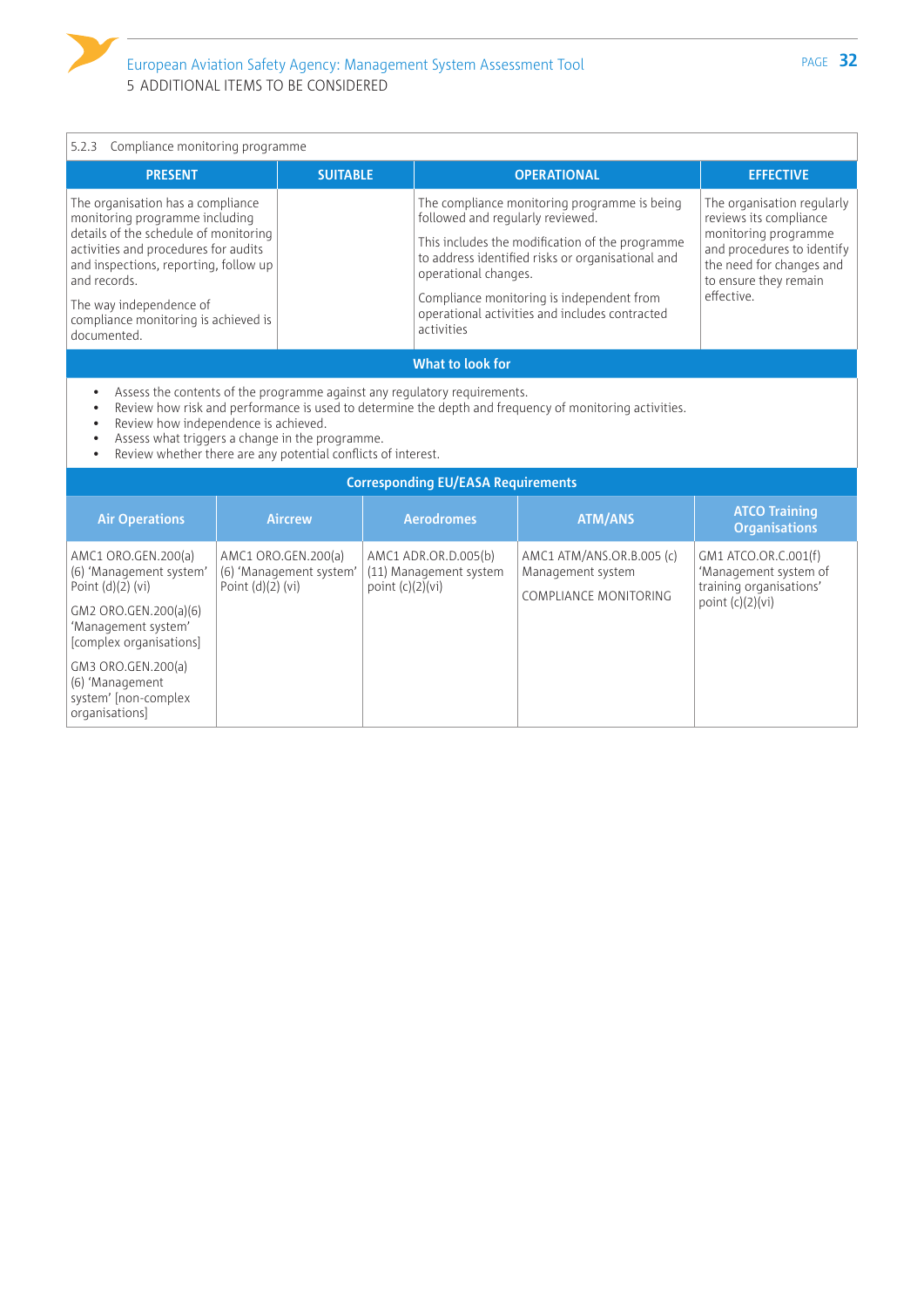# 5.2.3 Compliance monitoring programme

| <b>PRESENT</b>                                                                                                                                                                                                                                                                                  | <b>SUITABLE</b> | <b>OPERATIONAL</b>                                                                                                                                                                                                                                                                                                            | <b>EFFECTIVE</b>                                                                                                                                                              |  |
|-------------------------------------------------------------------------------------------------------------------------------------------------------------------------------------------------------------------------------------------------------------------------------------------------|-----------------|-------------------------------------------------------------------------------------------------------------------------------------------------------------------------------------------------------------------------------------------------------------------------------------------------------------------------------|-------------------------------------------------------------------------------------------------------------------------------------------------------------------------------|--|
| The organisation has a compliance<br>monitoring programme including<br>details of the schedule of monitoring<br>activities and procedures for audits<br>and inspections, reporting, follow up<br>and records.<br>The way independence of<br>compliance monitoring is achieved is<br>documented. |                 | The compliance monitoring programme is being<br>followed and regularly reviewed.<br>This includes the modification of the programme<br>to address identified risks or organisational and<br>operational changes.<br>Compliance monitoring is independent from<br>operational activities and includes contracted<br>activities | The organisation regularly<br>reviews its compliance<br>monitoring programme<br>and procedures to identify<br>the need for changes and<br>to ensure they remain<br>effective. |  |
| What to look for                                                                                                                                                                                                                                                                                |                 |                                                                                                                                                                                                                                                                                                                               |                                                                                                                                                                               |  |

- Assess the contents of the programme against any regulatory requirements.
- Review how risk and performance is used to determine the depth and frequency of monitoring activities.
- Review how independence is achieved.
- Assess what triggers a change in the programme.<br>• Review whether there are any potential conflicts of
- Review whether there are any potential conflicts of interest.

| <b>Corresponding EU/EASA Requirements</b>                                                                                                                                                                                           |                                                                       |                                                                      |                                                                         |                                                                                                |  |
|-------------------------------------------------------------------------------------------------------------------------------------------------------------------------------------------------------------------------------------|-----------------------------------------------------------------------|----------------------------------------------------------------------|-------------------------------------------------------------------------|------------------------------------------------------------------------------------------------|--|
| <b>Air Operations</b>                                                                                                                                                                                                               | <b>Aircrew</b>                                                        | <b>Aerodromes</b>                                                    | <b>ATM/ANS</b>                                                          | <b>ATCO Training</b><br><b>Organisations</b>                                                   |  |
| AMC1 ORO.GEN.200(a)<br>(6) 'Management system'<br>Point $(d)(2)$ (vi)<br>GM2 ORO.GEN.200(a)(6)<br>'Management system'<br>[complex organisations]<br>GM3 ORO.GEN.200(a)<br>(6) 'Management<br>system' [non-complex<br>organisations] | AMC1 ORO.GEN.200(a)<br>(6) 'Management system'<br>Point $(d)(2)$ (vi) | AMC1 ADR.OR.D.005(b)<br>(11) Management system<br>point $(c)(2)(vi)$ | AMC1 ATM/ANS.OR.B.005 (c)<br>Management system<br>COMPLIANCE MONITORING | GM1 ATCO.OR.C.001(f)<br>'Management system of<br>training organisations'<br>point $(c)(2)(vi)$ |  |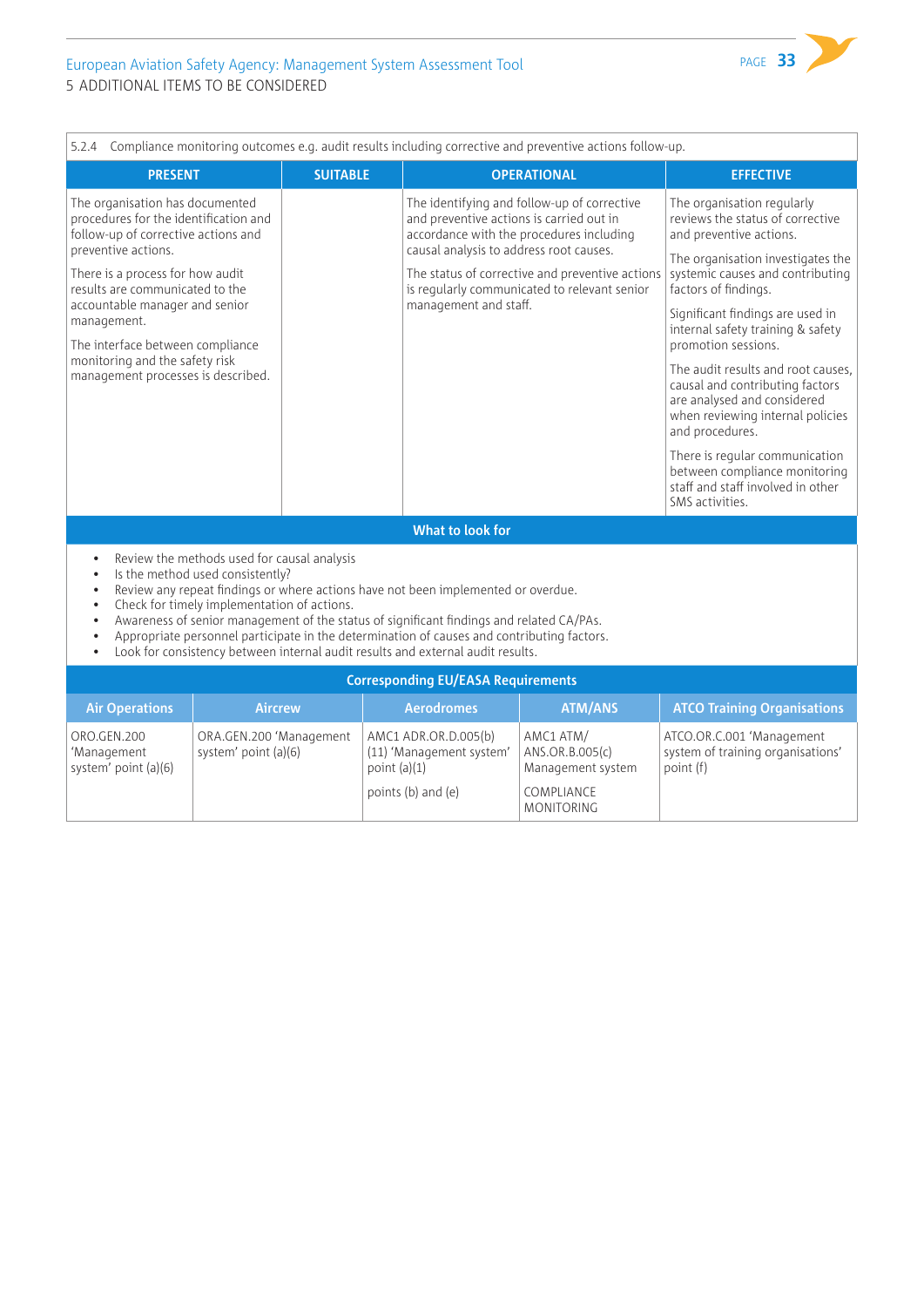| 5.2.4 Compliance monitoring outcomes e.g. audit results including corrective and preventive actions follow-up.                                                                                                                                                                                                                                                                                                                                                                                                                                                                              |                                                 |                 |                                                                                                              |                                                                                                                                                                                            |                                                                                                                                                                                                                                                                                                                                                                                                                                                                                                                                                                                      |
|---------------------------------------------------------------------------------------------------------------------------------------------------------------------------------------------------------------------------------------------------------------------------------------------------------------------------------------------------------------------------------------------------------------------------------------------------------------------------------------------------------------------------------------------------------------------------------------------|-------------------------------------------------|-----------------|--------------------------------------------------------------------------------------------------------------|--------------------------------------------------------------------------------------------------------------------------------------------------------------------------------------------|--------------------------------------------------------------------------------------------------------------------------------------------------------------------------------------------------------------------------------------------------------------------------------------------------------------------------------------------------------------------------------------------------------------------------------------------------------------------------------------------------------------------------------------------------------------------------------------|
| <b>PRESENT</b>                                                                                                                                                                                                                                                                                                                                                                                                                                                                                                                                                                              |                                                 | <b>SUITABLE</b> |                                                                                                              | <b>OPERATIONAL</b>                                                                                                                                                                         | <b>EFFECTIVE</b>                                                                                                                                                                                                                                                                                                                                                                                                                                                                                                                                                                     |
| The organisation has documented<br>procedures for the identification and<br>follow-up of corrective actions and<br>preventive actions.<br>There is a process for how audit<br>results are communicated to the<br>accountable manager and senior<br>management.<br>The interface between compliance<br>monitoring and the safety risk<br>management processes is described.                                                                                                                                                                                                                  |                                                 |                 | and preventive actions is carried out in<br>causal analysis to address root causes.<br>management and staff. | The identifying and follow-up of corrective<br>accordance with the procedures including<br>The status of corrective and preventive actions<br>is regularly communicated to relevant senior | The organisation regularly<br>reviews the status of corrective<br>and preventive actions.<br>The organisation investigates the<br>systemic causes and contributing<br>factors of findings.<br>Significant findings are used in<br>internal safety training & safety<br>promotion sessions.<br>The audit results and root causes.<br>causal and contributing factors<br>are analysed and considered<br>when reviewing internal policies<br>and procedures.<br>There is regular communication<br>between compliance monitoring<br>staff and staff involved in other<br>SMS activities. |
| What to look for                                                                                                                                                                                                                                                                                                                                                                                                                                                                                                                                                                            |                                                 |                 |                                                                                                              |                                                                                                                                                                                            |                                                                                                                                                                                                                                                                                                                                                                                                                                                                                                                                                                                      |
| Review the methods used for causal analysis<br>$\bullet$<br>Is the method used consistently?<br>$\bullet$<br>Review any repeat findings or where actions have not been implemented or overdue.<br>$\bullet$<br>Check for timely implementation of actions.<br>$\bullet$<br>Awareness of senior management of the status of significant findings and related CA/PAs.<br>$\bullet$<br>Appropriate personnel participate in the determination of causes and contributing factors.<br>$\bullet$<br>Look for consistency between internal audit results and external audit results.<br>$\bullet$ |                                                 |                 |                                                                                                              |                                                                                                                                                                                            |                                                                                                                                                                                                                                                                                                                                                                                                                                                                                                                                                                                      |
| <b>Corresponding EU/EASA Requirements</b>                                                                                                                                                                                                                                                                                                                                                                                                                                                                                                                                                   |                                                 |                 |                                                                                                              |                                                                                                                                                                                            |                                                                                                                                                                                                                                                                                                                                                                                                                                                                                                                                                                                      |
| <b>Air Operations</b>                                                                                                                                                                                                                                                                                                                                                                                                                                                                                                                                                                       | <b>Aircrew</b>                                  |                 | <b>Aerodromes</b>                                                                                            | <b>ATM/ANS</b>                                                                                                                                                                             | <b>ATCO Training Organisations</b>                                                                                                                                                                                                                                                                                                                                                                                                                                                                                                                                                   |
| ORO.GEN.200<br>'Management<br>system' point (a)(6)                                                                                                                                                                                                                                                                                                                                                                                                                                                                                                                                          | ORA.GEN.200 'Management<br>system' point (a)(6) | point $(a)(1)$  | AMC1 ADR.OR.D.005(b)<br>(11) 'Management system'                                                             | AMC1 ATM/<br>ANS.OR.B.005(c)<br>Management system                                                                                                                                          | ATCO.OR.C.001 'Management<br>system of training organisations'<br>point (f)                                                                                                                                                                                                                                                                                                                                                                                                                                                                                                          |

points (b) and (e)

COMPLIANCE MONITORING